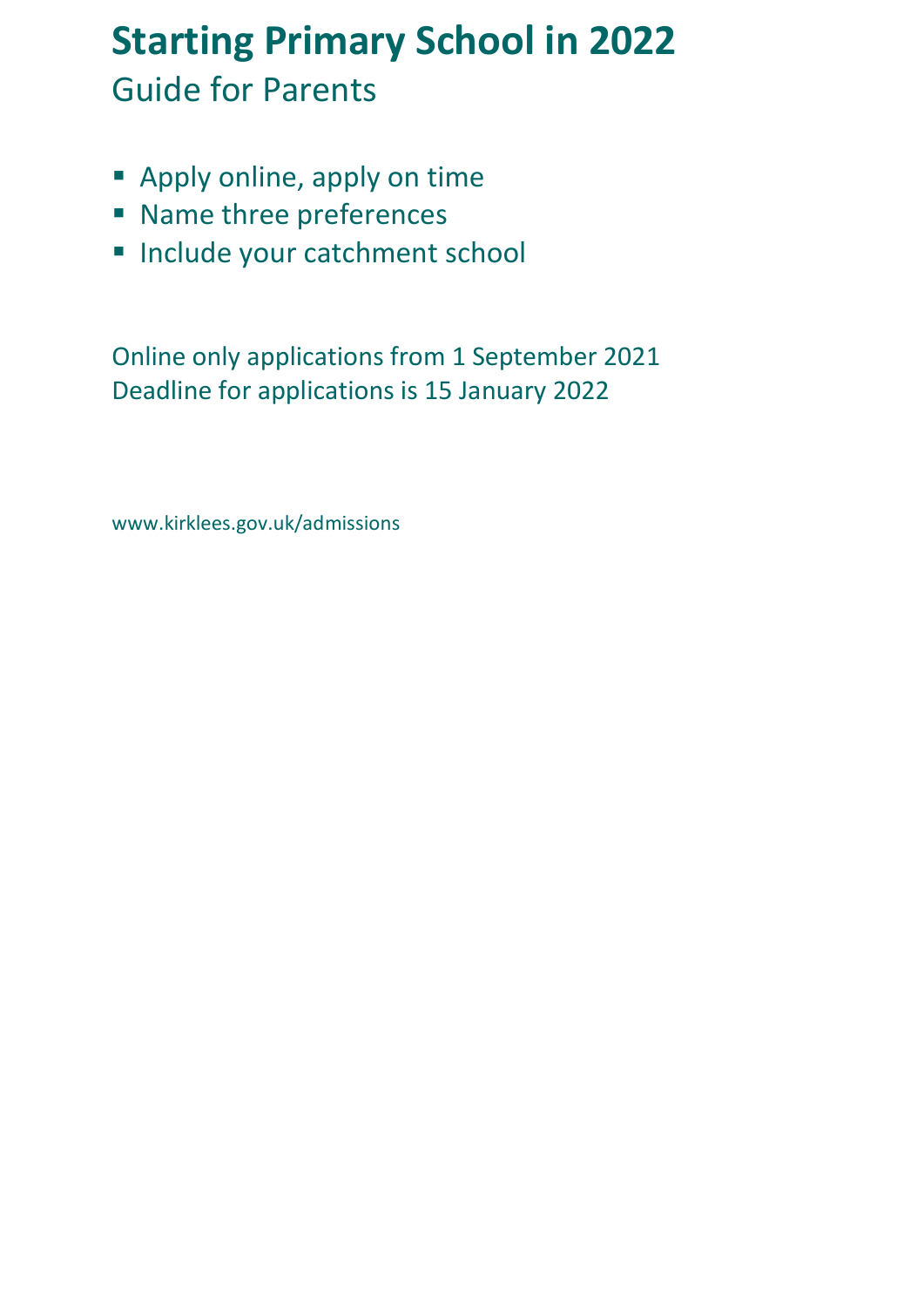# **Starting Primary School in 2022** Guide for Parents

- Apply online, apply on time
- Name three preferences
- **· Include your catchment school**

Online only applications from 1 September 2021 Deadline for applications is 15 January 2022

www.kirklees.gov.uk/admissions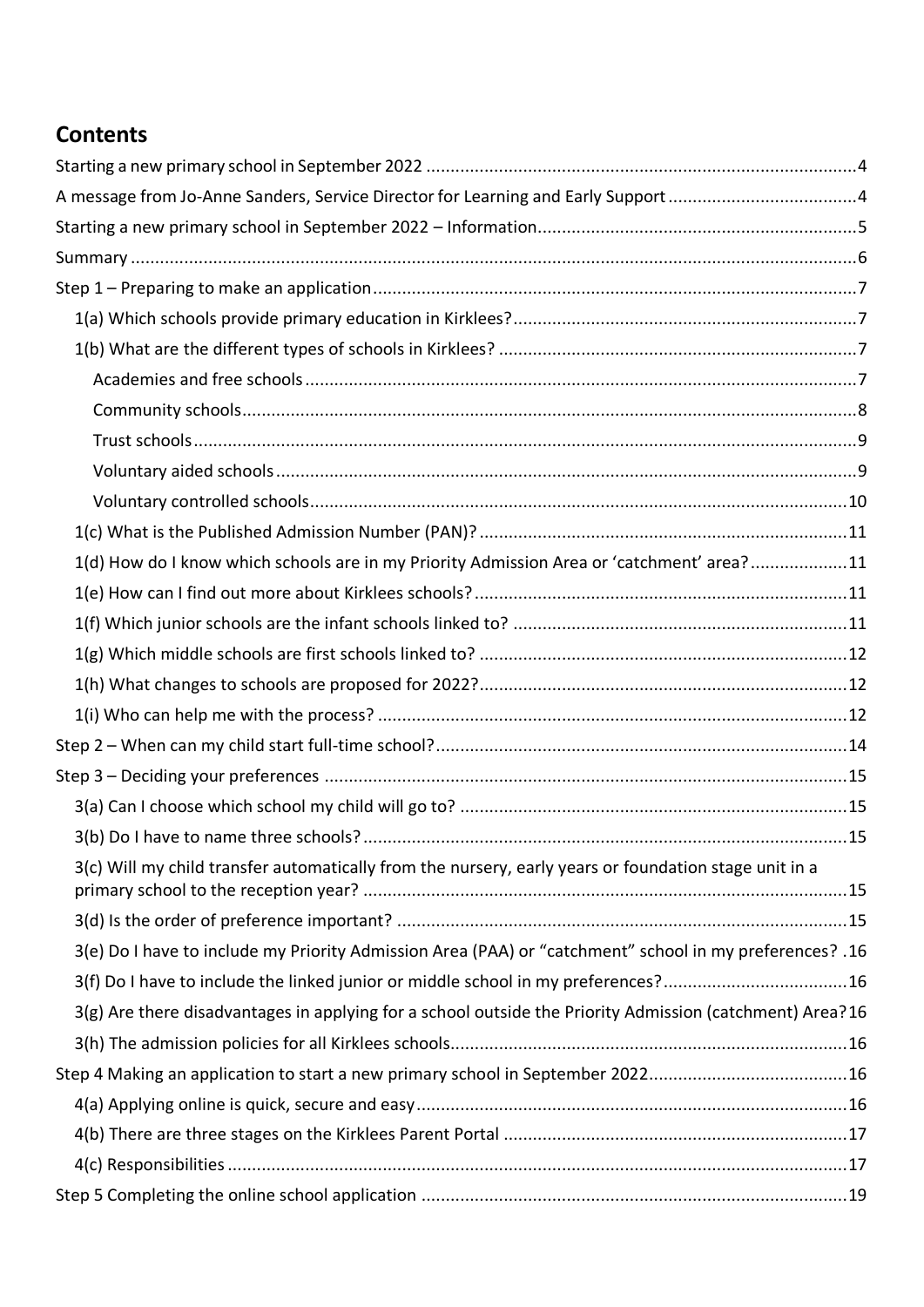# **Contents**

| A message from Jo-Anne Sanders, Service Director for Learning and Early Support4                         |  |
|----------------------------------------------------------------------------------------------------------|--|
|                                                                                                          |  |
|                                                                                                          |  |
|                                                                                                          |  |
|                                                                                                          |  |
|                                                                                                          |  |
|                                                                                                          |  |
|                                                                                                          |  |
|                                                                                                          |  |
|                                                                                                          |  |
|                                                                                                          |  |
|                                                                                                          |  |
| 11(d) How do I know which schools are in my Priority Admission Area or 'catchment' area?11               |  |
|                                                                                                          |  |
|                                                                                                          |  |
|                                                                                                          |  |
|                                                                                                          |  |
|                                                                                                          |  |
|                                                                                                          |  |
|                                                                                                          |  |
|                                                                                                          |  |
|                                                                                                          |  |
| 3(c) Will my child transfer automatically from the nursery, early years or foundation stage unit in a    |  |
|                                                                                                          |  |
| 3(e) Do I have to include my Priority Admission Area (PAA) or "catchment" school in my preferences? .16  |  |
| 3(f) Do I have to include the linked junior or middle school in my preferences?16                        |  |
| 3(g) Are there disadvantages in applying for a school outside the Priority Admission (catchment) Area?16 |  |
|                                                                                                          |  |
|                                                                                                          |  |
|                                                                                                          |  |
|                                                                                                          |  |
|                                                                                                          |  |
|                                                                                                          |  |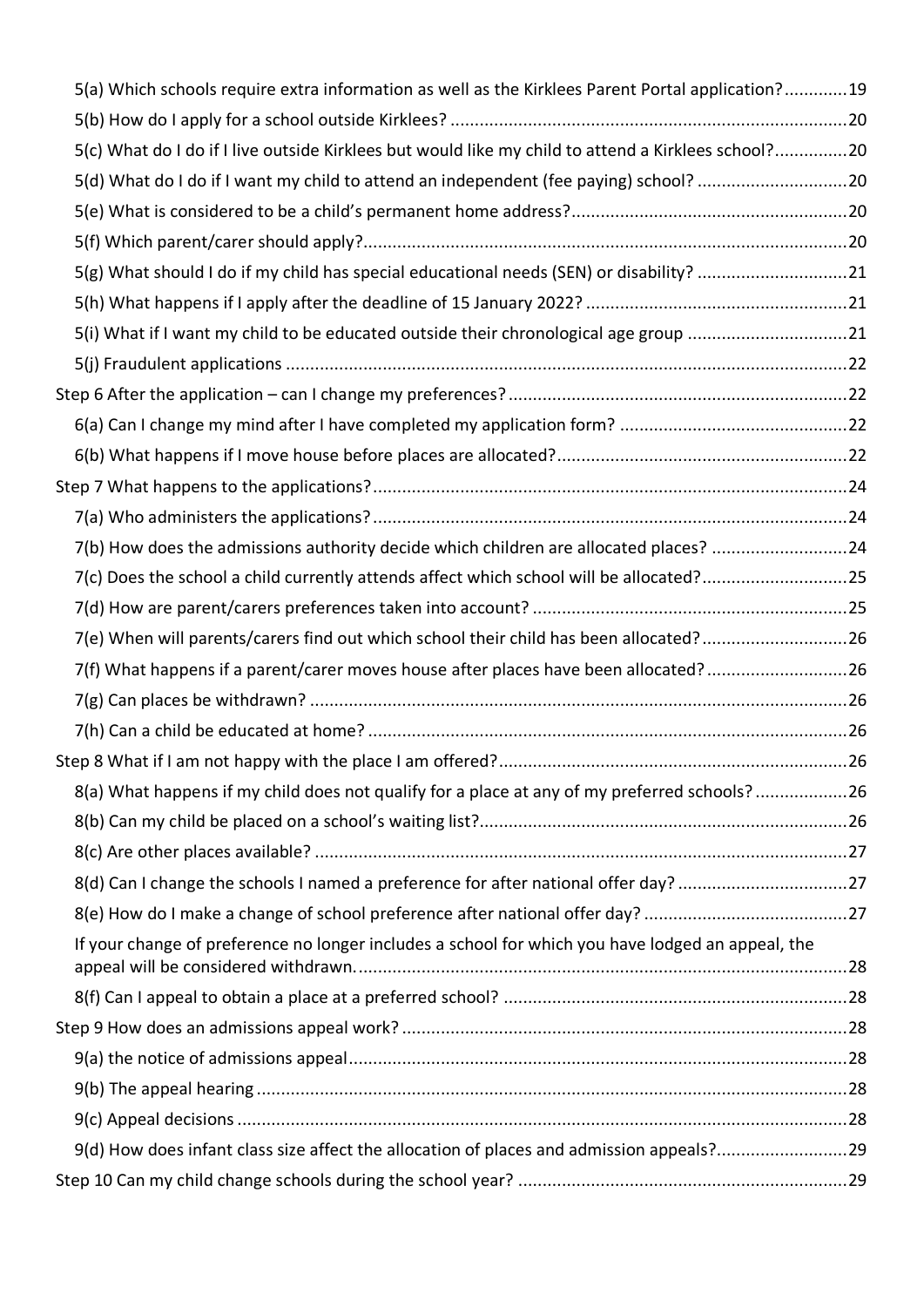| 5(a) Which schools require extra information as well as the Kirklees Parent Portal application?19   |  |
|-----------------------------------------------------------------------------------------------------|--|
|                                                                                                     |  |
| 5(c) What do I do if I live outside Kirklees but would like my child to attend a Kirklees school?20 |  |
| 5(d) What do I do if I want my child to attend an independent (fee paying) school? 20               |  |
|                                                                                                     |  |
|                                                                                                     |  |
| 5(g) What should I do if my child has special educational needs (SEN) or disability? 21             |  |
|                                                                                                     |  |
| 5(i) What if I want my child to be educated outside their chronological age group 21                |  |
|                                                                                                     |  |
|                                                                                                     |  |
|                                                                                                     |  |
|                                                                                                     |  |
|                                                                                                     |  |
|                                                                                                     |  |
| 7(b) How does the admissions authority decide which children are allocated places? 24               |  |
| 7(c) Does the school a child currently attends affect which school will be allocated?25             |  |
|                                                                                                     |  |
| 7(e) When will parents/carers find out which school their child has been allocated?26               |  |
| 7(f) What happens if a parent/carer moves house after places have been allocated?26                 |  |
|                                                                                                     |  |
|                                                                                                     |  |
|                                                                                                     |  |
| 8(a) What happens if my child does not qualify for a place at any of my preferred schools?26        |  |
|                                                                                                     |  |
|                                                                                                     |  |
|                                                                                                     |  |
|                                                                                                     |  |
| If your change of preference no longer includes a school for which you have lodged an appeal, the   |  |
|                                                                                                     |  |
|                                                                                                     |  |
|                                                                                                     |  |
|                                                                                                     |  |
|                                                                                                     |  |
| 9(d) How does infant class size affect the allocation of places and admission appeals?29            |  |
|                                                                                                     |  |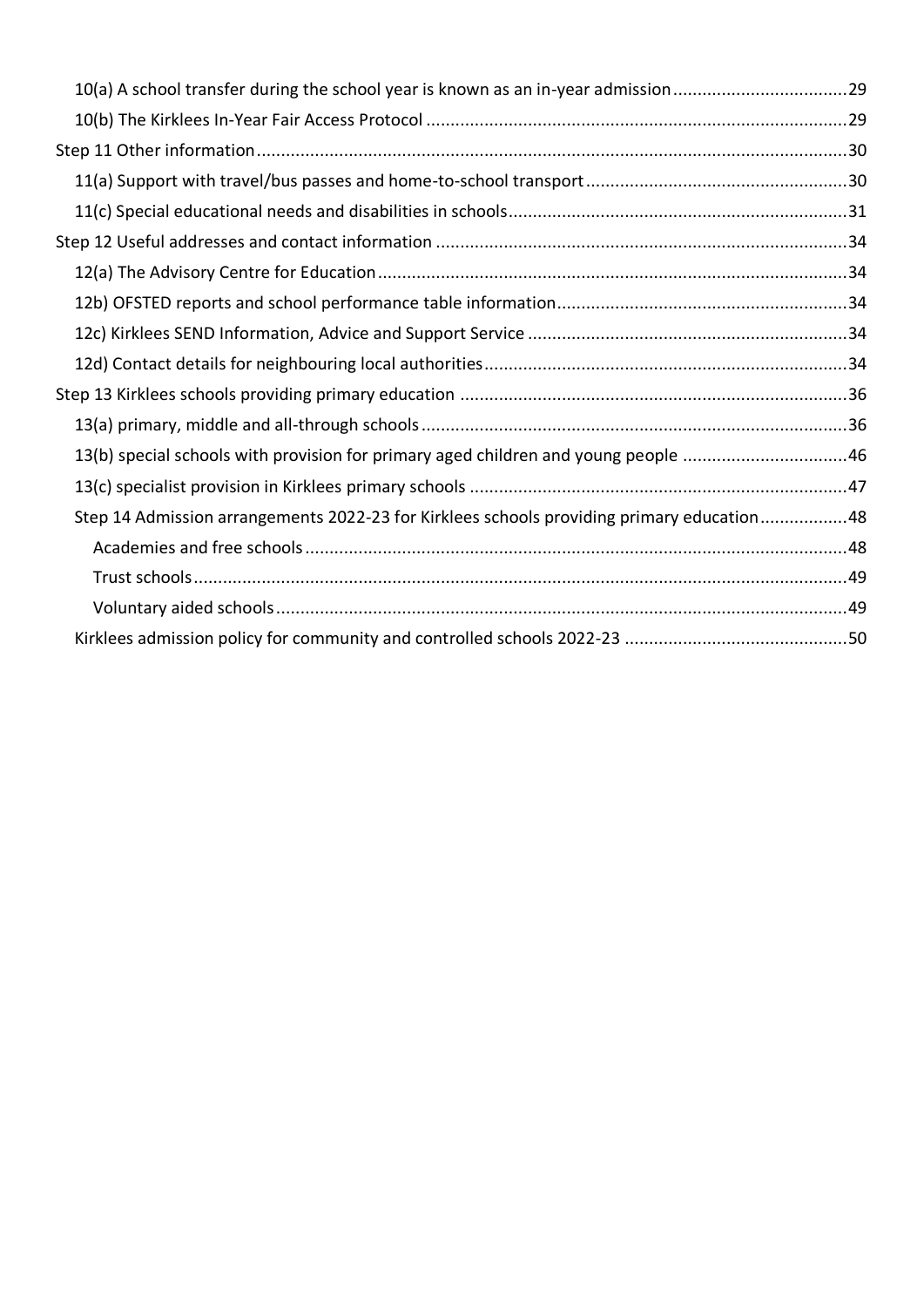| 13(b) special schools with provision for primary aged children and young people 46        |  |
|-------------------------------------------------------------------------------------------|--|
|                                                                                           |  |
| Step 14 Admission arrangements 2022-23 for Kirklees schools providing primary education48 |  |
|                                                                                           |  |
|                                                                                           |  |
|                                                                                           |  |
|                                                                                           |  |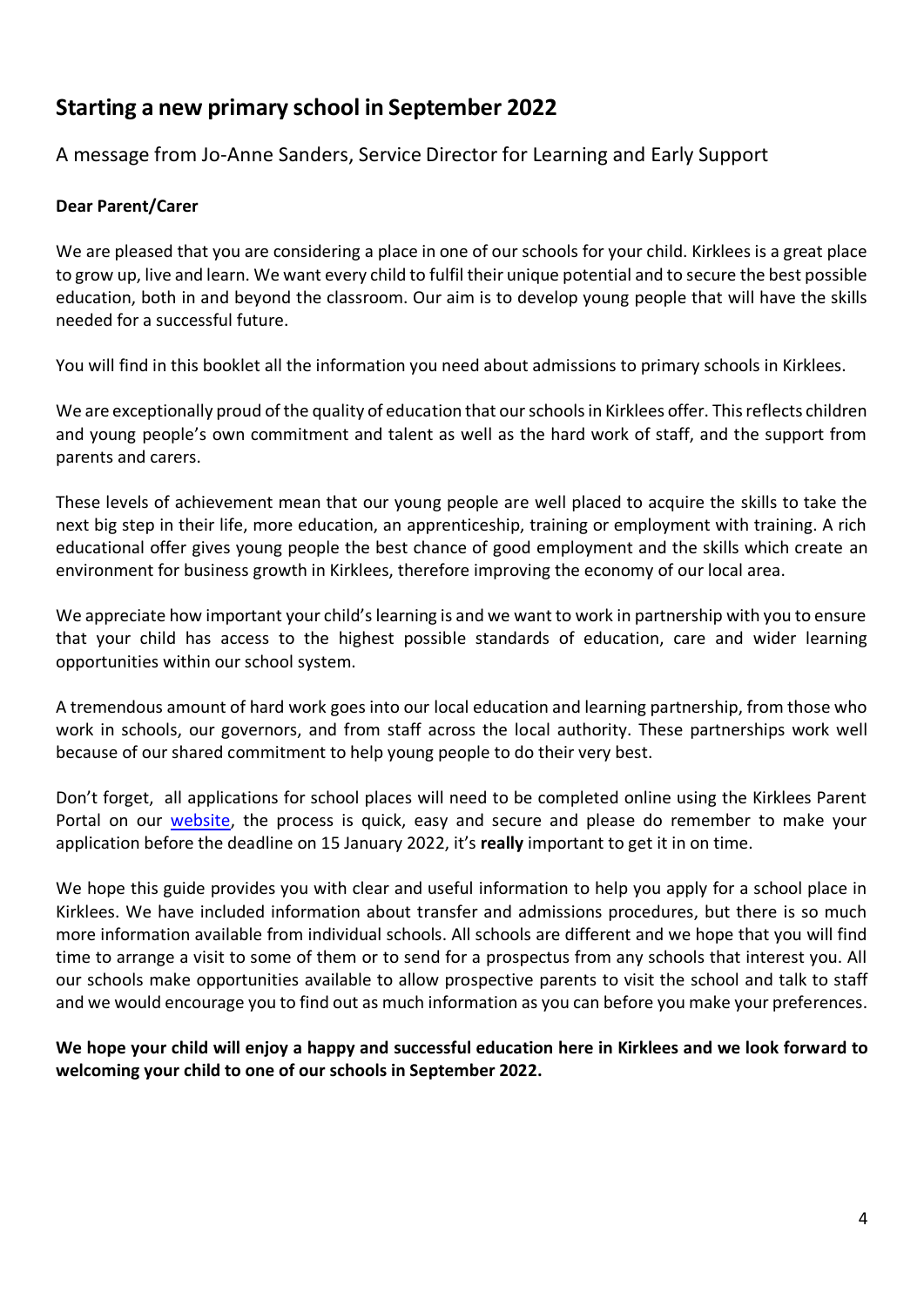# <span id="page-4-0"></span>**Starting a new primary school in September 2022**

<span id="page-4-1"></span>A message from Jo-Anne Sanders, Service Director for Learning and Early Support

#### **Dear Parent/Carer**

We are pleased that you are considering a place in one of our schools for your child. Kirklees is a great place to grow up, live and learn. We want every child to fulfil their unique potential and to secure the best possible education, both in and beyond the classroom. Our aim is to develop young people that will have the skills needed for a successful future.

You will find in this booklet all the information you need about admissions to primary schools in Kirklees.

We are exceptionally proud of the quality of education that our schools in Kirklees offer. This reflects children and young people's own commitment and talent as well as the hard work of staff, and the support from parents and carers.

These levels of achievement mean that our young people are well placed to acquire the skills to take the next big step in their life, more education, an apprenticeship, training or employment with training. A rich educational offer gives young people the best chance of good employment and the skills which create an environment for business growth in Kirklees, therefore improving the economy of our local area.

We appreciate how important your child's learning is and we want to work in partnership with you to ensure that your child has access to the highest possible standards of education, care and wider learning opportunities within our school system.

A tremendous amount of hard work goes into our local education and learning partnership, from those who work in schools, our governors, and from staff across the local authority. These partnerships work well because of our shared commitment to help young people to do their very best.

Don't forget, all applications for school places will need to be completed online using the Kirklees Parent Portal on our [website,](https://www.kirklees.gov.uk/beta/admissions/apply-primary-school-place.aspx) the process is quick, easy and secure and please do remember to make your application before the deadline on 15 January 2022, it's **really** important to get it in on time.

We hope this guide provides you with clear and useful information to help you apply for a school place in Kirklees. We have included information about transfer and admissions procedures, but there is so much more information available from individual schools. All schools are different and we hope that you will find time to arrange a visit to some of them or to send for a prospectus from any schools that interest you. All our schools make opportunities available to allow prospective parents to visit the school and talk to staff and we would encourage you to find out as much information as you can before you make your preferences.

**We hope your child will enjoy a happy and successful education here in Kirklees and we look forward to welcoming your child to one of our schools in September 2022.**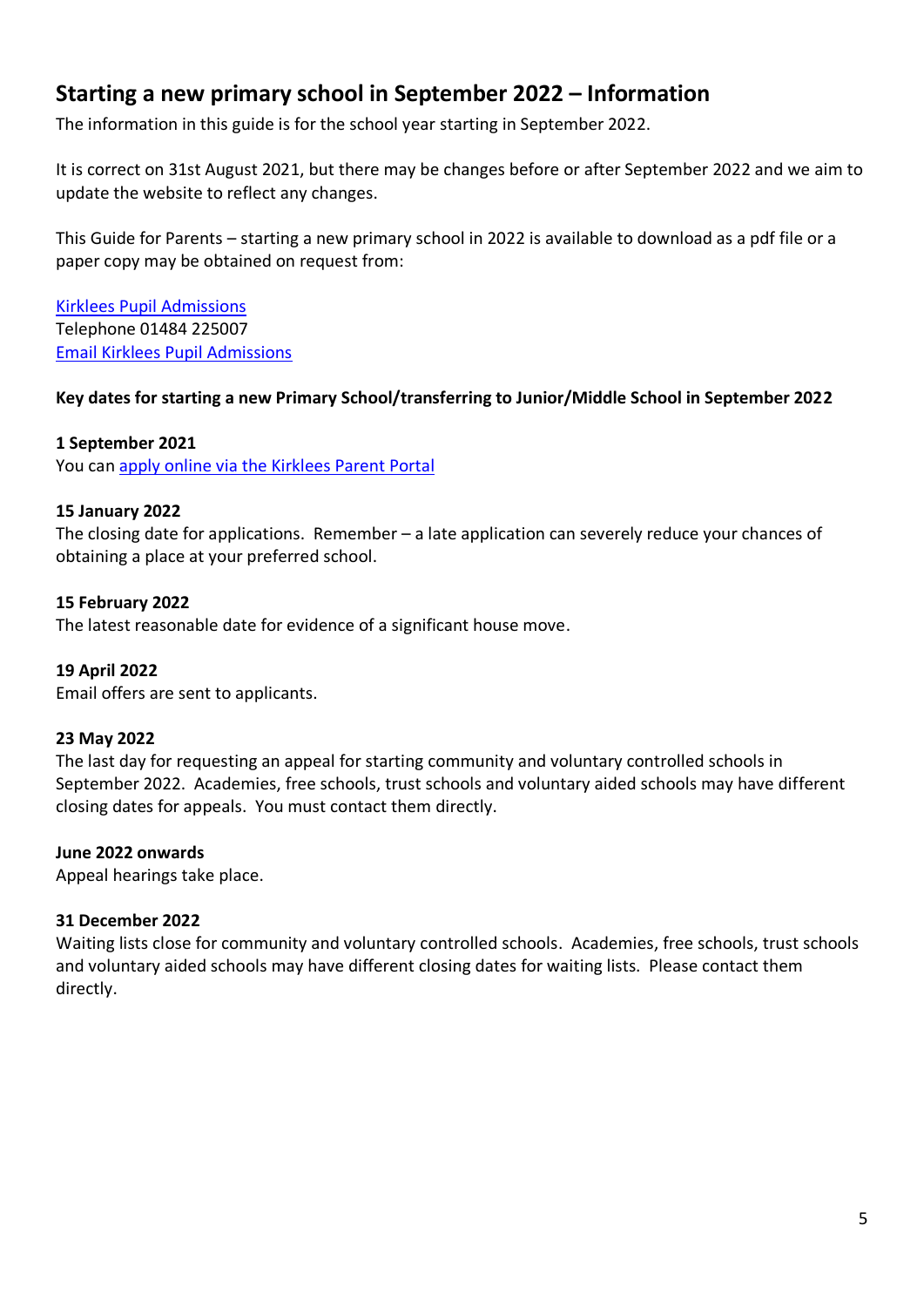## <span id="page-5-0"></span>**Starting a new primary school in September 2022 – Information**

The information in this guide is for the school year starting in September 2022.

It is correct on 31st August 2021, but there may be changes before or after September 2022 and we aim to update the website to reflect any changes.

This Guide for Parents – starting a new primary school in 2022 is available to download as a pdf file or a paper copy may be obtained on request from:

[Kirklees Pupil Admissions](https://www.kirklees.gov.uk/beta/schools-and-education.aspx#admissions) Telephone 01484 225007 [Email Kirklees Pupil Admissions](mailto:pupiladmissions@kirklees.gov.uk)

#### **Key dates for starting a new Primary School/transferring to Junior/Middle School in September 2022**

#### **1 September 2021**

You can [apply online via the Kirklees Parent Portal](https://www.kirklees.gov.uk/beta/admissions/apply-primary-school-place.aspx)

#### **15 January 2022**

The closing date for applications. Remember – a late application can severely reduce your chances of obtaining a place at your preferred school.

#### **15 February 2022**

The latest reasonable date for evidence of a significant house move.

#### **19 April 2022**

Email offers are sent to applicants.

#### **23 May 2022**

The last day for requesting an appeal for starting community and voluntary controlled schools in September 2022. Academies, free schools, trust schools and voluntary aided schools may have different closing dates for appeals. You must contact them directly.

#### **June 2022 onwards**

Appeal hearings take place.

#### **31 December 2022**

Waiting lists close for community and voluntary controlled schools. Academies, free schools, trust schools and voluntary aided schools may have different closing dates for waiting lists. Please contact them directly.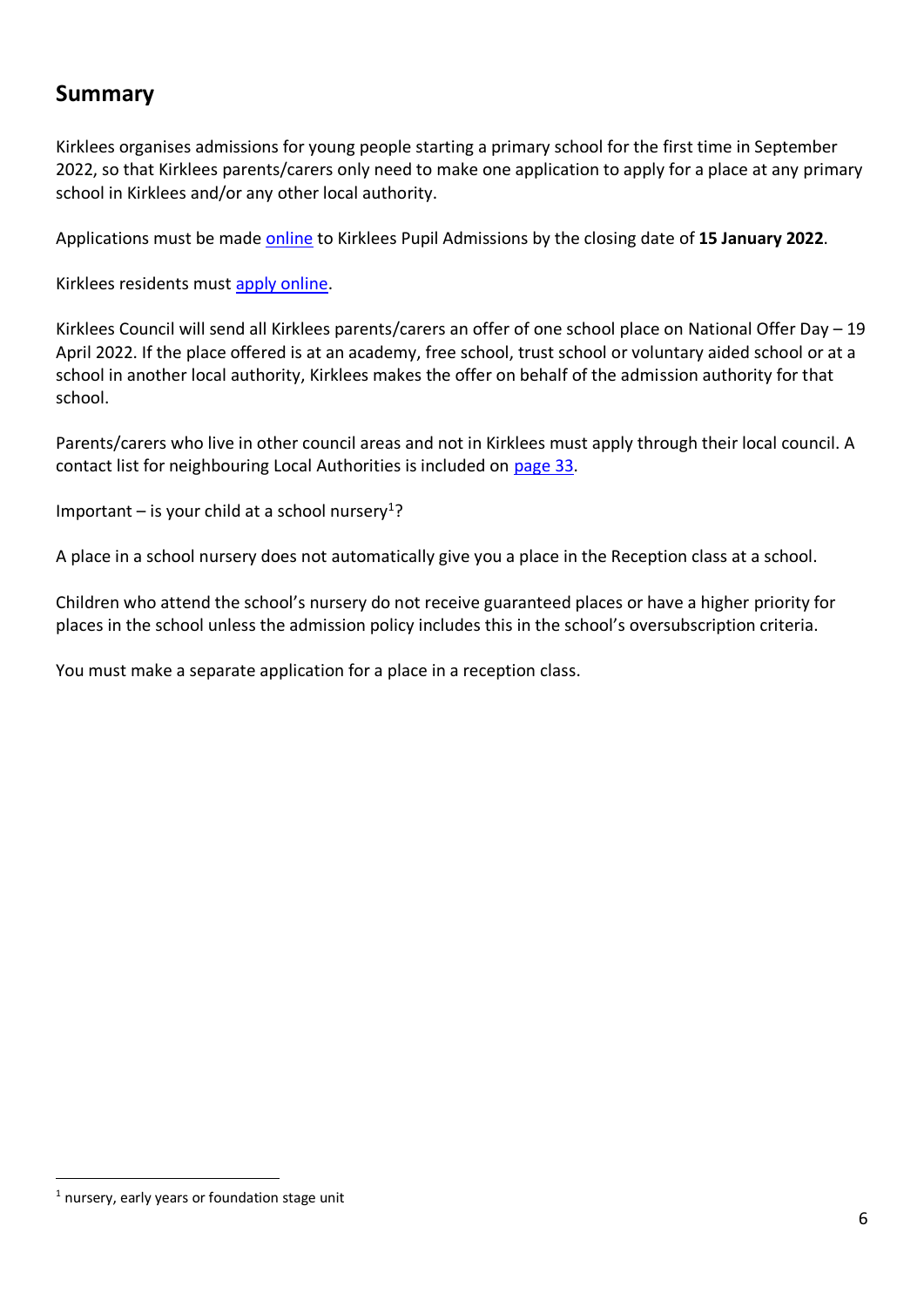### <span id="page-6-0"></span>**Summary**

Kirklees organises admissions for young people starting a primary school for the first time in September 2022, so that Kirklees parents/carers only need to make one application to apply for a place at any primary school in Kirklees and/or any other local authority.

Applications must be made [online](https://www.kirklees.gov.uk/beta/admissions/apply-primary-school-place.aspx) to Kirklees Pupil Admissions by the closing date of **15 January 2022**.

Kirklees residents mus[t apply online.](https://www.kirklees.gov.uk/beta/admissions/apply-primary-school-place.aspx)

Kirklees Council will send all Kirklees parents/carers an offer of one school place on National Offer Day – 19 April 2022. If the place offered is at an academy, free school, trust school or voluntary aided school or at a school in another local authority, Kirklees makes the offer on behalf of the admission authority for that school.

Parents/carers who live in other council areas and not in Kirklees must apply through their local council. A contact list for neighbouring Local Authorities is included on [page 33.](#page-34-4)

Important – is your child at a school nursery<sup>1</sup>?

A place in a school nursery does not automatically give you a place in the Reception class at a school.

Children who attend the school's nursery do not receive guaranteed places or have a higher priority for places in the school unless the admission policy includes this in the school's oversubscription criteria.

You must make a separate application for a place in a reception class.

 $<sup>1</sup>$  nursery, early years or foundation stage unit</sup>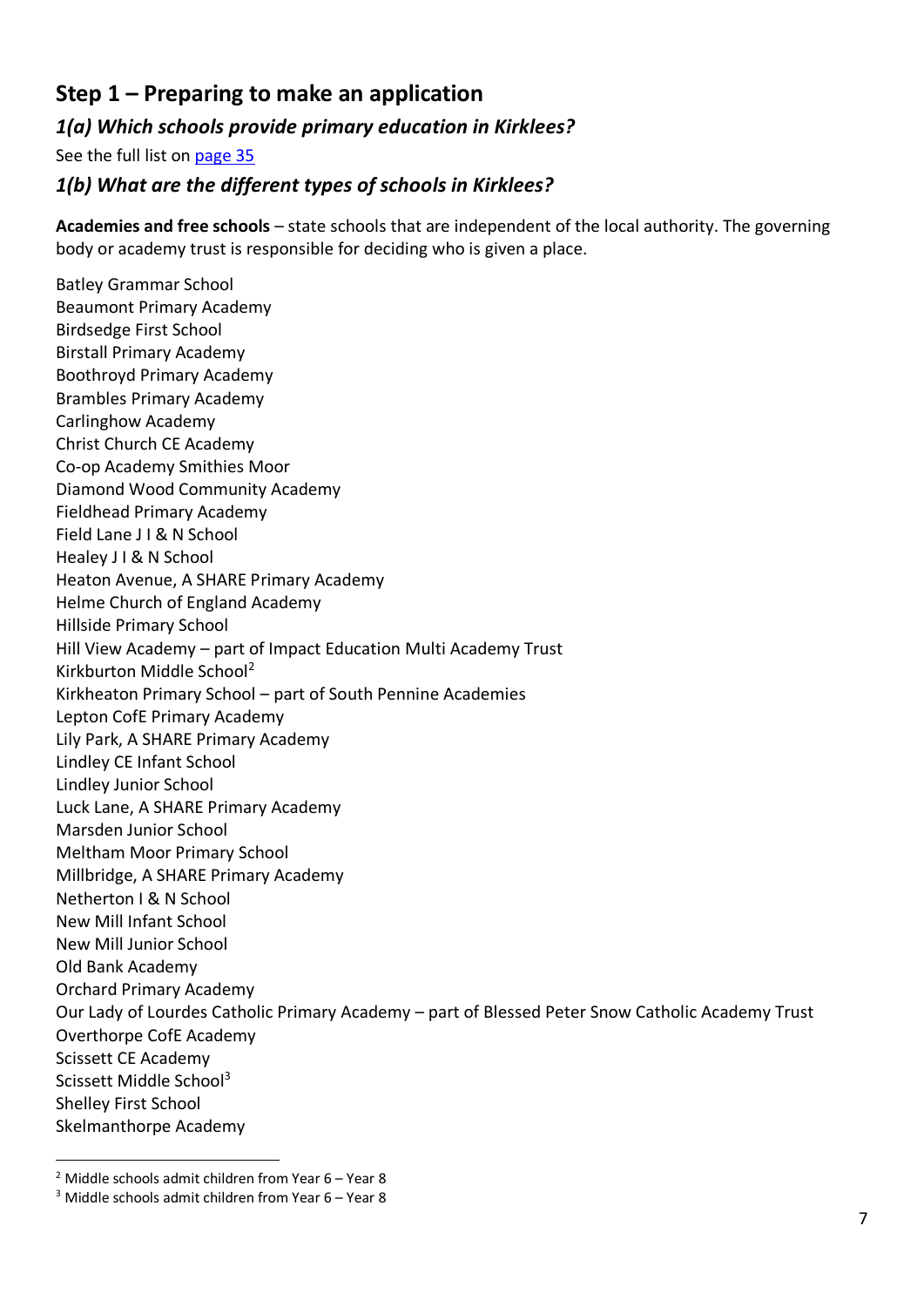### <span id="page-7-0"></span>**Step 1 – Preparing to make an application**

#### <span id="page-7-1"></span>*1(a) Which schools provide primary education in Kirklees?*

See the full list on [page 35](#page-36-0)

#### <span id="page-7-2"></span>*1(b) What are the different types of schools in Kirklees?*

<span id="page-7-3"></span>**Academies and free schools** – state schools that are independent of the local authority. The governing body or academy trust is responsible for deciding who is given a place.

Batley Grammar School Beaumont Primary Academy Birdsedge First School Birstall Primary Academy Boothroyd Primary Academy Brambles Primary Academy Carlinghow Academy Christ Church CE Academy Co-op Academy Smithies Moor Diamond Wood Community Academy Fieldhead Primary Academy Field Lane J I & N School Healey J I & N School Heaton Avenue, A SHARE Primary Academy Helme Church of England Academy Hillside Primary School Hill View Academy – part of Impact Education Multi Academy Trust Kirkburton Middle School<sup>2</sup> Kirkheaton Primary School – part of South Pennine Academies Lepton CofE Primary Academy Lily Park, A SHARE Primary Academy Lindley CE Infant School Lindley Junior School Luck Lane, A SHARE Primary Academy Marsden Junior School Meltham Moor Primary School Millbridge, A SHARE Primary Academy Netherton I & N School New Mill Infant School New Mill Junior School Old Bank Academy Orchard Primary Academy Our Lady of Lourdes Catholic Primary Academy – part of Blessed Peter Snow Catholic Academy Trust Overthorpe CofE Academy Scissett CE Academy Scissett Middle School<sup>3</sup> Shelley First School Skelmanthorpe Academy

 $2$  Middle schools admit children from Year 6 – Year 8

 $3$  Middle schools admit children from Year 6 – Year 8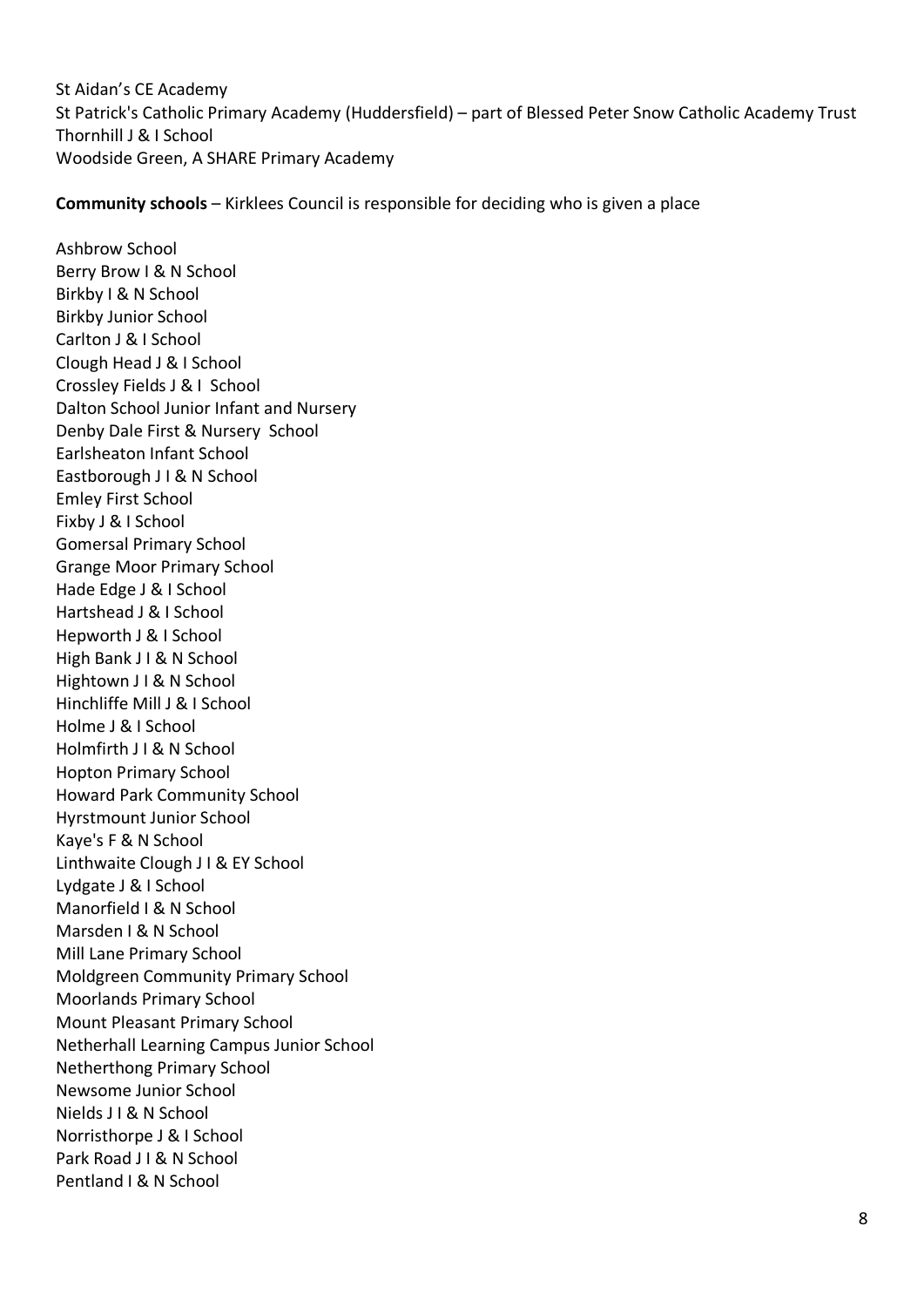St Aidan's CE Academy St Patrick's Catholic Primary Academy (Huddersfield) – part of Blessed Peter Snow Catholic Academy Trust Thornhill J & I School Woodside Green, A SHARE Primary Academy

<span id="page-8-0"></span>**Community schools** – Kirklees Council is responsible for deciding who is given a place

Ashbrow School Berry Brow I & N School Birkby I & N School Birkby Junior School Carlton J & I School Clough Head J & I School Crossley Fields J & I School Dalton School Junior Infant and Nursery Denby Dale First & Nursery School Earlsheaton Infant School Eastborough J I & N School Emley First School Fixby J & I School Gomersal Primary School Grange Moor Primary School Hade Edge J & I School Hartshead J & I School Hepworth J & I School High Bank J I & N School Hightown J I & N School Hinchliffe Mill J & I School Holme J & I School Holmfirth J I & N School Hopton Primary School Howard Park Community School Hyrstmount Junior School Kaye's F & N School Linthwaite Clough J I & EY School Lydgate J & I School Manorfield I & N School Marsden I & N School Mill Lane Primary School Moldgreen Community Primary School Moorlands Primary School Mount Pleasant Primary School Netherhall Learning Campus Junior School Netherthong Primary School Newsome Junior School Nields J I & N School Norristhorpe J & I School Park Road J I & N School Pentland I & N School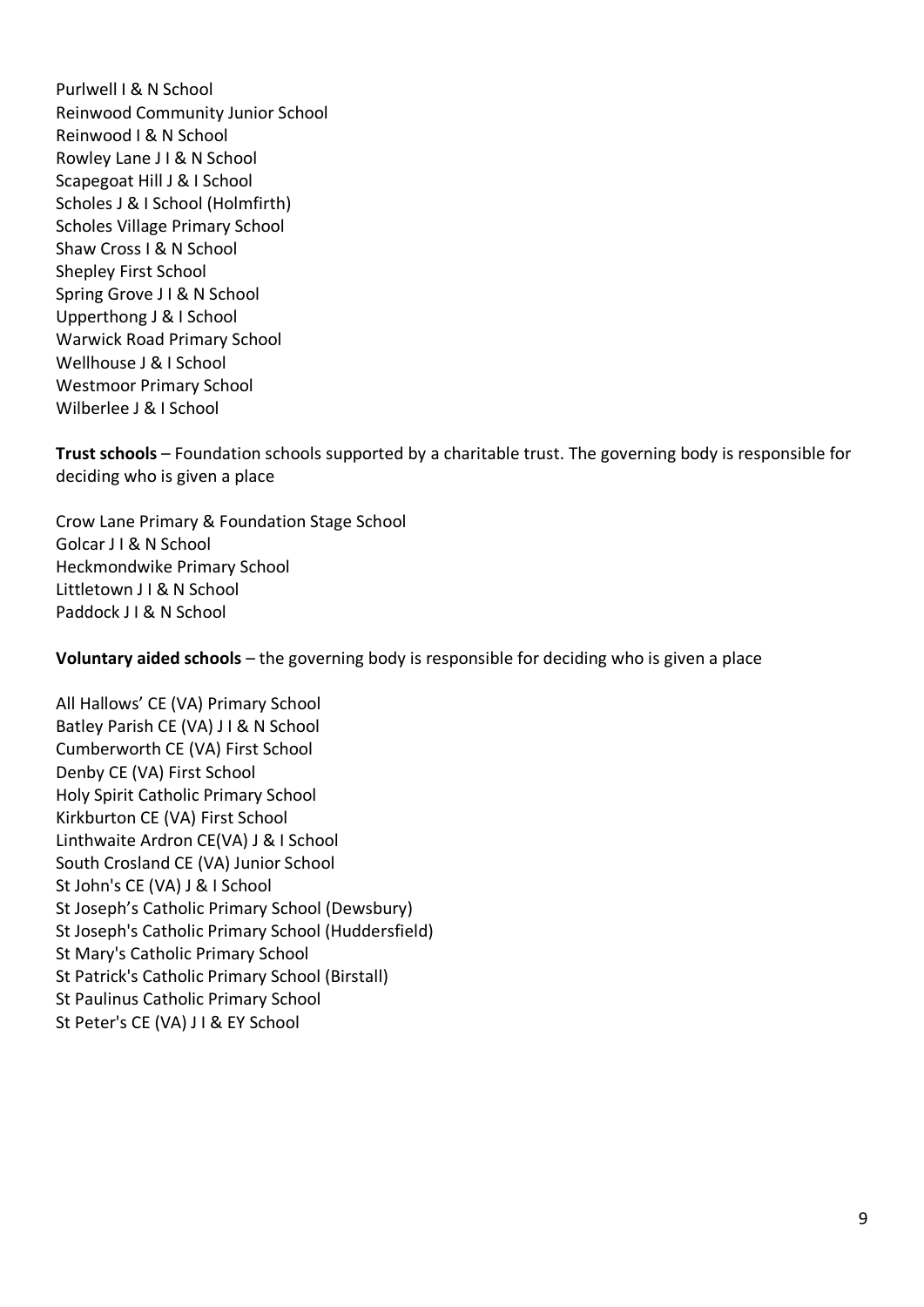Purlwell I & N School Reinwood Community Junior School Reinwood I & N School Rowley Lane J I & N School Scapegoat Hill J & I School Scholes J & I School (Holmfirth) Scholes Village Primary School Shaw Cross I & N School Shepley First School Spring Grove J I & N School Upperthong J & I School Warwick Road Primary School Wellhouse J & I School Westmoor Primary School Wilberlee J & I School

<span id="page-9-0"></span>**Trust schools** – Foundation schools supported by a charitable trust. The governing body is responsible for deciding who is given a place

Crow Lane Primary & Foundation Stage School Golcar J I & N School Heckmondwike Primary School Littletown J I & N School Paddock J I & N School

<span id="page-9-1"></span>**Voluntary aided schools** – the governing body is responsible for deciding who is given a place

All Hallows' CE (VA) Primary School Batley Parish CE (VA) J I & N School Cumberworth CE (VA) First School Denby CE (VA) First School Holy Spirit Catholic Primary School Kirkburton CE (VA) First School Linthwaite Ardron CE(VA) J & I School South Crosland CE (VA) Junior School St John's CE (VA) J & I School St Joseph's Catholic Primary School (Dewsbury) St Joseph's Catholic Primary School (Huddersfield) St Mary's Catholic Primary School St Patrick's Catholic Primary School (Birstall) St Paulinus Catholic Primary School St Peter's CE (VA) J I & EY School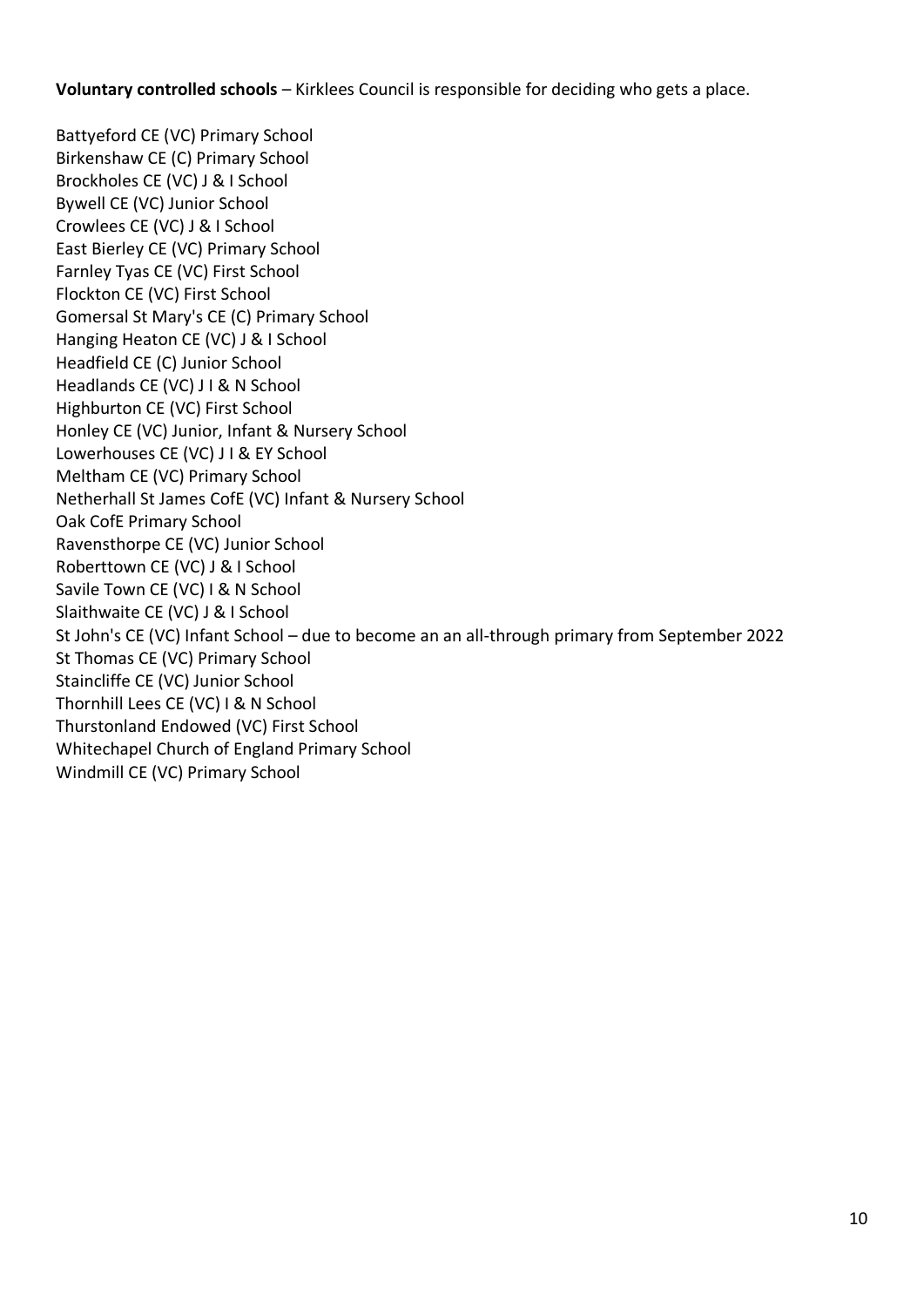<span id="page-10-0"></span>**Voluntary controlled schools** – Kirklees Council is responsible for deciding who gets a place.

Battyeford CE (VC) Primary School Birkenshaw CE (C) Primary School Brockholes CE (VC) J & I School Bywell CE (VC) Junior School Crowlees CE (VC) J & I School East Bierley CE (VC) Primary School Farnley Tyas CE (VC) First School Flockton CE (VC) First School Gomersal St Mary's CE (C) Primary School Hanging Heaton CE (VC) J & I School Headfield CE (C) Junior School Headlands CE (VC) J I & N School Highburton CE (VC) First School Honley CE (VC) Junior, Infant & Nursery School Lowerhouses CE (VC) J I & EY School Meltham CE (VC) Primary School Netherhall St James CofE (VC) Infant & Nursery School Oak CofE Primary School Ravensthorpe CE (VC) Junior School Roberttown CE (VC) J & I School Savile Town CE (VC) I & N School Slaithwaite CE (VC) J & I School St John's CE (VC) Infant School – due to become an an all-through primary from September 2022 St Thomas CE (VC) Primary School Staincliffe CE (VC) Junior School Thornhill Lees CE (VC) I & N School Thurstonland Endowed (VC) First School Whitechapel Church of England Primary School Windmill CE (VC) Primary School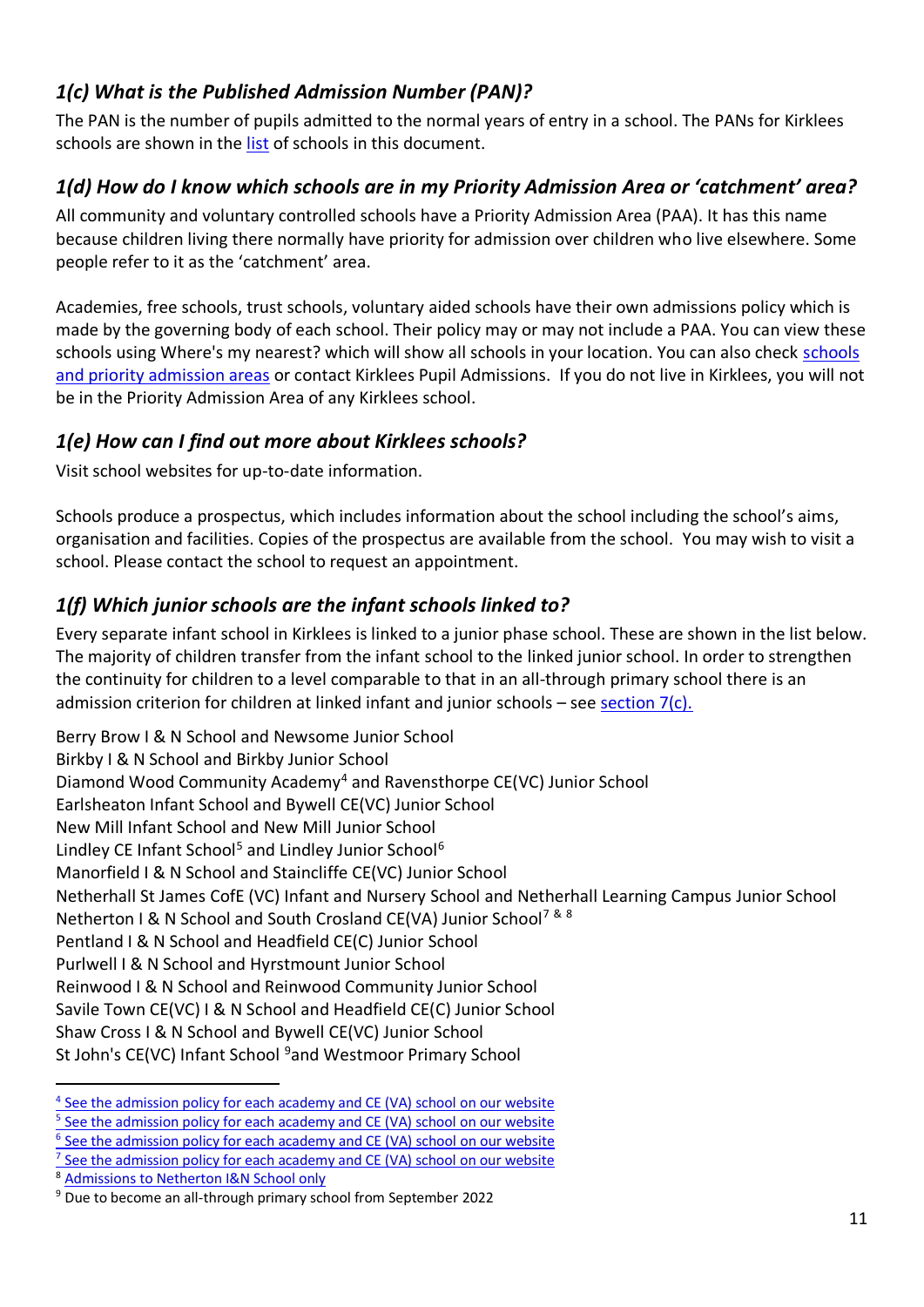### <span id="page-11-0"></span>*1(c) What is the Published Admission Number (PAN)?*

The PAN is the number of pupils admitted to the normal years of entry in a school. The PANs for Kirklees schools are shown in the [list](#page-36-0) of schools in this document.

### <span id="page-11-1"></span>*1(d) How do I know which schools are in my Priority Admission Area or 'catchment' area?*

All community and voluntary controlled schools have a Priority Admission Area (PAA). It has this name because children living there normally have priority for admission over children who live elsewhere. Some people refer to it as the 'catchment' area.

Academies, free schools, trust schools, voluntary aided schools have their own admissions policy which is made by the governing body of each school. Their policy may or may not include a PAA. You can view these schools using Where's my nearest? which will show all schools in your location. You can also check [schools](https://mapping.kirklees.gov.uk/connect/analyst/mobile/#/main?mapcfg=Priority%20Admission%20Areas%20(Public))  [and priority admission areas](https://mapping.kirklees.gov.uk/connect/analyst/mobile/#/main?mapcfg=Priority%20Admission%20Areas%20(Public)) or contact Kirklees Pupil Admissions. If you do not live in Kirklees, you will not be in the Priority Admission Area of any Kirklees school.

### <span id="page-11-2"></span>*1(e) How can I find out more about Kirklees schools?*

Visit school websites for up-to-date information.

Schools produce a prospectus, which includes information about the school including the school's aims, organisation and facilities. Copies of the prospectus are available from the school. You may wish to visit a school. Please contact the school to request an appointment.

### <span id="page-11-3"></span>*1(f) Which junior schools are the infant schools linked to?*

Every separate infant school in Kirklees is linked to a junior phase school. These are shown in the list below. The majority of children transfer from the infant school to the linked junior school. In order to strengthen the continuity for children to a level comparable to that in an all-through primary school there is an admission criterion for children at linked infant and junior schools – see section  $7(c)$ .

Berry Brow I & N School and Newsome Junior School Birkby I & N School and Birkby Junior School Diamond Wood Community Academy<sup>4</sup> and Ravensthorpe CE(VC) Junior School Earlsheaton Infant School and Bywell CE(VC) Junior School New Mill Infant School and New Mill Junior School Lindley CE Infant School<sup>5</sup> and Lindley Junior School<sup>6</sup> Manorfield I & N School and Staincliffe CE(VC) Junior School Netherhall St James CofE (VC) Infant and Nursery School and Netherhall Learning Campus Junior School Netherton I & N School and South Crosland CE(VA) Junior School<sup>7 & 8</sup> Pentland I & N School and Headfield CE(C) Junior School Purlwell I & N School and Hyrstmount Junior School Reinwood I & N School and Reinwood Community Junior School Savile Town CE(VC) I & N School and Headfield CE(C) Junior School Shaw Cross I & N School and Bywell CE(VC) Junior School St John's CE(VC) Infant School <sup>9</sup>and Westmoor Primary School

<sup>&</sup>lt;sup>4</sup> [See the admission policy for each academy and CE \(VA\) school on our website](https://www.kirklees.gov.uk/beta/schools/search-for-a-school/default.aspx)

<sup>&</sup>lt;sup>5</sup> [See the admission policy for each academy and CE \(VA\) school on our website](https://www.kirklees.gov.uk/beta/schools/search-for-a-school/default.aspx)

<sup>&</sup>lt;sup>6</sup> [See the admission policy for each academy and CE \(VA\) school on our website](https://www.kirklees.gov.uk/beta/schools/search-for-a-school/default.aspx)

<sup>&</sup>lt;sup>7</sup> [See the admission policy for each academy and CE \(VA\) school on our website](https://www.kirklees.gov.uk/beta/schools/search-for-a-school/default.aspx)

<sup>8</sup> [Admissions to Netherton I&N School only](https://www.kirklees.gov.uk/beta/schools/search-for-a-school/default.aspx)

<sup>9</sup> Due to become an all-through primary school from September 2022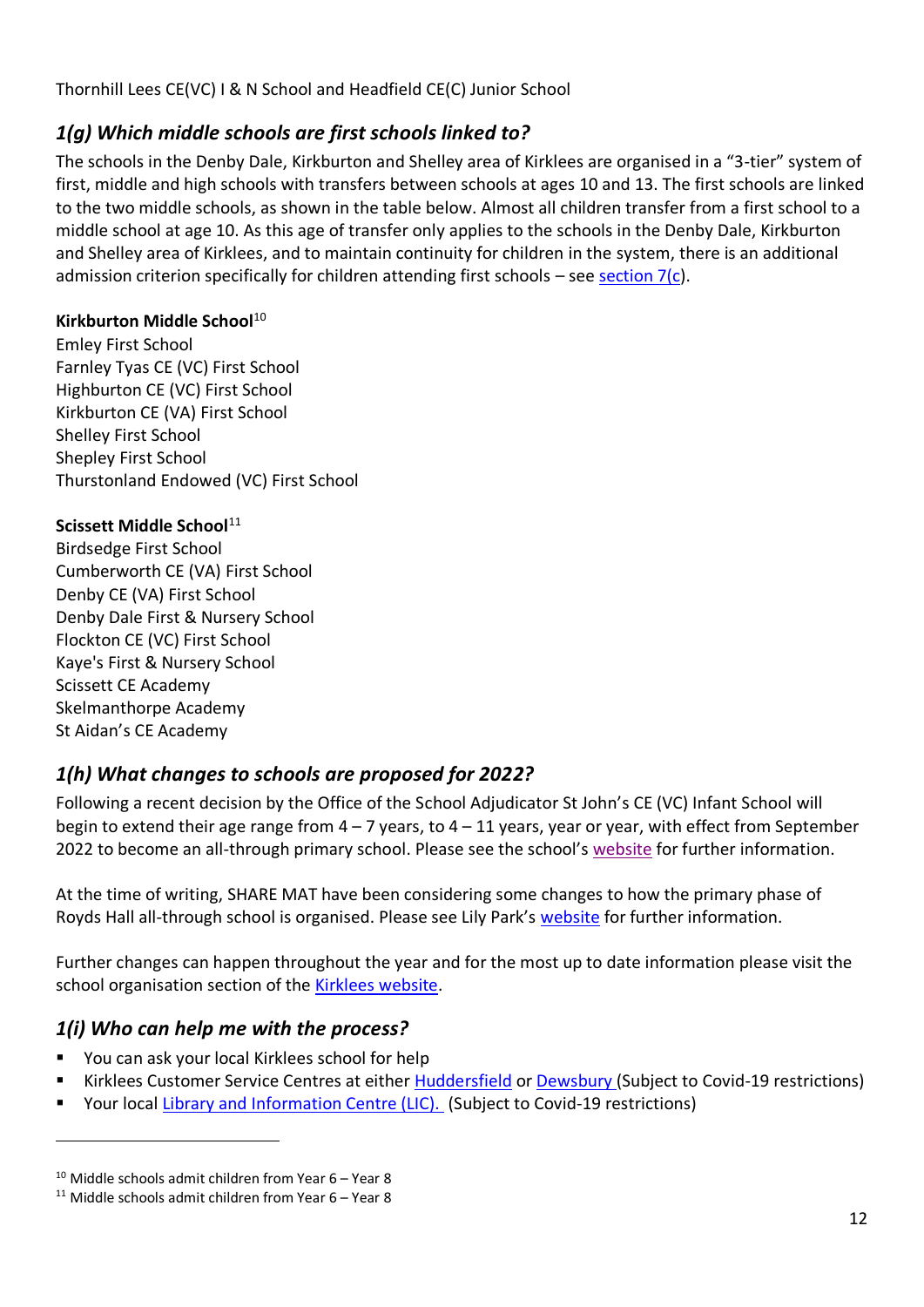Thornhill Lees CE(VC) I & N School and Headfield CE(C) Junior School

### <span id="page-12-0"></span>*1(g) Which middle schools are first schools linked to?*

The schools in the Denby Dale, Kirkburton and Shelley area of Kirklees are organised in a "3-tier" system of first, middle and high schools with transfers between schools at ages 10 and 13. The first schools are linked to the two middle schools, as shown in the table below. Almost all children transfer from a first school to a middle school at age 10. As this age of transfer only applies to the schools in the Denby Dale, Kirkburton and Shelley area of Kirklees, and to maintain continuity for children in the system, there is an additional admission criterion specifically for children attending first schools  $-$  see section  $7(c)$ .

#### **Kirkburton Middle School**<sup>10</sup>

Emley First School Farnley Tyas CE (VC) First School Highburton CE (VC) First School Kirkburton CE (VA) First School Shelley First School Shepley First School Thurstonland Endowed (VC) First School

#### **Scissett Middle School**<sup>11</sup>

Birdsedge First School Cumberworth CE (VA) First School Denby CE (VA) First School Denby Dale First & Nursery School Flockton CE (VC) First School Kaye's First & Nursery School Scissett CE Academy Skelmanthorpe Academy St Aidan's CE Academy

### <span id="page-12-1"></span>*1(h) What changes to schools are proposed for 2022?*

Following a recent decision by the Office of the School Adjudicator St John's CE (VC) Infant School will begin to extend their age range from 4 – 7 years, to 4 – 11 years, year or year, with effect from September 2022 to become an all-through primary school. Please see the school's [website](https://www.stjohnsceinfantschool.co.uk/) for further information.

At the time of writing, SHARE MAT have been considering some changes to how the primary phase of Royds Hall all-through school is organised. Please see Lily Park's [website](https://www.lilyparkprimary.org.uk/) for further information.

Further changes can happen throughout the year and for the most up to date information please visit the school organisation section of the [Kirklees website.](https://www.kirklees.gov.uk/beta/schools/school-organisation-and-planning.aspx)

### <span id="page-12-2"></span>*1(i) Who can help me with the process?*

- You can ask your local Kirklees school for help
- Kirklees Customer Service Centres at either [Huddersfield](https://communitydirectory.kirklees.gov.uk/communityDirectory/organisationdetails.aspx?orgid=1220) or [Dewsbury](https://communitydirectory.kirklees.gov.uk/communityDirectory/organisationdetails.aspx?orgid=671) (Subject to Covid-19 restrictions)
- Your local Library [and Information Centre \(LIC\).](https://www.kirklees.gov.uk/beta/leisure-and-culture.aspx#libraries) (Subject to Covid-19 restrictions)

 $10$  Middle schools admit children from Year 6 – Year 8

<sup>&</sup>lt;sup>11</sup> Middle schools admit children from Year  $6 -$  Year 8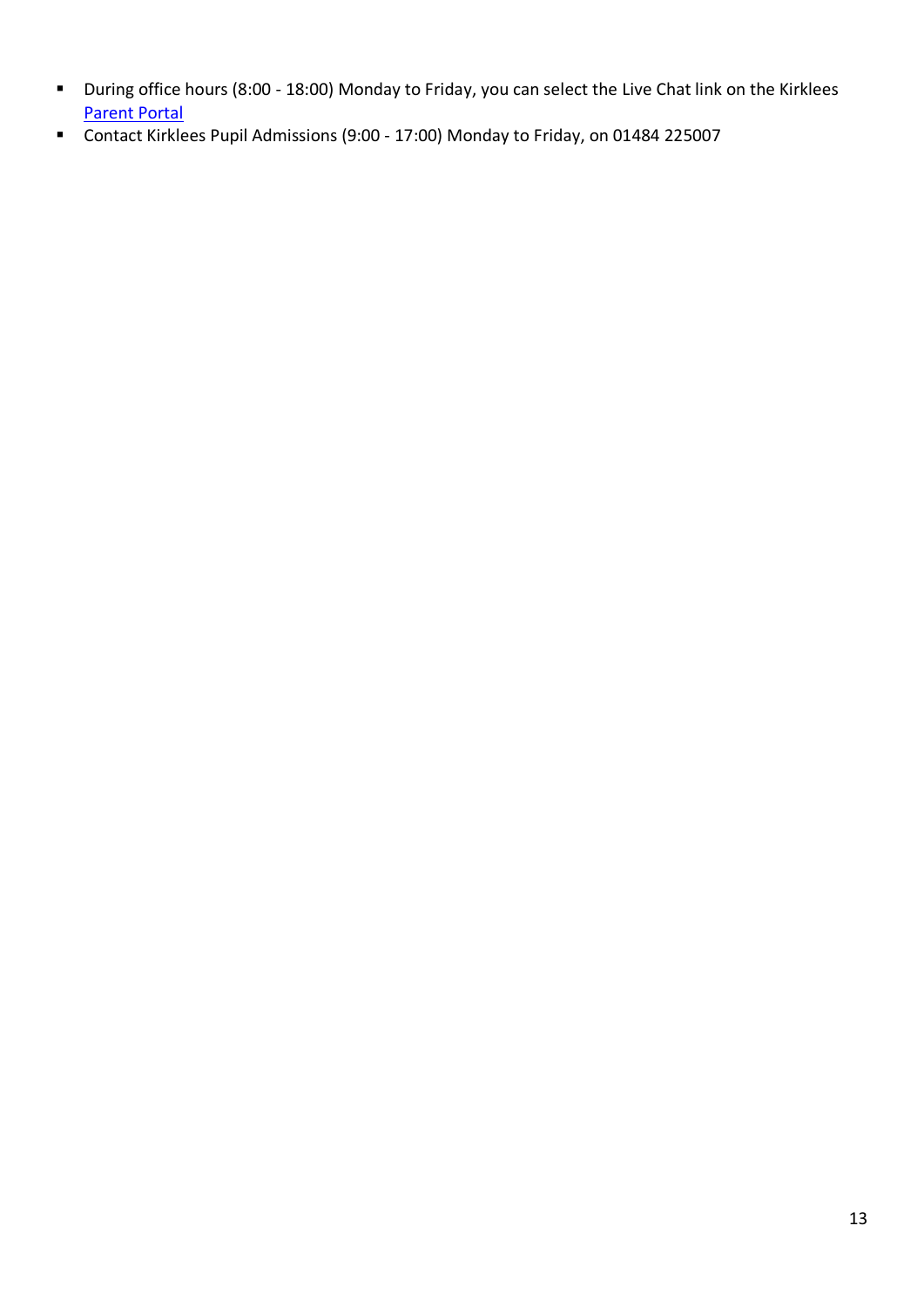- During office hours (8:00 18:00) Monday to Friday, you can select the Live Chat link on the Kirklees [Parent Portal](https://www.kirklees.gov.uk/beta/admissions/apply-primary-school-place.aspx)
- Contact Kirklees Pupil Admissions (9:00 17:00) Monday to Friday, on 01484 225007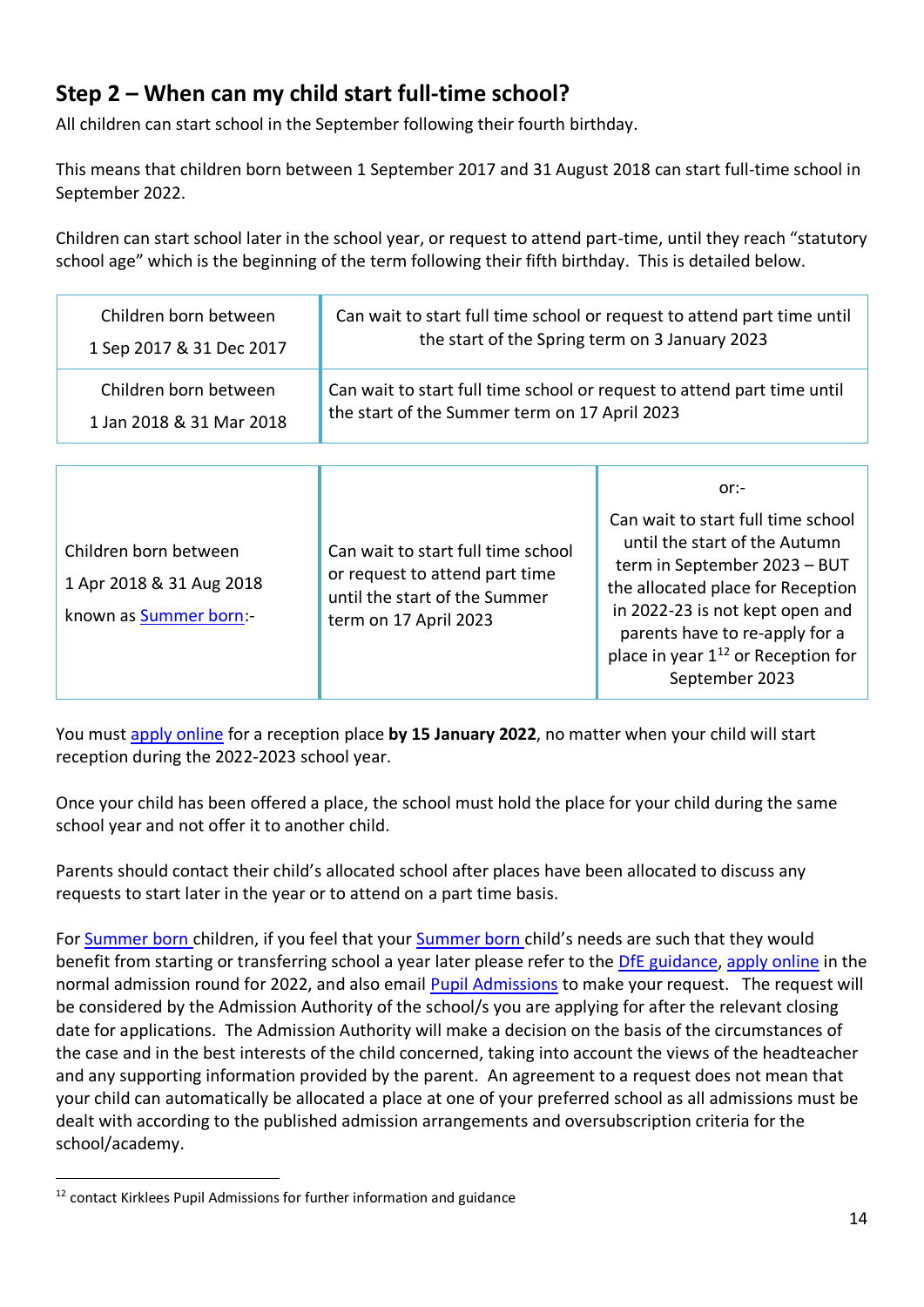# <span id="page-14-0"></span>**Step 2 – When can my child start full-time school?**

All children can start school in the September following their fourth birthday.

This means that children born between 1 September 2017 and 31 August 2018 can start full-time school in September 2022.

Children can start school later in the school year, or request to attend part-time, until they reach "statutory school age" which is the beginning of the term following their fifth birthday. This is detailed below.

| Children born between    | Can wait to start full time school or request to attend part time until |
|--------------------------|-------------------------------------------------------------------------|
| 1 Sep 2017 & 31 Dec 2017 | the start of the Spring term on 3 January 2023                          |
| Children born between    | Can wait to start full time school or request to attend part time until |
| 1 Jan 2018 & 31 Mar 2018 | the start of the Summer term on 17 April 2023                           |

|                                                                             |                                                                                                                                | or:                                                                                                                                                                                                                                                                               |
|-----------------------------------------------------------------------------|--------------------------------------------------------------------------------------------------------------------------------|-----------------------------------------------------------------------------------------------------------------------------------------------------------------------------------------------------------------------------------------------------------------------------------|
| Children born between<br>1 Apr 2018 & 31 Aug 2018<br>known as Summer born:- | Can wait to start full time school<br>or request to attend part time<br>until the start of the Summer<br>term on 17 April 2023 | Can wait to start full time school<br>until the start of the Autumn<br>term in September 2023 - BUT<br>the allocated place for Reception<br>in 2022-23 is not kept open and<br>parents have to re-apply for a<br>place in year 1 <sup>12</sup> or Reception for<br>September 2023 |

You must [apply online](https://www.kirklees.gov.uk/beta/admissions/apply-primary-school-place.aspx) for a reception place **by 15 January 2022**, no matter when your child will start reception during the 2022-2023 school year.

Once your child has been offered a place, the school must hold the place for your child during the same school year and not offer it to another child.

Parents should contact their child's allocated school after places have been allocated to discuss any requests to start later in the year or to attend on a part time basis.

For [Summer born](https://www.gov.uk/government/publications/summer-born-children-school-admission) children, if you feel that your [Summer born](https://www.gov.uk/government/publications/summer-born-children-school-admission) child's needs are such that they would benefit from starting or transferring school a year later please refer to the DfE [guidance,](https://www.gov.uk/government/publications/summer-born-children-school-admission) [apply online](https://www.kirklees.gov.uk/beta/admissions/apply-primary-school-place.aspx) in the normal admission round for 2022, and also email [Pupil Admissions](mailto:pupiladmissions@kirklees.gov.uk) to make your request. The request will be considered by the Admission Authority of the school/s you are applying for after the relevant closing date for applications. The Admission Authority will make a decision on the basis of the circumstances of the case and in the best interests of the child concerned, taking into account the views of the headteacher and any supporting information provided by the parent. An agreement to a request does not mean that your child can automatically be allocated a place at one of your preferred school as all admissions must be dealt with according to the published admission arrangements and oversubscription criteria for the school/academy.

<sup>&</sup>lt;sup>12</sup> contact Kirklees Pupil Admissions for further information and guidance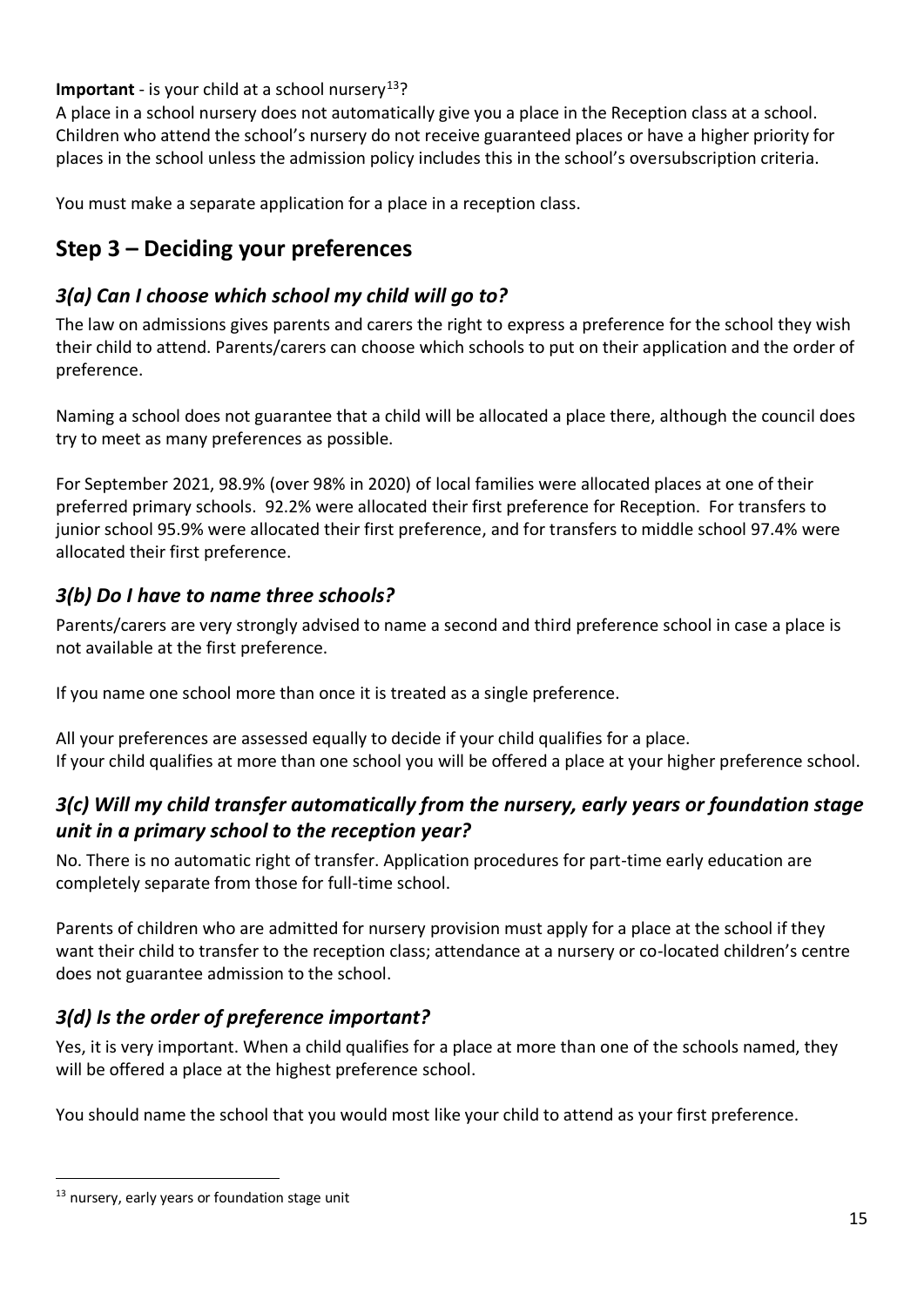#### **Important** - is your child at a school nursery<sup>13</sup>?

A place in a school nursery does not automatically give you a place in the Reception class at a school. Children who attend the school's nursery do not receive guaranteed places or have a higher priority for places in the school unless the admission policy includes this in the school's oversubscription criteria.

You must make a separate application for a place in a reception class.

# <span id="page-15-0"></span>**Step 3 – Deciding your preferences**

### <span id="page-15-1"></span>*3(a) Can I choose which school my child will go to?*

The law on admissions gives parents and carers the right to express a preference for the school they wish their child to attend. Parents/carers can choose which schools to put on their application and the order of preference.

Naming a school does not guarantee that a child will be allocated a place there, although the council does try to meet as many preferences as possible.

For September 2021, 98.9% (over 98% in 2020) of local families were allocated places at one of their preferred primary schools. 92.2% were allocated their first preference for Reception. For transfers to junior school 95.9% were allocated their first preference, and for transfers to middle school 97.4% were allocated their first preference.

### <span id="page-15-2"></span>*3(b) Do I have to name three schools?*

Parents/carers are very strongly advised to name a second and third preference school in case a place is not available at the first preference.

If you name one school more than once it is treated as a single preference.

All your preferences are assessed equally to decide if your child qualifies for a place. If your child qualifies at more than one school you will be offered a place at your higher preference school.

### <span id="page-15-3"></span>*3(c) Will my child transfer automatically from the nursery, early years or foundation stage unit in a primary school to the reception year?*

No. There is no automatic right of transfer. Application procedures for part-time early education are completely separate from those for full-time school.

Parents of children who are admitted for nursery provision must apply for a place at the school if they want their child to transfer to the reception class; attendance at a nursery or co-located children's centre does not guarantee admission to the school.

### <span id="page-15-4"></span>*3(d) Is the order of preference important?*

Yes, it is very important. When a child qualifies for a place at more than one of the schools named, they will be offered a place at the highest preference school.

You should name the school that you would most like your child to attend as your first preference.

 $13$  nursery, early years or foundation stage unit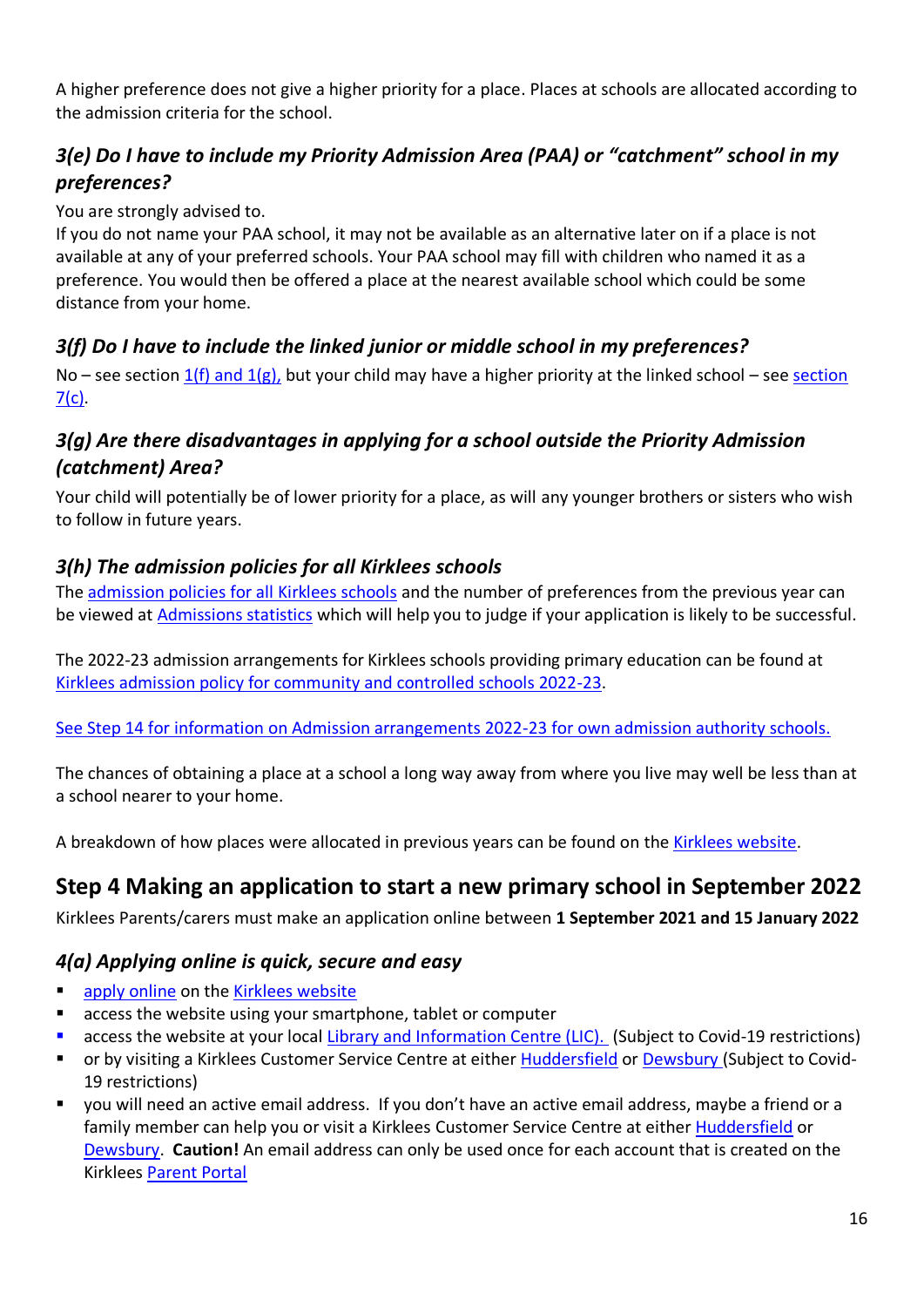A higher preference does not give a higher priority for a place. Places at schools are allocated according to the admission criteria for the school.

### <span id="page-16-0"></span>*3(e) Do I have to include my Priority Admission Area (PAA) or "catchment" school in my preferences?*

#### You are strongly advised to.

If you do not name your PAA school, it may not be available as an alternative later on if a place is not available at any of your preferred schools. Your PAA school may fill with children who named it as a preference. You would then be offered a place at the nearest available school which could be some distance from your home.

### <span id="page-16-1"></span>*3(f) Do I have to include the linked junior or middle school in my preferences?*

No – see [section](#page-25-0) 1(f) and  $1(g)$ , but your child may have a higher priority at the linked school – see section  $7(c)$ .

### <span id="page-16-2"></span>*3(g) Are there disadvantages in applying for a school outside the Priority Admission (catchment) Area?*

Your child will potentially be of lower priority for a place, as will any younger brothers or sisters who wish to follow in future years.

#### <span id="page-16-3"></span>*3(h) The admission policies for all Kirklees schools*

The admission policies [for all Kirklees schools](https://www.kirklees.gov.uk/beta/admissions/policies-and-publications.aspx) and the number of preferences from the previous year can be viewed at **Admissions statistics** which will help you to judge if your application is likely to be successful.

The 2022-23 admission arrangements for Kirklees schools providing primary education can be found at [Kirklees admission policy for community and controlled schools 2022-23.](https://www.kirklees.gov.uk/beta/admissions/policies-and-publications.aspx)

[See Step 14 for information on Admission arrangements 2022-23 for own admission authority schools.](#page-48-0)

The chances of obtaining a place at a school a long way away from where you live may well be less than at a school nearer to your home.

A breakdown of how places were allocated in previous years can be found on the [Kirklees website.](https://www.kirklees.gov.uk/beta/admissions/policies-and-publications.aspx)

# <span id="page-16-4"></span>**Step 4 Making an application to start a new primary school in September 2022**

Kirklees Parents/carers must make an application online between **1 September 2021 and 15 January 2022**

### <span id="page-16-5"></span>*4(a) Applying online is quick, secure and easy*

- [apply online](https://www.kirklees.gov.uk/beta/admissions/apply-primary-school-place.aspx) on the [Kirklees website](https://www.kirklees.gov.uk/beta/admissions/apply-primary-school-place.aspx)
- access the website using your smartphone, tablet or computer
- access the website at your local [Library and Information Centre \(LIC\).](https://www.kirklees.gov.uk/beta/leisure-and-culture.aspx#libraries) (Subject to Covid-19 restrictions)
- or by visiting a Kirklees Customer Service Centre at either [Huddersfield](https://communitydirectory.kirklees.gov.uk/communityDirectory/organisationdetails.aspx?orgid=1220) or [Dewsbury](https://communitydirectory.kirklees.gov.uk/communityDirectory/organisationdetails.aspx?orgid=671) (Subject to Covid-19 restrictions)
- you will need an active email address. If you don't have an active email address, maybe a friend or a family member can help you or visit a Kirklees Customer Service Centre at either [Huddersfield](https://communitydirectory.kirklees.gov.uk/communityDirectory/organisationdetails.aspx?orgid=1220) or [Dewsbury.](https://communitydirectory.kirklees.gov.uk/communityDirectory/organisationdetails.aspx?orgid=671) **Caution!** An email address can only be used once for each account that is created on the Kirklee[s Parent Portal](https://www.kirklees.gov.uk/beta/admissions/apply-primary-school-place.aspx)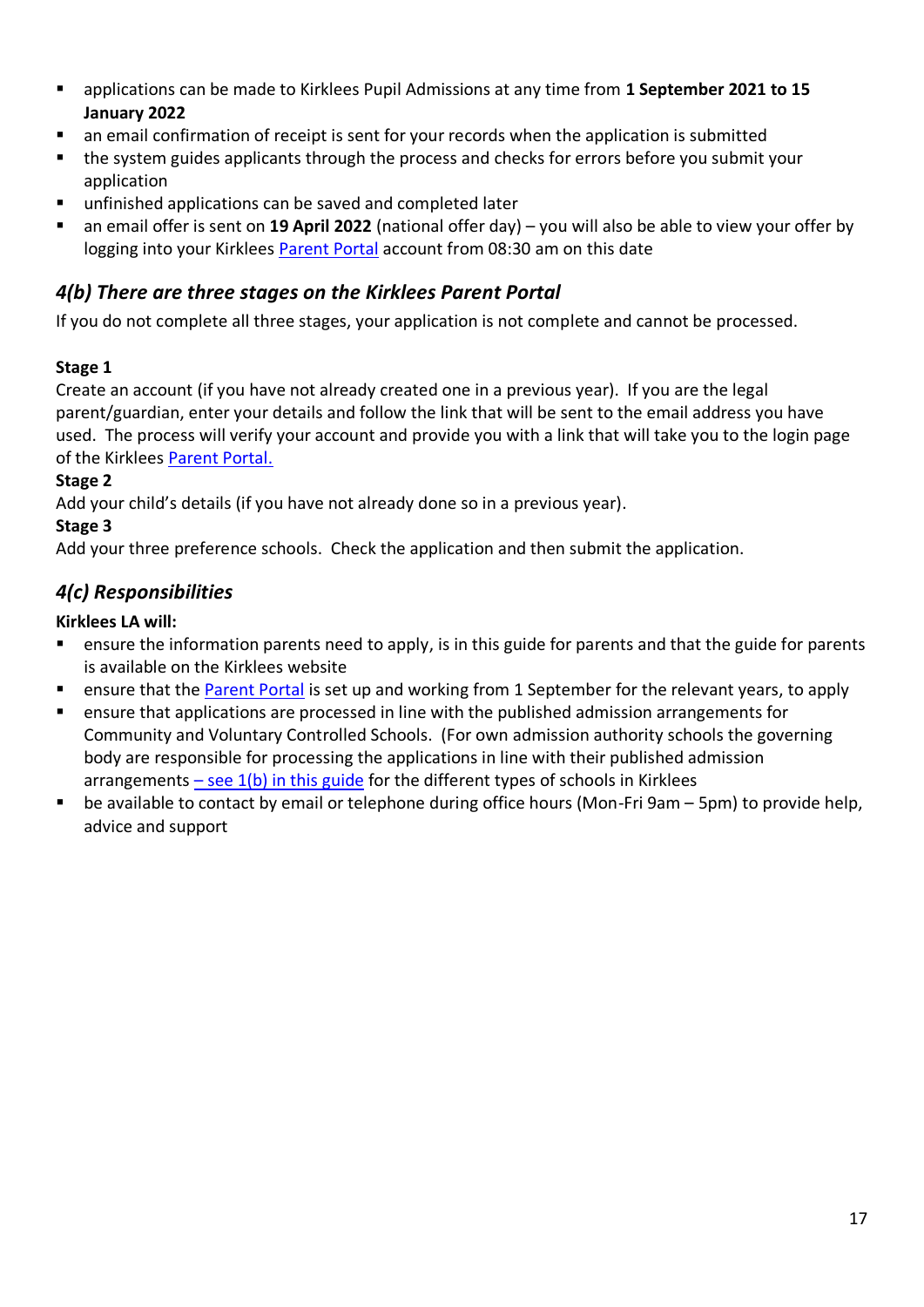- applications can be made to Kirklees Pupil Admissions at any time from 1 September 2021 to 15 **January 2022**
- an email confirmation of receipt is sent for your records when the application is submitted
- the system guides applicants through the process and checks for errors before you submit your application
- unfinished applications can be saved and completed later
- an email offer is sent on 19 April 2022 (national offer day) you will also be able to view your offer by logging into your Kirklees [Parent Portal](https://www.kirklees.gov.uk/beta/admissions/apply-primary-school-place.aspx) account from 08:30 am on this date

#### <span id="page-17-0"></span>*4(b) There are three stages on the Kirklees Parent Portal*

If you do not complete all three stages, your application is not complete and cannot be processed.

#### **Stage 1**

Create an account (if you have not already created one in a previous year). If you are the legal parent/guardian, enter your details and follow the link that will be sent to the email address you have used. The process will verify your account and provide you with a link that will take you to the login page of the Kirklees [Parent Portal.](https://www.kirklees.gov.uk/beta/admissions/apply-primary-school-place.aspx)

#### **Stage 2**

Add your child's details (if you have not already done so in a previous year).

#### **Stage 3**

Add your three preference schools. Check the application and then submit the application.

### <span id="page-17-1"></span>*4(c) Responsibilities*

#### **Kirklees LA will:**

- ensure the information parents need to apply, is in this guide for parents and that the guide for parents is available on the Kirklees website
- ensure that the [Parent Portal](https://www.kirklees.gov.uk/beta/admissions/apply-primary-school-place.aspx) is set up and working from 1 September for the relevant years, to apply
- ensure that applications are processed in line with the published admission arrangements for Community and Voluntary Controlled Schools. (For own admission authority schools the governing body are responsible for processing the applications in line with their published admission arrangements – see  $1(b)$  [in this guide](#page-7-2) for the different types of schools in Kirklees
- be available to contact by email or telephone during office hours (Mon-Fri 9am 5pm) to provide help, advice and support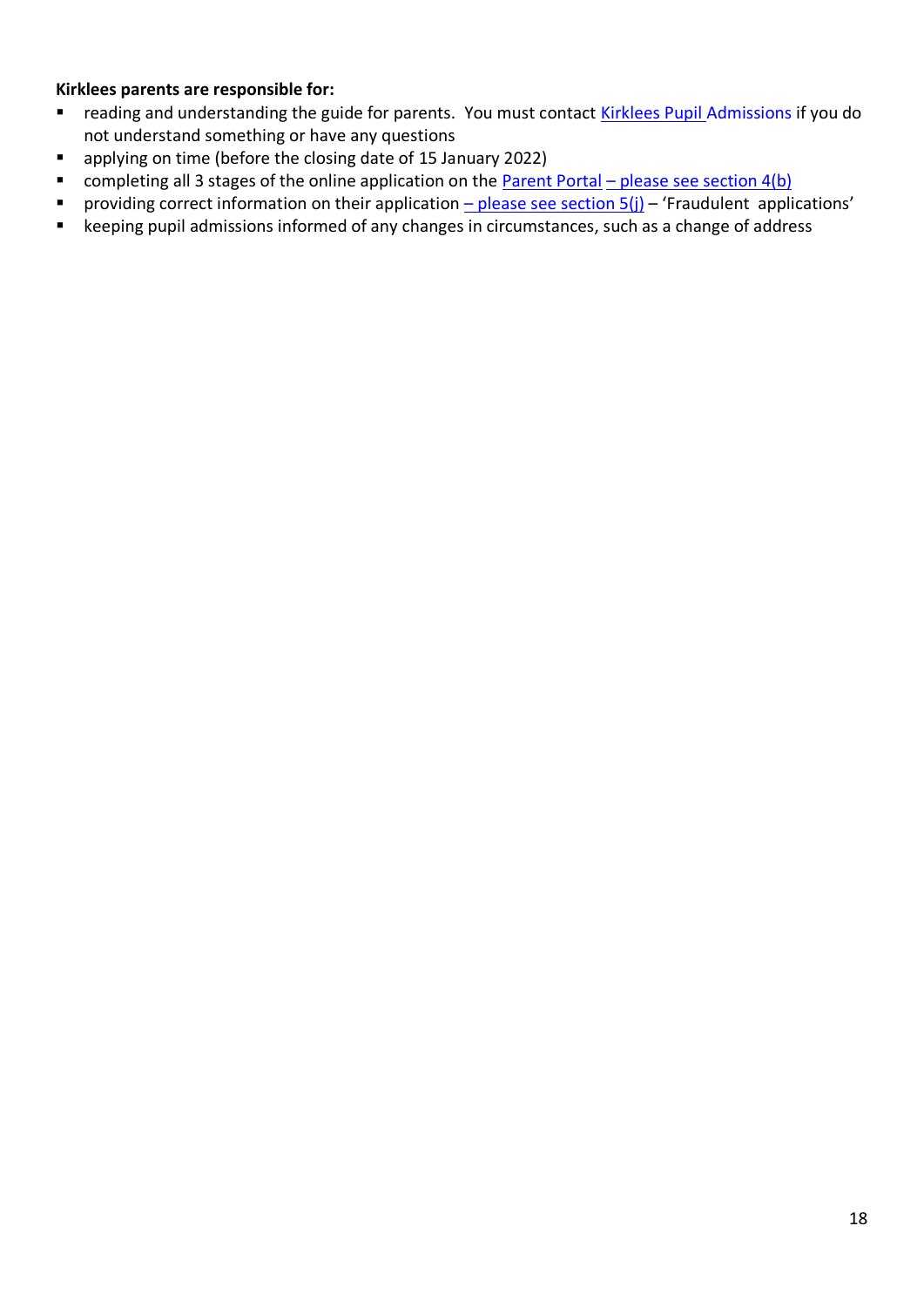#### **Kirklees parents are responsible for:**

- reading and understanding the guide for parents. You must contact [Kirklees Pupil Admissions](http://www.kirklees.gov.uk/admissions) if you do not understand something or have any questions
- applying on time (before the closing date of 15 January 2022)
- completing all 3 stages of the online application on the **Parent Portal** [please see section 4\(b\)](#page-17-0)
- **•** providing correct information on their application  $-\frac{\text{please see section 5(i)}}{\text{Beta}(i)}$  'Fraudulent applications'
- keeping pupil admissions informed of any changes in circumstances, such as a change of address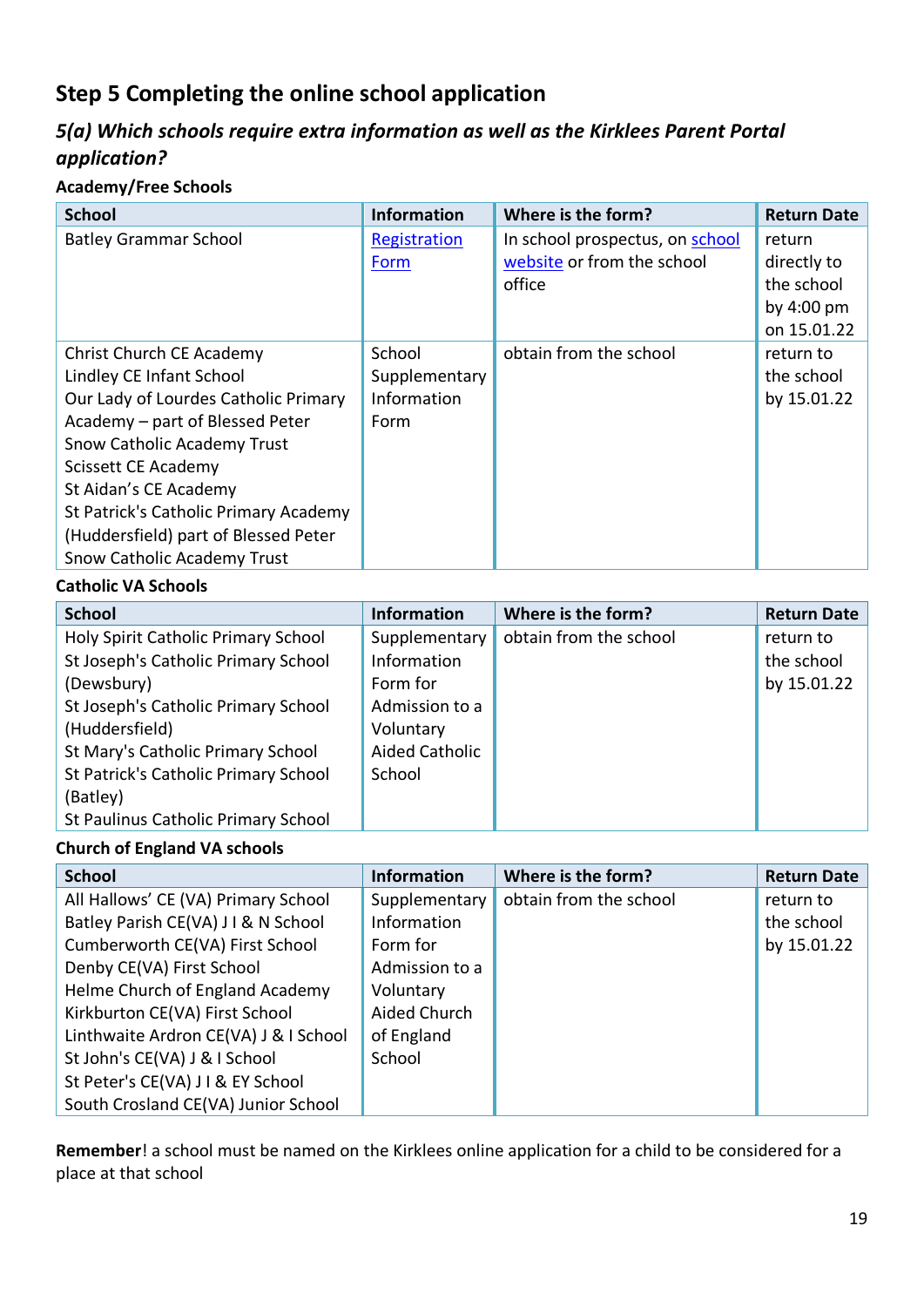# <span id="page-19-0"></span>**Step 5 Completing the online school application**

## <span id="page-19-1"></span>*5(a) Which schools require extra information as well as the Kirklees Parent Portal application?*

#### **Academy/Free Schools**

| <b>School</b>                         | <b>Information</b> | Where is the form?              | <b>Return Date</b> |
|---------------------------------------|--------------------|---------------------------------|--------------------|
| <b>Batley Grammar School</b>          | Registration       | In school prospectus, on school | return             |
|                                       | Form               | website or from the school      | directly to        |
|                                       |                    | office                          | the school         |
|                                       |                    |                                 | by 4:00 pm         |
|                                       |                    |                                 | on 15.01.22        |
| Christ Church CE Academy              | School             | obtain from the school          | return to          |
| Lindley CE Infant School              | Supplementary      |                                 | the school         |
| Our Lady of Lourdes Catholic Primary  | Information        |                                 | by 15.01.22        |
| Academy - part of Blessed Peter       | Form               |                                 |                    |
| <b>Snow Catholic Academy Trust</b>    |                    |                                 |                    |
| Scissett CE Academy                   |                    |                                 |                    |
| St Aidan's CE Academy                 |                    |                                 |                    |
| St Patrick's Catholic Primary Academy |                    |                                 |                    |
| (Huddersfield) part of Blessed Peter  |                    |                                 |                    |
| <b>Snow Catholic Academy Trust</b>    |                    |                                 |                    |

#### **Catholic VA Schools**

| <b>School</b>                        | <b>Information</b>    | Where is the form?     | <b>Return Date</b> |
|--------------------------------------|-----------------------|------------------------|--------------------|
| Holy Spirit Catholic Primary School  | Supplementary         | obtain from the school | return to          |
| St Joseph's Catholic Primary School  | Information           |                        | the school         |
| (Dewsbury)                           | Form for              |                        | by 15.01.22        |
| St Joseph's Catholic Primary School  | Admission to a        |                        |                    |
| (Huddersfield)                       | Voluntary             |                        |                    |
| St Mary's Catholic Primary School    | <b>Aided Catholic</b> |                        |                    |
| St Patrick's Catholic Primary School | School                |                        |                    |
| (Batley)                             |                       |                        |                    |
| St Paulinus Catholic Primary School  |                       |                        |                    |

#### **Church of England VA schools**

| <b>School</b>                         | <b>Information</b> | Where is the form?     | <b>Return Date</b> |
|---------------------------------------|--------------------|------------------------|--------------------|
| All Hallows' CE (VA) Primary School   | Supplementary      | obtain from the school | return to          |
| Batley Parish CE(VA) J I & N School   | Information        |                        | the school         |
| Cumberworth CE(VA) First School       | Form for           |                        | by 15.01.22        |
| Denby CE(VA) First School             | Admission to a     |                        |                    |
| Helme Church of England Academy       | Voluntary          |                        |                    |
| Kirkburton CE(VA) First School        | Aided Church       |                        |                    |
| Linthwaite Ardron CE(VA) J & I School | of England         |                        |                    |
| St John's CE(VA) J & I School         | School             |                        |                    |
| St Peter's CE(VA) J I & EY School     |                    |                        |                    |
| South Crosland CE(VA) Junior School   |                    |                        |                    |

**Remember**! a school must be named on the Kirklees online application for a child to be considered for a place at that school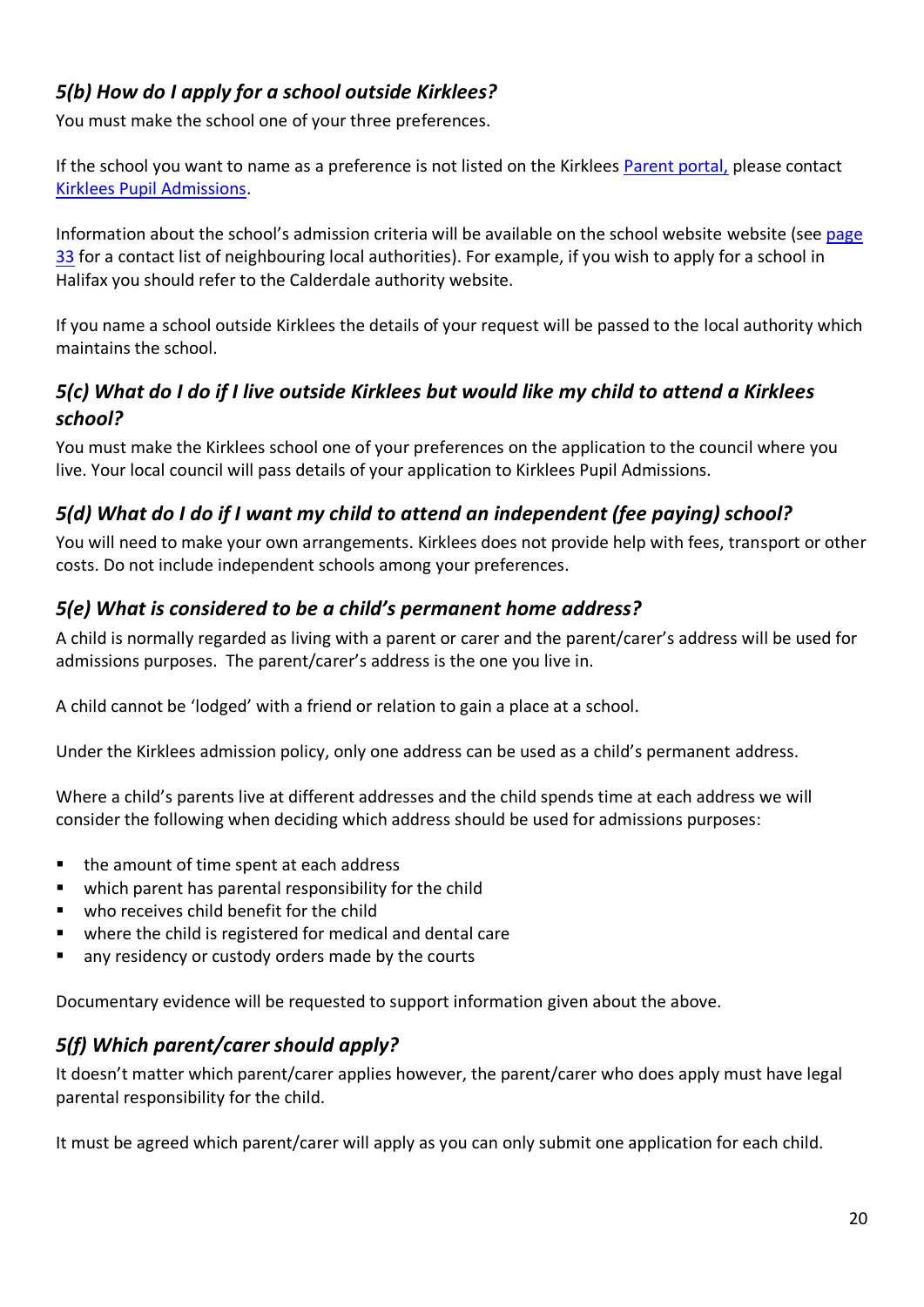### <span id="page-20-0"></span>*5(b) How do I apply for a school outside Kirklees?*

You must make the school one of your three preferences.

If the school you want to name as a preference is not listed on the Kirklees [Parent portal,](https://www.kirklees.gov.uk/beta/admissions/apply-primary-school-place.aspx) please contact [Kirklees Pupil Admissions.](https://www.kirklees.gov.uk/beta/schools-and-education.aspx#admissions)

Information about the school's admission criteria will be available on the school website website (see [page](#page-34-4)  [33](#page-34-4) for a contact list of neighbouring local authorities). For example, if you wish to apply for a school in Halifax you should refer to the Calderdale authority website.

If you name a school outside Kirklees the details of your request will be passed to the local authority which maintains the school.

#### <span id="page-20-1"></span>*5(c) What do I do if I live outside Kirklees but would like my child to attend a Kirklees school?*

You must make the Kirklees school one of your preferences on the application to the council where you live. Your local council will pass details of your application to Kirklees Pupil Admissions.

#### <span id="page-20-2"></span>*5(d) What do I do if I want my child to attend an independent (fee paying) school?*

You will need to make your own arrangements. Kirklees does not provide help with fees, transport or other costs. Do not include independent schools among your preferences.

### <span id="page-20-3"></span>*5(e) What is considered to be a child's permanent home address?*

A child is normally regarded as living with a parent or carer and the parent/carer's address will be used for admissions purposes. The parent/carer's address is the one you live in.

A child cannot be 'lodged' with a friend or relation to gain a place at a school.

Under the Kirklees admission policy, only one address can be used as a child's permanent address.

Where a child's parents live at different addresses and the child spends time at each address we will consider the following when deciding which address should be used for admissions purposes:

- the amount of time spent at each address
- which parent has parental responsibility for the child
- who receives child benefit for the child
- where the child is registered for medical and dental care
- any residency or custody orders made by the courts

Documentary evidence will be requested to support information given about the above.

#### <span id="page-20-4"></span>*5(f) Which parent/carer should apply?*

It doesn't matter which parent/carer applies however, the parent/carer who does apply must have legal parental responsibility for the child.

It must be agreed which parent/carer will apply as you can only submit one application for each child.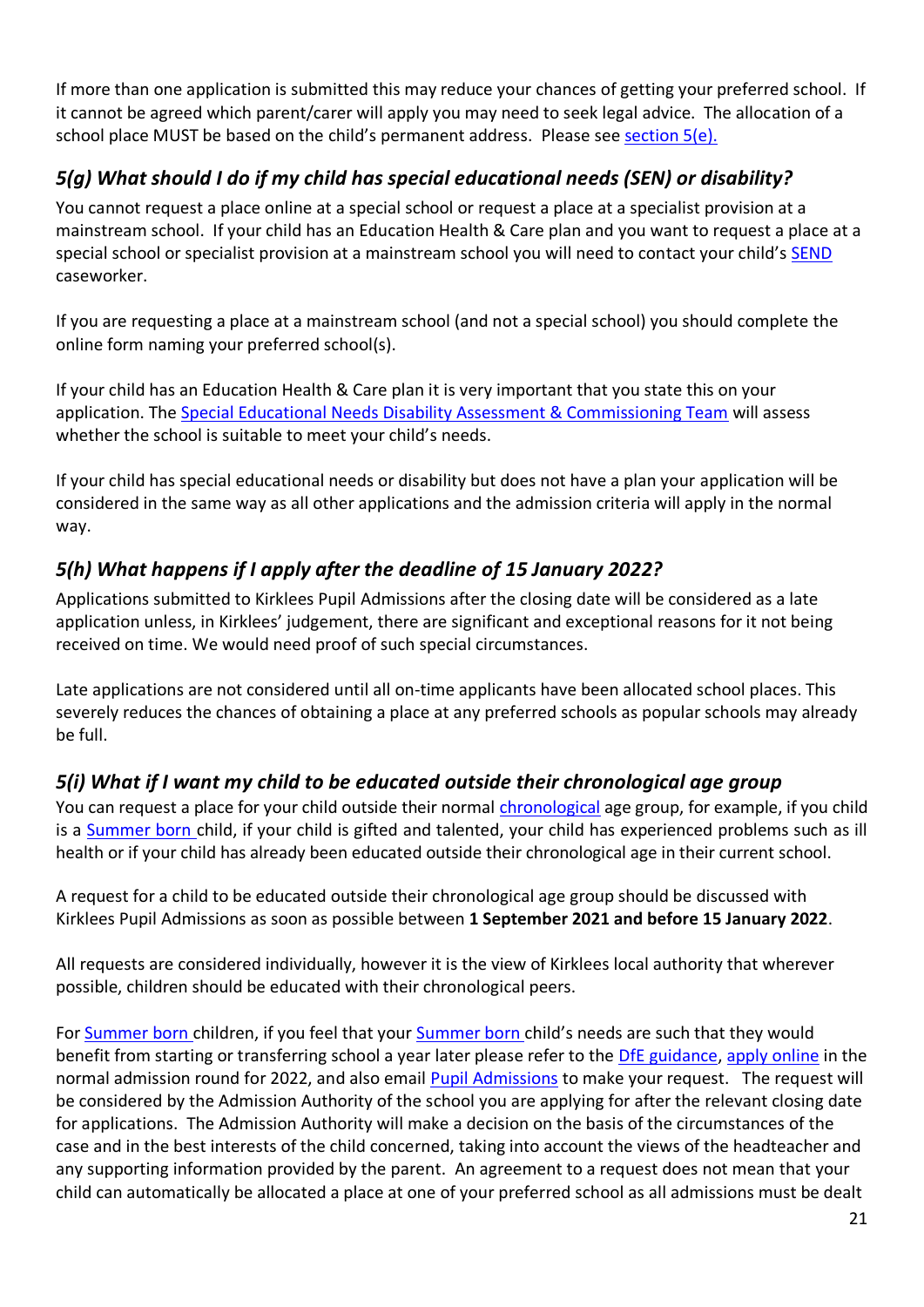If more than one application is submitted this may reduce your chances of getting your preferred school. If it cannot be agreed which parent/carer will apply you may need to seek legal advice. The allocation of a school place MUST be based on the child's permanent address. Please see [section 5\(e\).](#page-20-3) 

## <span id="page-21-0"></span>*5(g) What should I do if my child has special educational needs (SEN) or disability?*

You cannot request a place online at a special school or request a place at a specialist provision at a mainstream school. If your child has an Education Health & Care plan and you want to request a place at a special school or specialist provision at a mainstream school you will need to contact your child's [SEND](https://www.kirklees.gov.uk/beta/special-education/special-educational-needs-support-in-school.aspx) caseworker.

If you are requesting a place at a mainstream school (and not a special school) you should complete the online form naming your preferred school(s).

If your child has an Education Health & Care plan it is very important that you state this on your application. The [Special Educational Needs Disability Assessment & Commissioning Team](https://www.kirklees.gov.uk/beta/special-education/special-educational-needs-support-in-school.aspx) will assess whether the school is suitable to meet your child's needs.

If your child has special educational needs or disability but does not have a plan your application will be considered in the same way as all other applications and the admission criteria will apply in the normal way.

### <span id="page-21-1"></span>*5(h) What happens if I apply after the deadline of 15 January 2022?*

Applications submitted to Kirklees Pupil Admissions after the closing date will be considered as a late application unless, in Kirklees' judgement, there are significant and exceptional reasons for it not being received on time. We would need proof of such special circumstances.

Late applications are not considered until all on-time applicants have been allocated school places. This severely reduces the chances of obtaining a place at any preferred schools as popular schools may already be full.

### <span id="page-21-2"></span>*5(i) What if I want my child to be educated outside their chronological age group*

<span id="page-21-3"></span>You can request a place for your child outside their normal chronological age group, for example, if you child is a [Summer born](https://www.gov.uk/government/publications/summer-born-children-school-admission) child, if your child is gifted and talented, your child has experienced problems such as ill health or if your child has already been educated outside their chronological age in their current school.

A request for a child to be educated outside their chronological age group should be discussed with Kirklees Pupil Admissions as soon as possible between **1 September 2021 and before 15 January 2022**.

All requests are considered individually, however it is the view of Kirklees local authority that wherever possible, children should be educated with their chronological peers.

For [Summer born](https://www.gov.uk/government/publications/summer-born-children-school-admission) children, if you feel that your [Summer born](https://www.gov.uk/government/publications/summer-born-children-school-admission) child's needs are such that they would benefit from starting or transferring school a year later please refer to the [DfE guidance,](https://www.gov.uk/government/publications/summer-born-children-school-admission) [apply online](https://www.kirklees.gov.uk/beta/admissions/apply-primary-school-place.aspx) in the normal admission round for 2022, and also email [Pupil Admissions](mailto:pupiladmissions@kirklees.gov.uk) to make your request. The request will be considered by the Admission Authority of the school you are applying for after the relevant closing date for applications. The Admission Authority will make a decision on the basis of the circumstances of the case and in the best interests of the child concerned, taking into account the views of the headteacher and any supporting information provided by the parent. An agreement to a request does not mean that your child can automatically be allocated a place at one of your preferred school as all admissions must be dealt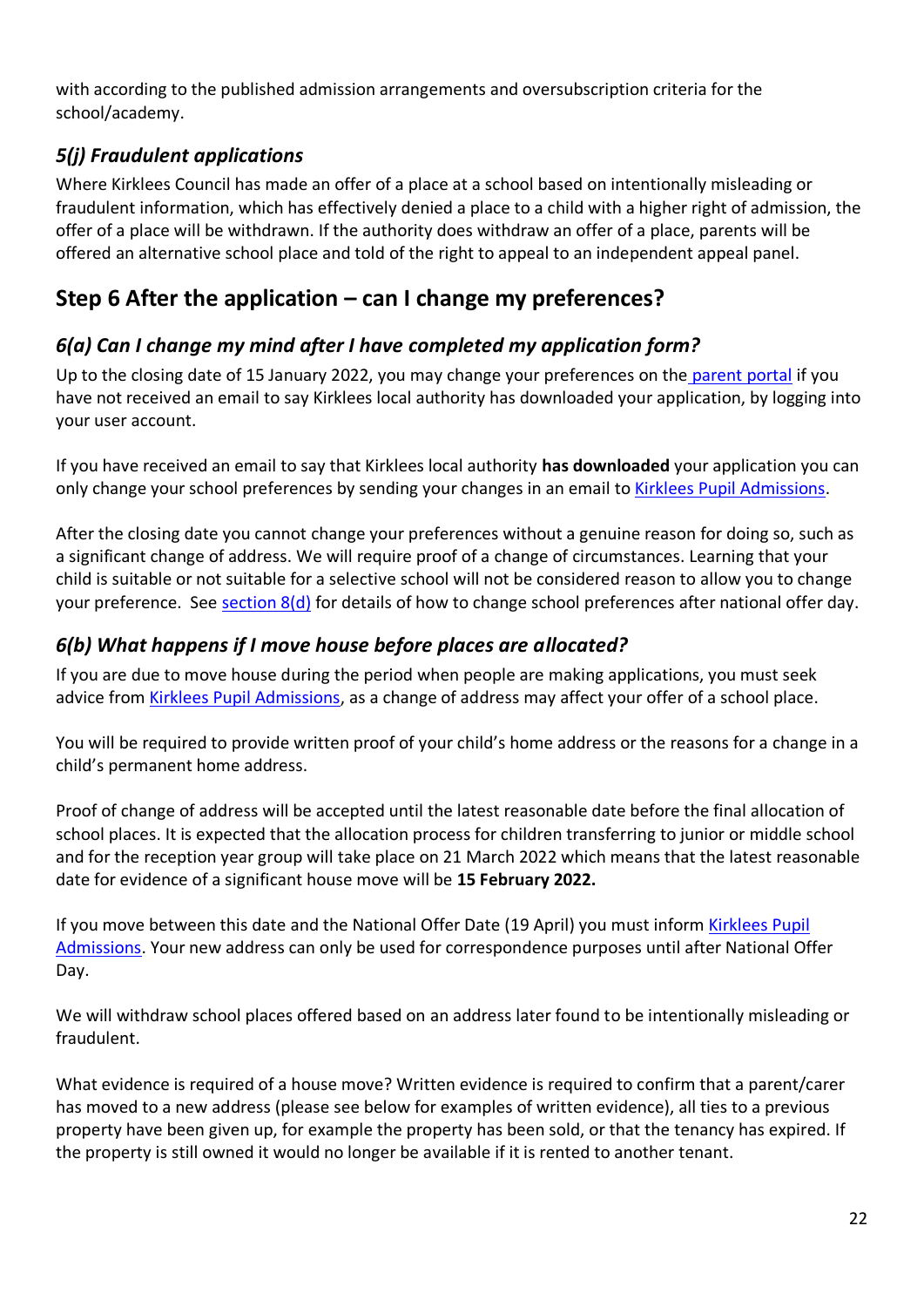with according to the published admission arrangements and oversubscription criteria for the school/academy.

### <span id="page-22-0"></span>*5(j) Fraudulent applications*

Where Kirklees Council has made an offer of a place at a school based on intentionally misleading or fraudulent information, which has effectively denied a place to a child with a higher right of admission, the offer of a place will be withdrawn. If the authority does withdraw an offer of a place, parents will be offered an alternative school place and told of the right to appeal to an independent appeal panel.

# <span id="page-22-1"></span>**Step 6 After the application – can I change my preferences?**

### <span id="page-22-2"></span>*6(a) Can I change my mind after I have completed my application form?*

Up to the closing date of 15 January 2022, you may change your preferences on the [parent portal](https://www.kirklees.gov.uk/beta/admissions/apply-primary-school-place.aspx) if you have not received an email to say Kirklees local authority has downloaded your application, by logging into your user account.

If you have received an email to say that Kirklees local authority **has downloaded** your application you can only change your school preferences by sending your changes in an email to [Kirklees Pupil Admissions.](mailto:pupiladmissions@kirklees.gov.uk)

After the closing date you cannot change your preferences without a genuine reason for doing so, such as a significant change of address. We will require proof of a change of circumstances. Learning that your child is suitable or not suitable for a selective school will not be considered reason to allow you to change your preference. See [section 8\(d\)](#page-27-1) for details of how to change school preferences after national offer day.

### <span id="page-22-3"></span>*6(b) What happens if I move house before places are allocated?*

If you are due to move house during the period when people are making applications, you must seek advice from [Kirklees Pupil Admissions,](https://www.kirklees.gov.uk/beta/schools-and-education.aspx#admissions) as a change of address may affect your offer of a school place.

You will be required to provide written proof of your child's home address or the reasons for a change in a child's permanent home address.

Proof of change of address will be accepted until the latest reasonable date before the final allocation of school places. It is expected that the allocation process for children transferring to junior or middle school and for the reception year group will take place on 21 March 2022 which means that the latest reasonable date for evidence of a significant house move will be **15 February 2022.**

If you move between this date and the National Offer Date (19 April) you must inform [Kirklees Pupil](https://www.kirklees.gov.uk/beta/schools-and-education.aspx#admissions)  [Admissions.](https://www.kirklees.gov.uk/beta/schools-and-education.aspx#admissions) Your new address can only be used for correspondence purposes until after National Offer Day.

We will withdraw school places offered based on an address later found to be intentionally misleading or fraudulent.

What evidence is required of a house move? Written evidence is required to confirm that a parent/carer has moved to a new address (please see below for examples of written evidence), all ties to a previous property have been given up, for example the property has been sold, or that the tenancy has expired. If the property is still owned it would no longer be available if it is rented to another tenant.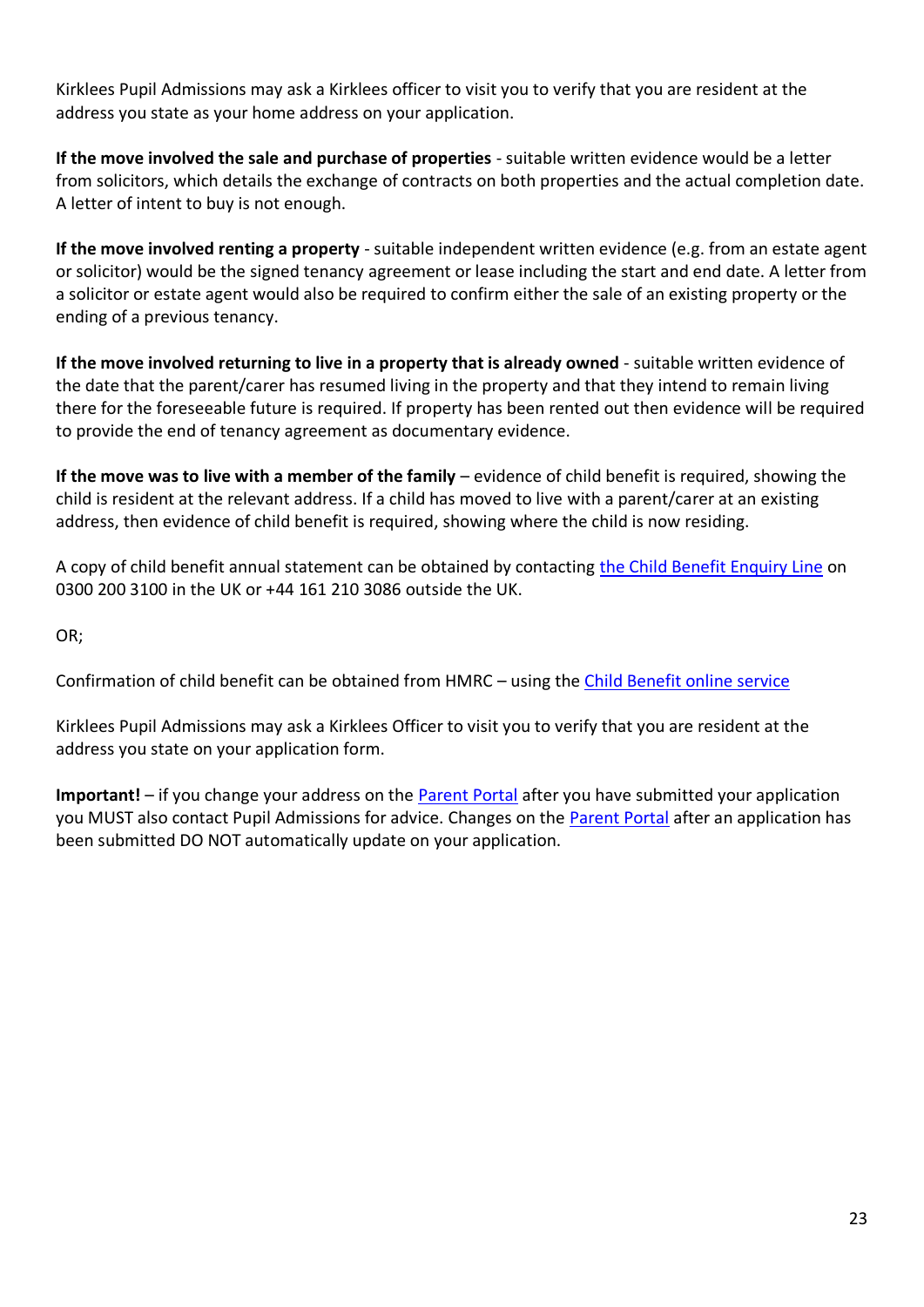Kirklees Pupil Admissions may ask a Kirklees officer to visit you to verify that you are resident at the address you state as your home address on your application.

**If the move involved the sale and purchase of properties** - suitable written evidence would be a letter from solicitors, which details the exchange of contracts on both properties and the actual completion date. A letter of intent to buy is not enough.

**If the move involved renting a property** - suitable independent written evidence (e.g. from an estate agent or solicitor) would be the signed tenancy agreement or lease including the start and end date. A letter from a solicitor or estate agent would also be required to confirm either the sale of an existing property or the ending of a previous tenancy.

**If the move involved returning to live in a property that is already owned** - suitable written evidence of the date that the parent/carer has resumed living in the property and that they intend to remain living there for the foreseeable future is required. If property has been rented out then evidence will be required to provide the end of tenancy agreement as documentary evidence.

**If the move was to live with a member of the family** – evidence of child benefit is required, showing the child is resident at the relevant address. If a child has moved to live with a parent/carer at an existing address, then evidence of child benefit is required, showing where the child is now residing.

A copy of child benefit annual statement can be obtained by contacting [the Child Benefit Enquiry Line](https://www.gov.uk/government/organisations/hm-revenue-customs/contact/child-benefit) on 0300 200 3100 in the UK or +44 161 210 3086 outside the UK.

OR;

Confirmation of child benefit can be obtained from HMRC – using the [Child Benefit online service](https://www.gov.uk/log-in-register-hmrc-online-services)

Kirklees Pupil Admissions may ask a Kirklees Officer to visit you to verify that you are resident at the address you state on your application form.

**Important!** – if you change your address on the [Parent Portal](https://www.kirklees.gov.uk/beta/admissions/apply-primary-school-place.aspx) after you have submitted your application you MUST also contact Pupil Admissions for advice. Changes on the [Parent Portal](https://www.kirklees.gov.uk/beta/admissions/apply-primary-school-place.aspx) after an application has been submitted DO NOT automatically update on your application.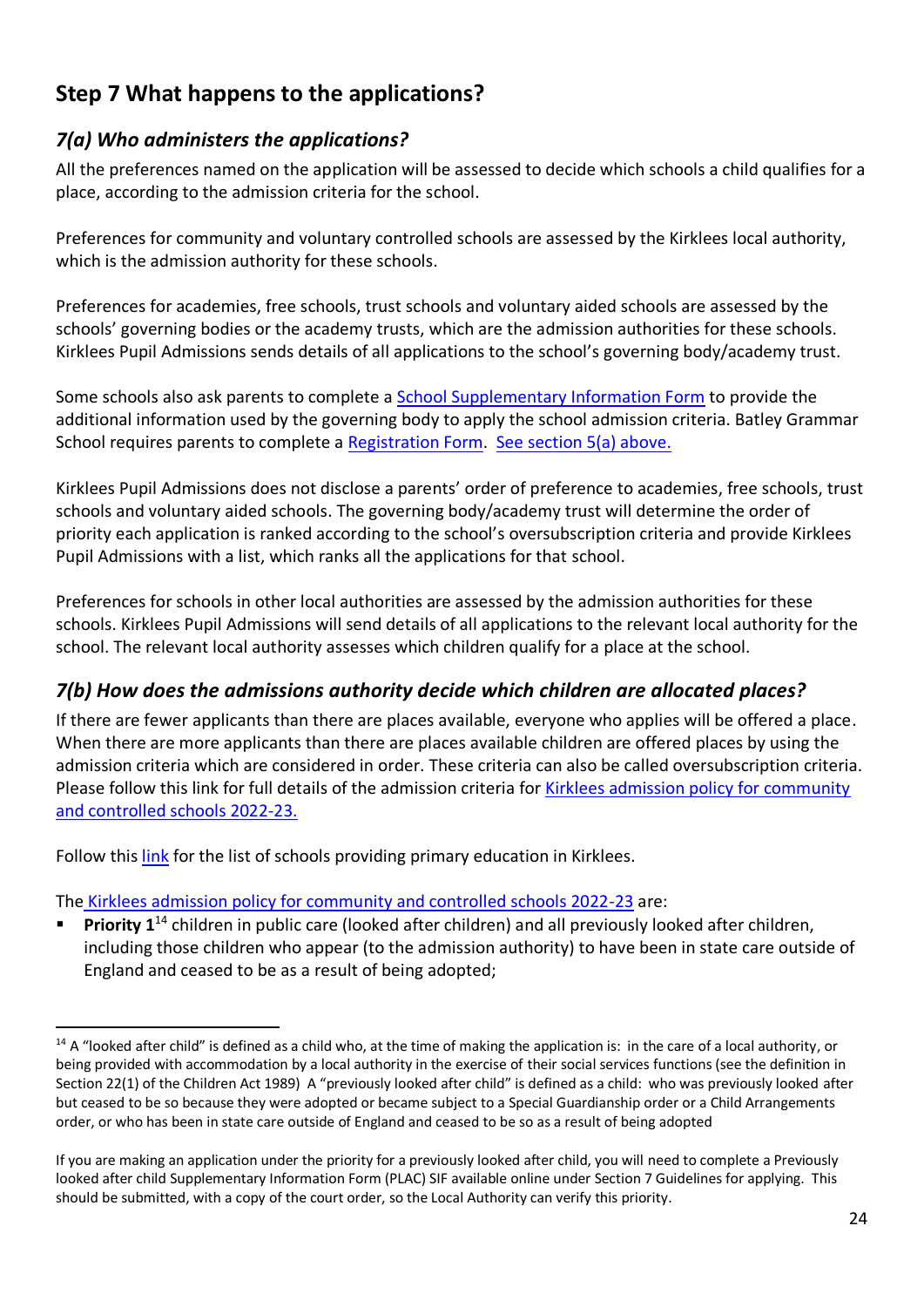# <span id="page-24-0"></span>**Step 7 What happens to the applications?**

### <span id="page-24-1"></span>*7(a) Who administers the applications?*

All the preferences named on the application will be assessed to decide which schools a child qualifies for a place, according to the admission criteria for the school.

Preferences for community and voluntary controlled schools are assessed by the Kirklees local authority, which is the admission authority for these schools.

Preferences for academies, free schools, trust schools and voluntary aided schools are assessed by the schools' governing bodies or the academy trusts, which are the admission authorities for these schools. Kirklees Pupil Admissions sends details of all applications to the school's governing body/academy trust.

Some schools also ask parents to complete a [School Supplementary Information Form](https://www.kirklees.gov.uk/beta/admissions/apply-primary-school-place.aspx) to provide the additional information used by the governing body to apply the school admission criteria. Batley Grammar School requires parents to complete a [Registration Form.](http://www.batleygrammar.co.uk/Admissions-2020/) [See section 5\(a\)](#page-19-1) above.

Kirklees Pupil Admissions does not disclose a parents' order of preference to academies, free schools, trust schools and voluntary aided schools. The governing body/academy trust will determine the order of priority each application is ranked according to the school's oversubscription criteria and provide Kirklees Pupil Admissions with a list, which ranks all the applications for that school.

Preferences for schools in other local authorities are assessed by the admission authorities for these schools. Kirklees Pupil Admissions will send details of all applications to the relevant local authority for the school. The relevant local authority assesses which children qualify for a place at the school.

### <span id="page-24-2"></span>*7(b) How does the admissions authority decide which children are allocated places?*

If there are fewer applicants than there are places available, everyone who applies will be offered a place. When there are more applicants than there are places available children are offered places by using the admission criteria which are considered in order. These criteria can also be called oversubscription criteria. Please follow this link for full details of the admission criteria for [Kirklees admission policy for community](https://www.kirklees.gov.uk/beta/admissions/policies-and-publications.aspx)  [and controlled schools 2022-23.](https://www.kirklees.gov.uk/beta/admissions/policies-and-publications.aspx)

Follow this [link](#page-7-1) for the list of schools providing primary education in Kirklees.

The [Kirklees admission policy for community and controlled schools 2022-23](#page-48-0) are:

Priority 1<sup>14</sup> children in public care (looked after children) and all previously looked after children, including those children who appear (to the admission authority) to have been in state care outside of England and ceased to be as a result of being adopted;

 $14$  A "looked after child" is defined as a child who, at the time of making the application is: in the care of a local authority, or being provided with accommodation by a local authority in the exercise of their social services functions (see the definition in Section 22(1) of the Children Act 1989) A "previously looked after child" is defined as a child: who was previously looked after but ceased to be so because they were adopted or became subject to a Special Guardianship order or a Child Arrangements order, or who has been in state care outside of England and ceased to be so as a result of being adopted

If you are making an application under the priority for a previously looked after child, you will need to complete a Previously looked after child Supplementary Information Form (PLAC) SIF available online under Section 7 Guidelines for applying. This should be submitted, with a copy of the court order, so the Local Authority can verify this priority.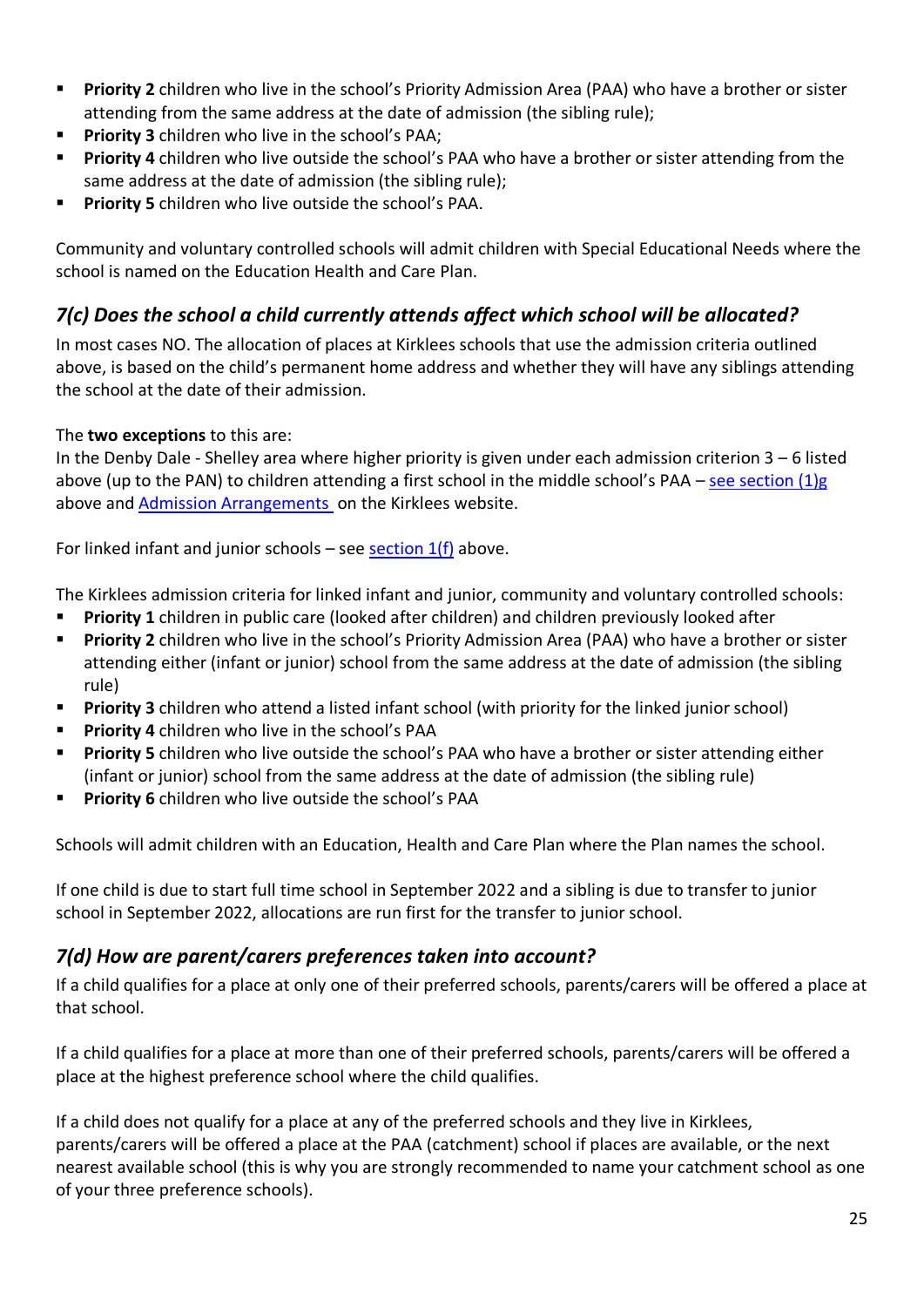- **Priority 2** children who live in the school's Priority Admission Area (PAA) who have a brother or sister attending from the same address at the date of admission (the sibling rule);
- **Priority 3** children who live in the school's PAA;
- Priority 4 children who live outside the school's PAA who have a brother or sister attending from the same address at the date of admission (the sibling rule);
- **Priority 5** children who live outside the school's PAA.

Community and voluntary controlled schools will admit children with Special Educational Needs where the school is named on the Education Health and Care Plan.

### <span id="page-25-0"></span>*7(c) Does the school a child currently attends affect which school will be allocated?*

In most cases NO. The allocation of places at Kirklees schools that use the admission criteria outlined above, is based on the child's permanent home address and whether they will have any siblings attending the school at the date of their admission.

#### The **two exceptions** to this are:

In the Denby Dale - Shelley area where higher priority is given under each admission criterion 3 – 6 listed above (up to the PAN) to children attending a first school in the middle school's PAA – [see section \(1\)g](#page-12-0) above and [Admission Arrangements](https://www.kirklees.gov.uk/beta/schools/search-for-a-school/default.aspx) on the Kirklees website.

For linked infant and junior schools – see section  $1(f)$  above.

The Kirklees admission criteria for linked infant and junior, community and voluntary controlled schools:

- **Priority 1** children in public care (looked after children) and children previously looked after
- **Priority 2** children who live in the school's Priority Admission Area (PAA) who have a brother or sister attending either (infant or junior) school from the same address at the date of admission (the sibling rule)
- **Priority 3** children who attend a listed infant school (with priority for the linked junior school)
- **Priority 4** children who live in the school's PAA
- Priority 5 children who live outside the school's PAA who have a brother or sister attending either (infant or junior) school from the same address at the date of admission (the sibling rule)
- **Priority 6** children who live outside the school's PAA

Schools will admit children with an Education, Health and Care Plan where the Plan names the school.

If one child is due to start full time school in September 2022 and a sibling is due to transfer to junior school in September 2022, allocations are run first for the transfer to junior school.

### <span id="page-25-1"></span>*7(d) How are parent/carers preferences taken into account?*

If a child qualifies for a place at only one of their preferred schools, parents/carers will be offered a place at that school.

If a child qualifies for a place at more than one of their preferred schools, parents/carers will be offered a place at the highest preference school where the child qualifies.

If a child does not qualify for a place at any of the preferred schools and they live in Kirklees, parents/carers will be offered a place at the PAA (catchment) school if places are available, or the next nearest available school (this is why you are strongly recommended to name your catchment school as one of your three preference schools).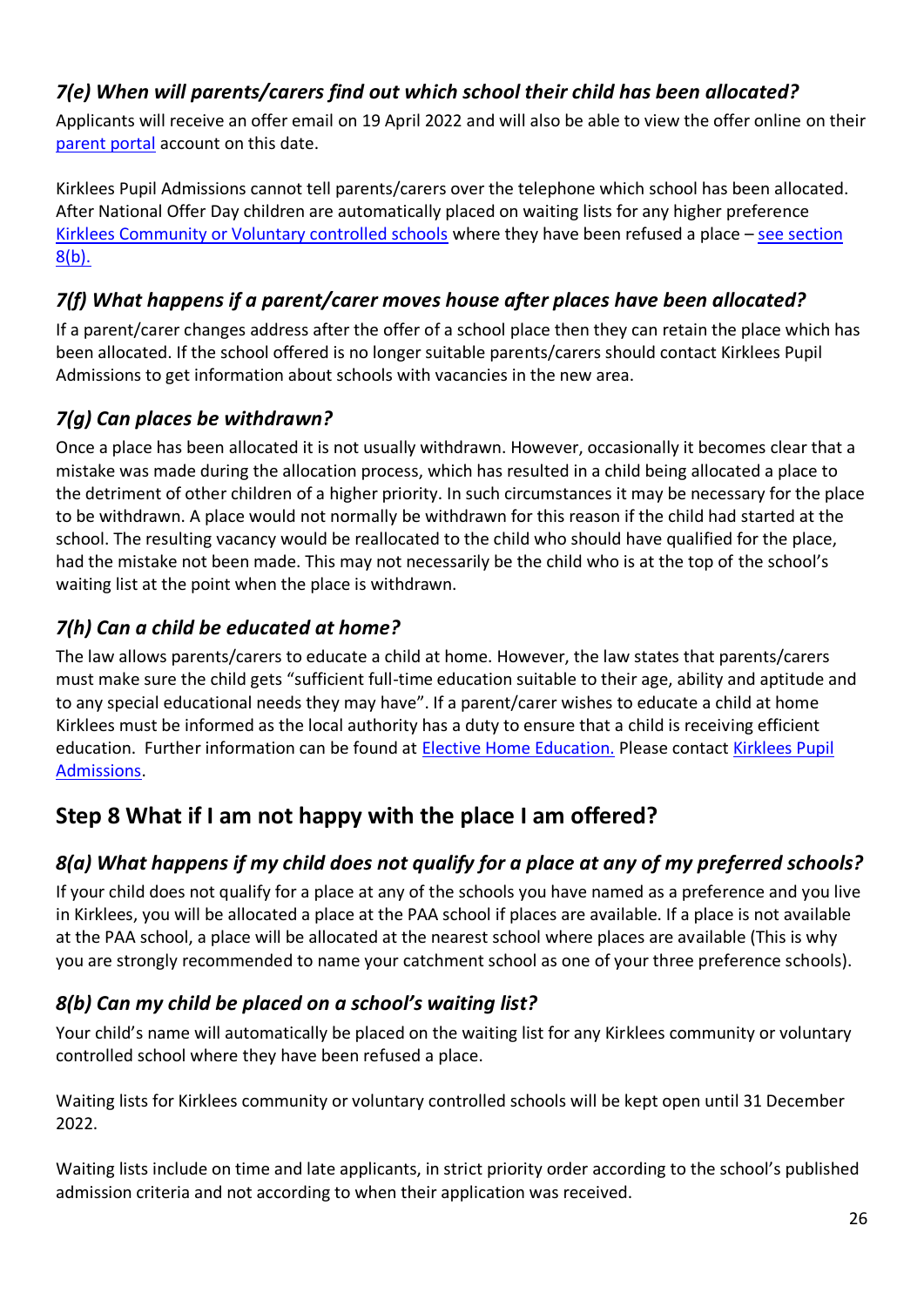### <span id="page-26-0"></span>*7(e) When will parents/carers find out which school their child has been allocated?*

Applicants will receive an offer email on 19 April 2022 and will also be able to view the offer online on their [parent portal](https://www.kirklees.gov.uk/beta/admissions/apply-primary-school-place.aspx) account on this date.

Kirklees Pupil Admissions cannot tell parents/carers over the telephone which school has been allocated. After National Offer Day children are automatically placed on waiting lists for any higher preference [Kirklees Community or Voluntary controlled schools](#page-7-1) where they have been refused a place – [see section](#page-26-6)  [8\(b\).](#page-26-6)

### <span id="page-26-1"></span>*7(f) What happens if a parent/carer moves house after places have been allocated?*

If a parent/carer changes address after the offer of a school place then they can retain the place which has been allocated. If the school offered is no longer suitable parents/carers should contact Kirklees Pupil Admissions to get information about schools with vacancies in the new area.

### <span id="page-26-2"></span>*7(g) Can places be withdrawn?*

Once a place has been allocated it is not usually withdrawn. However, occasionally it becomes clear that a mistake was made during the allocation process, which has resulted in a child being allocated a place to the detriment of other children of a higher priority. In such circumstances it may be necessary for the place to be withdrawn. A place would not normally be withdrawn for this reason if the child had started at the school. The resulting vacancy would be reallocated to the child who should have qualified for the place, had the mistake not been made. This may not necessarily be the child who is at the top of the school's waiting list at the point when the place is withdrawn.

### <span id="page-26-3"></span>*7(h) Can a child be educated at home?*

The law allows parents/carers to educate a child at home. However, the law states that parents/carers must make sure the child gets "sufficient full-time education suitable to their age, ability and aptitude and to any special educational needs they may have". If a parent/carer wishes to educate a child at home Kirklees must be informed as the local authority has a duty to ensure that a child is receiving efficient education. Further information can be found at [Elective Home Education.](https://www.kirklees.gov.uk/beta/schools/elective-home-education.aspx) Please contact [Kirklees Pupil](https://www.kirklees.gov.uk/beta/schools-and-education.aspx#admissions)  [Admissions.](https://www.kirklees.gov.uk/beta/schools-and-education.aspx#admissions)

# <span id="page-26-4"></span>**Step 8 What if I am not happy with the place I am offered?**

### <span id="page-26-5"></span>*8(a) What happens if my child does not qualify for a place at any of my preferred schools?*

If your child does not qualify for a place at any of the schools you have named as a preference and you live in Kirklees, you will be allocated a place at the PAA school if places are available. If a place is not available at the PAA school, a place will be allocated at the nearest school where places are available (This is why you are strongly recommended to name your catchment school as one of your three preference schools).

### <span id="page-26-6"></span>*8(b) Can my child be placed on a school's waiting list?*

Your child's name will automatically be placed on the waiting list for any Kirklees community or voluntary controlled school where they have been refused a place.

Waiting lists for Kirklees community or voluntary controlled schools will be kept open until 31 December 2022.

Waiting lists include on time and late applicants, in strict priority order according to the school's published admission criteria and not according to when their application was received.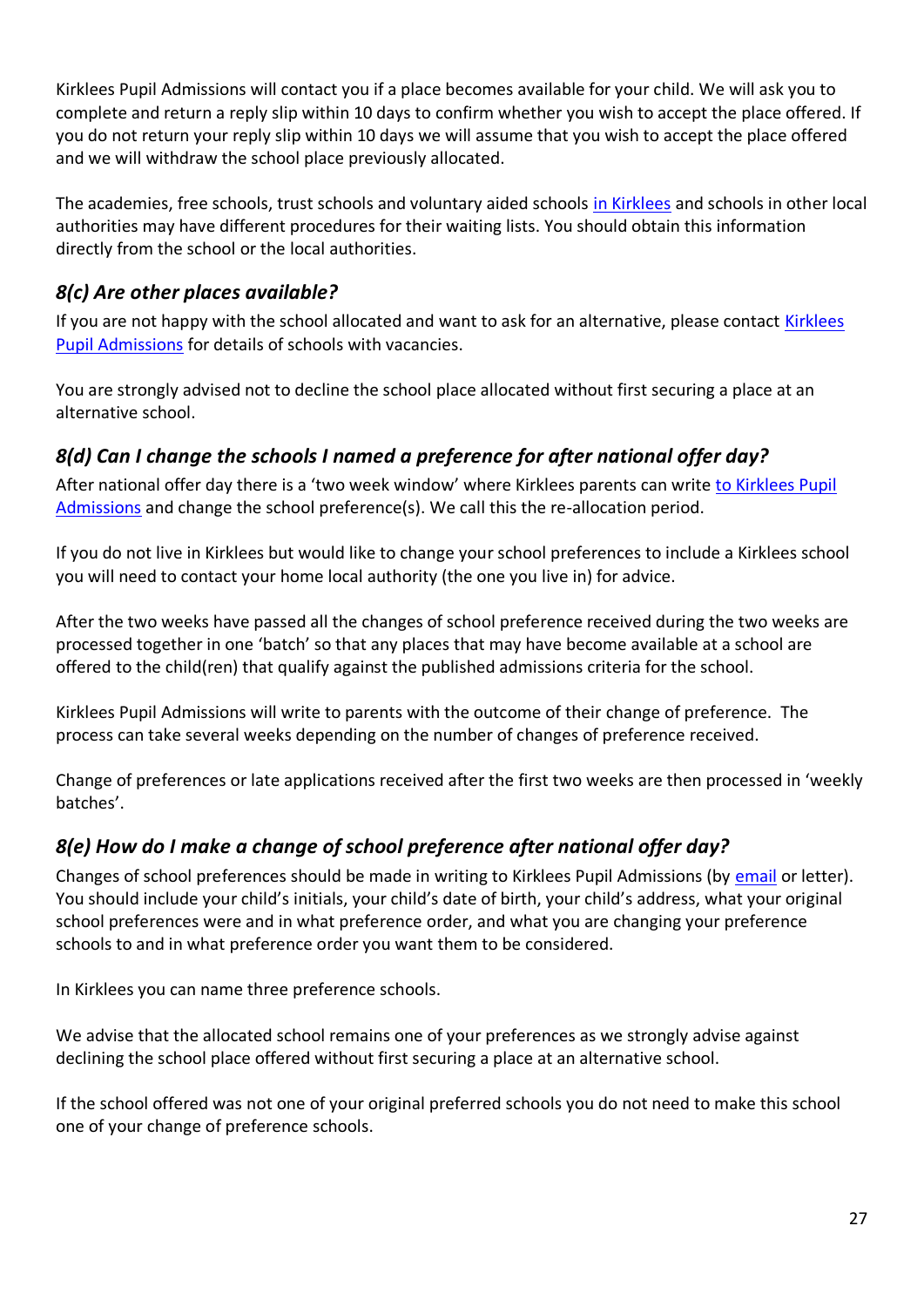Kirklees Pupil Admissions will contact you if a place becomes available for your child. We will ask you to complete and return a reply slip within 10 days to confirm whether you wish to accept the place offered. If you do not return your reply slip within 10 days we will assume that you wish to accept the place offered and we will withdraw the school place previously allocated.

The academies, free schools, trust schools and voluntary aided schools [in Kirklees](#page-7-2) and schools in other local authorities may have different procedures for their waiting lists. You should obtain this information directly from the school or the local authorities.

### <span id="page-27-0"></span>*8(c) Are other places available?*

If you are not happy with the school allocated and want to ask for an alternative, please contact [Kirklees](https://www.kirklees.gov.uk/beta/schools-and-education.aspx#admissions)  [Pupil Admissions](https://www.kirklees.gov.uk/beta/schools-and-education.aspx#admissions) for details of schools with vacancies.

You are strongly advised not to decline the school place allocated without first securing a place at an alternative school.

### <span id="page-27-1"></span>*8(d) Can I change the schools I named a preference for after national offer day?*

After national offer day there is a 'two week window' where Kirklees parents can write [to Kirklees Pupil](mailto:pupiladmissions@kirklees.gov.uk)  [Admissions](mailto:pupiladmissions@kirklees.gov.uk) and change the school preference(s). We call this the re-allocation period.

If you do not live in Kirklees but would like to change your school preferences to include a Kirklees school you will need to contact your home local authority (the one you live in) for advice.

After the two weeks have passed all the changes of school preference received during the two weeks are processed together in one 'batch' so that any places that may have become available at a school are offered to the child(ren) that qualify against the published admissions criteria for the school.

Kirklees Pupil Admissions will write to parents with the outcome of their change of preference. The process can take several weeks depending on the number of changes of preference received.

Change of preferences or late applications received after the first two weeks are then processed in 'weekly batches'.

### <span id="page-27-2"></span>*8(e) How do I make a change of school preference after national offer day?*

Changes of school preferences should be made in writing to Kirklees Pupil Admissions (by [email](mailto:pupiladmissions@kirklees.gov.uk) or letter). You should include your child's initials, your child's date of birth, your child's address, what your original school preferences were and in what preference order, and what you are changing your preference schools to and in what preference order you want them to be considered.

In Kirklees you can name three preference schools.

We advise that the allocated school remains one of your preferences as we strongly advise against declining the school place offered without first securing a place at an alternative school.

If the school offered was not one of your original preferred schools you do not need to make this school one of your change of preference schools.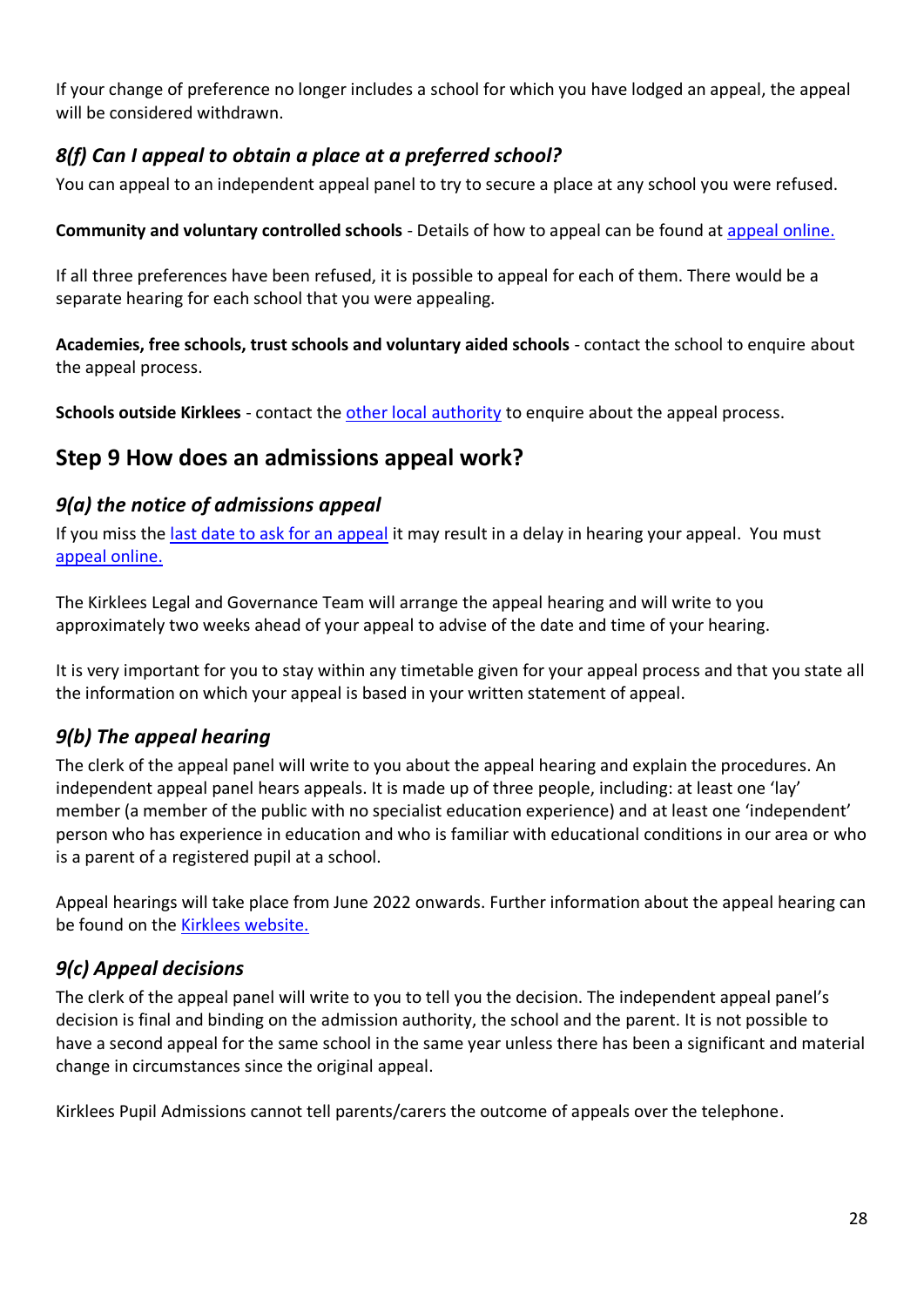<span id="page-28-0"></span>If your change of preference no longer includes a school for which you have lodged an appeal, the appeal will be considered withdrawn.

### <span id="page-28-1"></span>*8(f) Can I appeal to obtain a place at a preferred school?*

You can appeal to an independent appeal panel to try to secure a place at any school you were refused.

#### **Community and voluntary controlled schools** - Details of how to appeal can be found at [appeal online.](https://www.kirklees.gov.uk/beta/admissions/about-admission-appeals.aspx)

If all three preferences have been refused, it is possible to appeal for each of them. There would be a separate hearing for each school that you were appealing.

**Academies, free schools, trust schools and voluntary aided schools** - contact the school to enquire about the appeal process.

<span id="page-28-2"></span>**Schools outside Kirklees** - contact the [other local authority](#page-34-4) to enquire about the appeal process.

### **Step 9 How does an admissions appeal work?**

#### <span id="page-28-3"></span>*9(a) the notice of admissions appeal*

If you miss the [last date to ask for an appeal](https://www.kirklees.gov.uk/beta/admissions/about-admission-appeals.aspx) it may result in a delay in hearing your appeal. You must [appeal online.](https://www.kirklees.gov.uk/beta/admissions/about-admission-appeals.aspx)

The Kirklees Legal and Governance Team will arrange the appeal hearing and will write to you approximately two weeks ahead of your appeal to advise of the date and time of your hearing.

It is very important for you to stay within any timetable given for your appeal process and that you state all the information on which your appeal is based in your written statement of appeal.

#### <span id="page-28-4"></span>*9(b) The appeal hearing*

The clerk of the appeal panel will write to you about the appeal hearing and explain the procedures. An independent appeal panel hears appeals. It is made up of three people, including: at least one 'lay' member (a member of the public with no specialist education experience) and at least one 'independent' person who has experience in education and who is familiar with educational conditions in our area or who is a parent of a registered pupil at a school.

Appeal hearings will take place from June 2022 onwards. Further information about the appeal hearing can be found on the [Kirklees website.](https://www.kirklees.gov.uk/beta/admissions/about-admission-appeals.aspx)

### <span id="page-28-5"></span>*9(c) Appeal decisions*

The clerk of the appeal panel will write to you to tell you the decision. The independent appeal panel's decision is final and binding on the admission authority, the school and the parent. It is not possible to have a second appeal for the same school in the same year unless there has been a significant and material change in circumstances since the original appeal.

Kirklees Pupil Admissions cannot tell parents/carers the outcome of appeals over the telephone.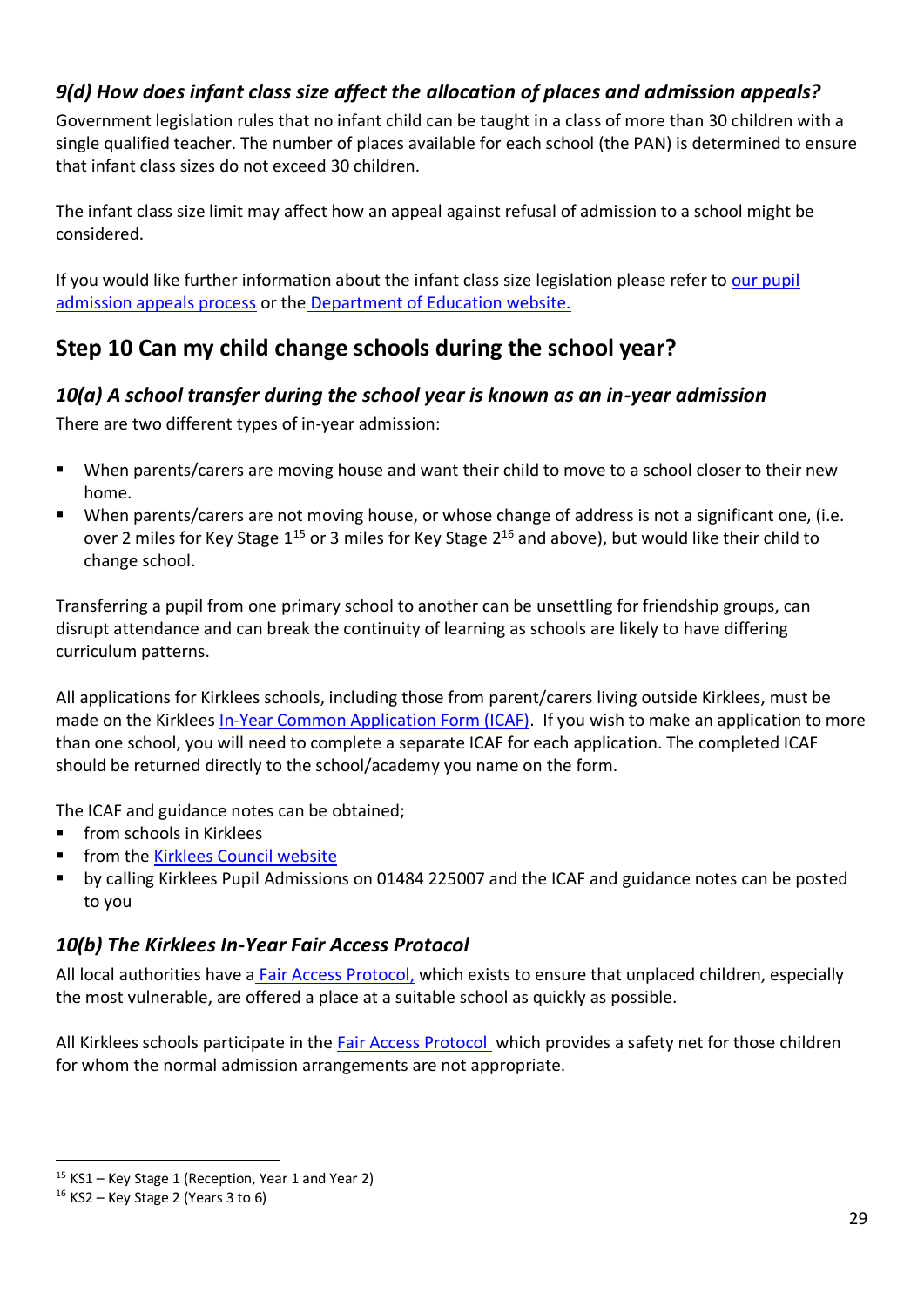### <span id="page-29-0"></span>*9(d) How does infant class size affect the allocation of places and admission appeals?*

Government legislation rules that no infant child can be taught in a class of more than 30 children with a single qualified teacher. The number of places available for each school (the PAN) is determined to ensure that infant class sizes do not exceed 30 children.

The infant class size limit may affect how an appeal against refusal of admission to a school might be considered.

If you would like further information about the infant class size legislation please refer to [our pupil](https://www.kirklees.gov.uk/beta/admissions/about-admission-appeals.aspx)  [admission appeals process](https://www.kirklees.gov.uk/beta/admissions/about-admission-appeals.aspx) or the [Department of Education website.](https://www.gov.uk/government/publications/school-admissions-appeals-code)

# <span id="page-29-1"></span>**Step 10 Can my child change schools during the school year?**

#### <span id="page-29-2"></span>*10(a) A school transfer during the school year is known as an in-year admission*

There are two different types of in-year admission:

- When parents/carers are moving house and want their child to move to a school closer to their new home.
- When parents/carers are not moving house, or whose change of address is not a significant one, (i.e. over 2 miles for Key Stage  $1^{15}$  or 3 miles for Key Stage  $2^{16}$  and above), but would like their child to change school.

Transferring a pupil from one primary school to another can be unsettling for friendship groups, can disrupt attendance and can break the continuity of learning as schools are likely to have differing curriculum patterns.

All applications for Kirklees schools, including those from parent/carers living outside Kirklees, must be made on the Kirklees [In-Year Common Application Form \(ICAF\).](https://www.kirklees.gov.uk/beta/schools-and-education.aspx#admissions) If you wish to make an application to more than one school, you will need to complete a separate ICAF for each application. The completed ICAF should be returned directly to the school/academy you name on the form.

The ICAF and guidance notes can be obtained;

- from schools in Kirklees
- from the [Kirklees Council website](https://www.kirklees.gov.uk/beta/schools-and-education.aspx#admissions)
- by calling Kirklees Pupil Admissions on 01484 225007 and the ICAF and guidance notes can be posted to you

#### <span id="page-29-3"></span>*10(b) The Kirklees In-Year Fair Access Protocol*

All local authorities have a [Fair Access Protocol,](https://www.gov.uk/government/publications/fair-access-protocols-in-school-admissions) which exists to ensure that unplaced children, especially the most vulnerable, are offered a place at a suitable school as quickly as possible.

All Kirklees schools participate in the [Fair Access Protocol](https://www.gov.uk/government/publications/school-admissions-code--2) which provides a safety net for those children for whom the normal admission arrangements are not appropriate.

<sup>15</sup> KS1 – Key Stage 1 (Reception, Year 1 and Year 2)

 $16$  KS2 – Key Stage 2 (Years 3 to 6)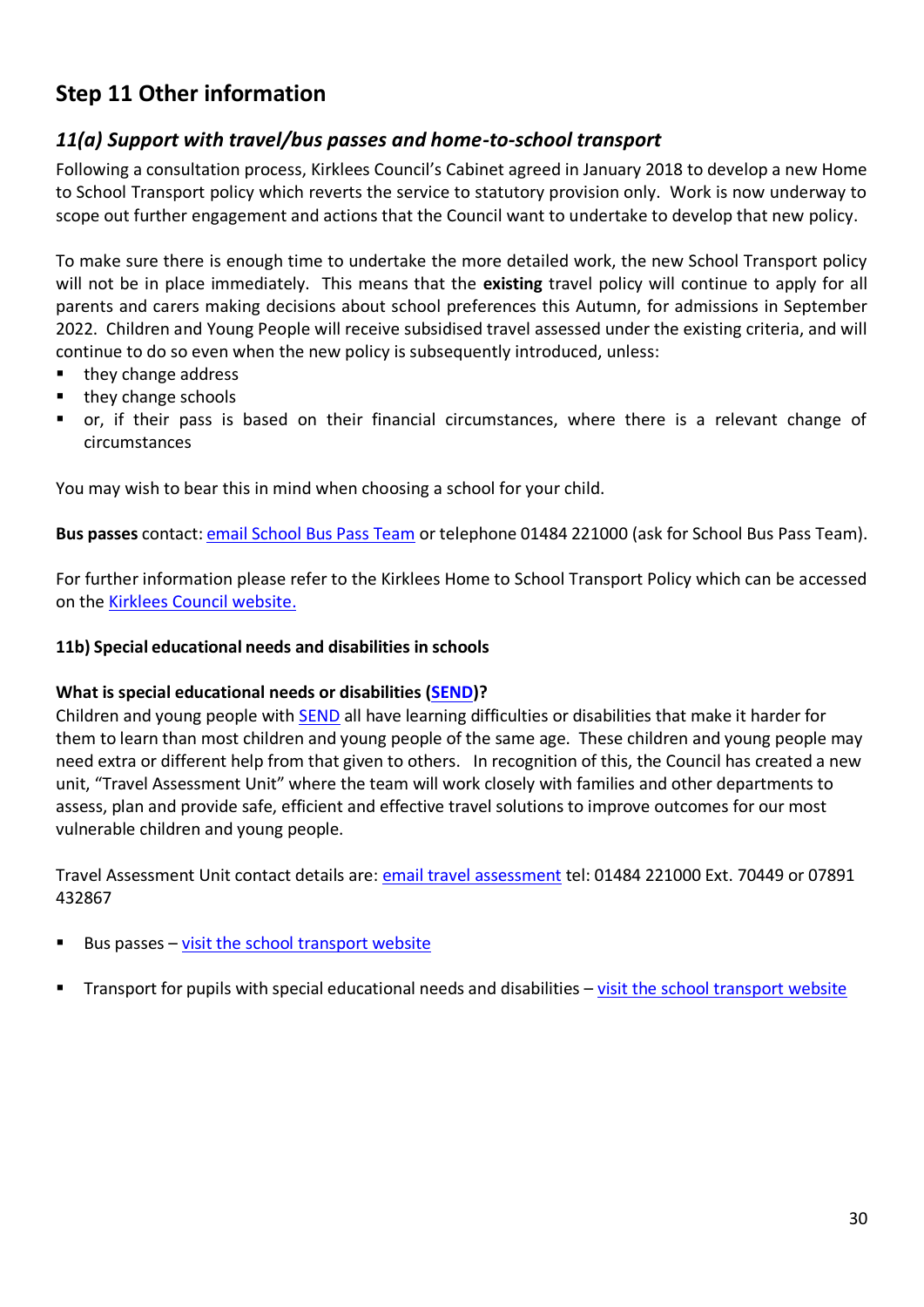# <span id="page-30-0"></span>**Step 11 Other information**

#### <span id="page-30-1"></span>*11(a) Support with travel/bus passes and home-to-school transport*

Following a consultation process, Kirklees Council's Cabinet agreed in January 2018 to develop a new Home to School Transport policy which reverts the service to statutory provision only. Work is now underway to scope out further engagement and actions that the Council want to undertake to develop that new policy.

To make sure there is enough time to undertake the more detailed work, the new School Transport policy will not be in place immediately. This means that the **existing** travel policy will continue to apply for all parents and carers making decisions about school preferences this Autumn, for admissions in September 2022. Children and Young People will receive subsidised travel assessed under the existing criteria, and will continue to do so even when the new policy is subsequently introduced, unless:

- they change address
- they change schools
- or, if their pass is based on their financial circumstances, where there is a relevant change of circumstances

You may wish to bear this in mind when choosing a school for your child.

**Bus passes** contact: [email School Bus Pass Team](mailto:free.buspasses4schools@kirklees.gov.uk) or telephone 01484 221000 (ask for School Bus Pass Team).

For further information please refer to the Kirklees Home to School Transport Policy which can be accessed on the [Kirklees Council website.](http://www.kirklees.gov.uk/beta/schools/school-transport.aspx)

#### **11b) Special educational needs and disabilities in schools**

#### **What is special educational needs or disabilities [\(SEND\)](https://www.kirklees.gov.uk/beta/special-education/special-educational-needs-support-in-school.aspx)?**

Children and young people wit[h SEND](https://www.kirklees.gov.uk/beta/special-education/special-educational-needs-support-in-school.aspx) all have learning difficulties or disabilities that make it harder for them to learn than most children and young people of the same age. These children and young people may need extra or different help from that given to others. In recognition of this, the Council has created a new unit, "Travel Assessment Unit" where the team will work closely with families and other departments to assess, plan and provide safe, efficient and effective travel solutions to improve outcomes for our most vulnerable children and young people.

Travel Assessment Unit contact details are: [email travel assessment](mailto:travel.assessment@kirklees.gov.uk) tel: 01484 221000 Ext. 70449 or 07891 432867

- Bus passes  $-$  [visit the school transport website](http://www.kirklees.gov.uk/schooltransport)
- <span id="page-30-2"></span>Transport for pupils with special educational needs and disabilities – [visit the school transport](http://www.kirklees.gov.uk/schooltransport) website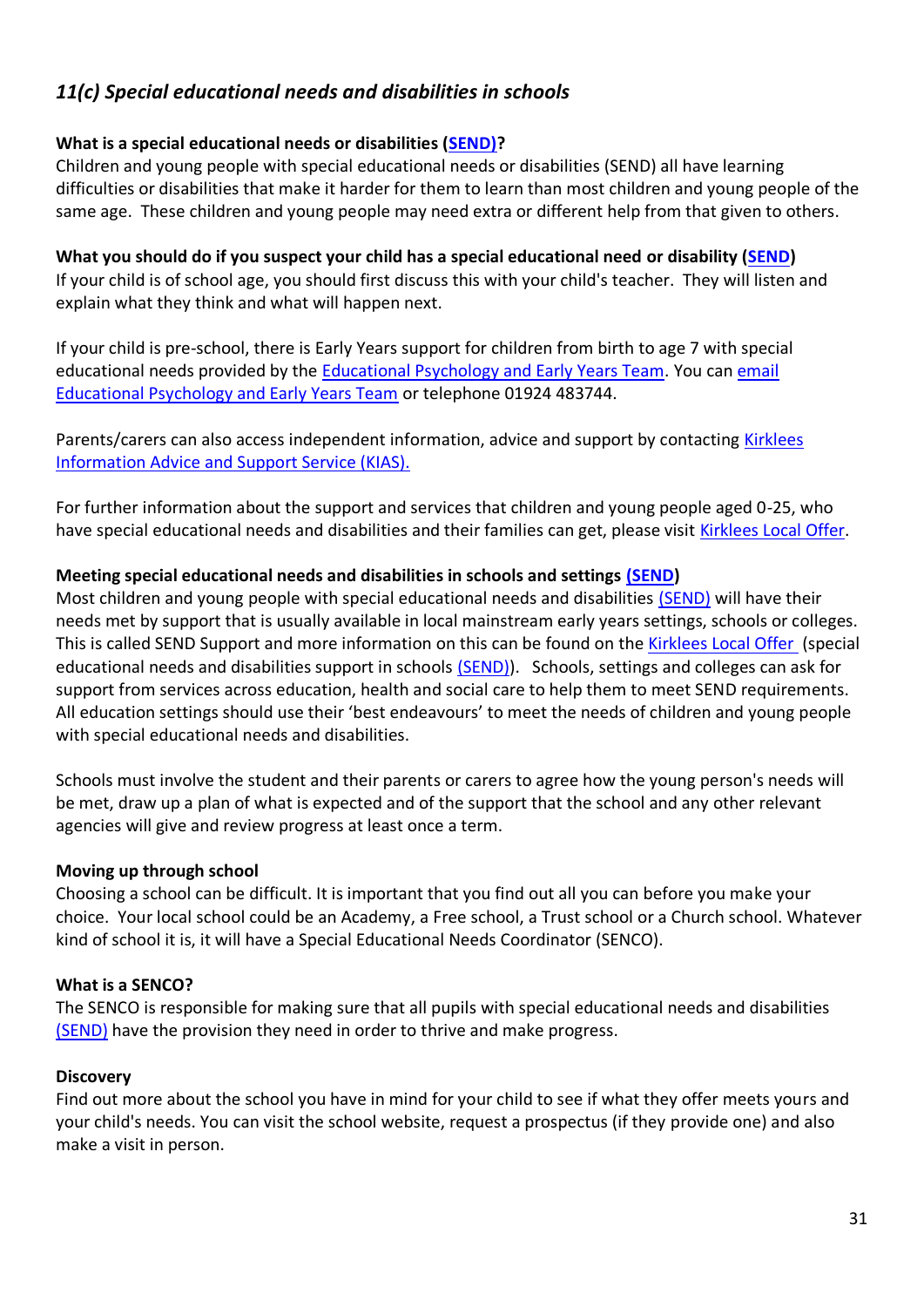#### <span id="page-31-0"></span>*11(c) Special educational needs and disabilities in schools*

#### **What is a special educational needs or disabilities [\(SEND\)?](https://www.kirklees.gov.uk/beta/special-education/special-educational-needs-support-in-school.aspx)**

Children and young people with special educational needs or disabilities (SEND) all have learning difficulties or disabilities that make it harder for them to learn than most children and young people of the same age. These children and young people may need extra or different help from that given to others.

**What you should do if you suspect your child has a special educational need or disability [\(SEND\)](https://www.kirklees.gov.uk/beta/special-education/special-educational-needs-support-in-school.aspx)** If your child is of school age, you should first discuss this with your child's teacher. They will listen and explain what they think and what will happen next.

If your child is pre-school, there is Early Years support for children from birth to age 7 with special educational needs provided by the [Educational Psychology and Early Years Team.](https://www.kirklees.gov.uk/beta/special-education/educational-psychology.aspx) You can [email](mailto:dewsbury.psychology@kirklees.gov.uk)  [Educational Psychology and Early Years Team](mailto:dewsbury.psychology@kirklees.gov.uk) or telephone 01924 483744.

Parents/carers can also access independent information, advice and support by contacting [Kirklees](http://www.kias.org.uk/)  [Information Advice and Support Service \(KIAS\).](http://www.kias.org.uk/)

For further information about the support and services that children and young people aged 0-25, who have special educational needs and disabilities and their families can get, please visit [Kirklees Local Offer.](https://www.kirkleeslocaloffer.org.uk/)

#### **Meeting special educational needs and disabilities in schools and settings [\(SEND\)](https://www.kirklees.gov.uk/beta/special-education/special-educational-needs-support-in-school.aspx)**

Most children and young people with special educational needs and disabilities [\(SEND\)](https://www.kirklees.gov.uk/beta/special-education/special-educational-needs-support-in-school.aspx) will have their needs met by support that is usually available in local mainstream early years settings, schools or colleges. This is called SEND Support and more information on this can be found on the [Kirklees Local Offer](https://www.kirkleeslocaloffer.org.uk/) (special educational needs and disabilities support in schools [\(SEND\)\)](https://www.kirklees.gov.uk/beta/special-education/special-educational-needs-support-in-school.aspx). Schools, settings and colleges can ask for support from services across education, health and social care to help them to meet SEND requirements. All education settings should use their 'best endeavours' to meet the needs of children and young people with special educational needs and disabilities.

Schools must involve the student and their parents or carers to agree how the young person's needs will be met, draw up a plan of what is expected and of the support that the school and any other relevant agencies will give and review progress at least once a term.

#### **Moving up through school**

Choosing a school can be difficult. It is important that you find out all you can before you make your choice. Your local school could be an Academy, a Free school, a Trust school or a Church school. Whatever kind of school it is, it will have a Special Educational Needs Coordinator (SENCO).

#### **What is a SENCO?**

The SENCO is responsible for making sure that all pupils with special educational needs and disabilities [\(SEND\)](https://www.kirklees.gov.uk/beta/special-education/special-educational-needs-support-in-school.aspx) have the provision they need in order to thrive and make progress.

#### **Discovery**

Find out more about the school you have in mind for your child to see if what they offer meets yours and your child's needs. You can visit the school website, request a prospectus (if they provide one) and also make a visit in person.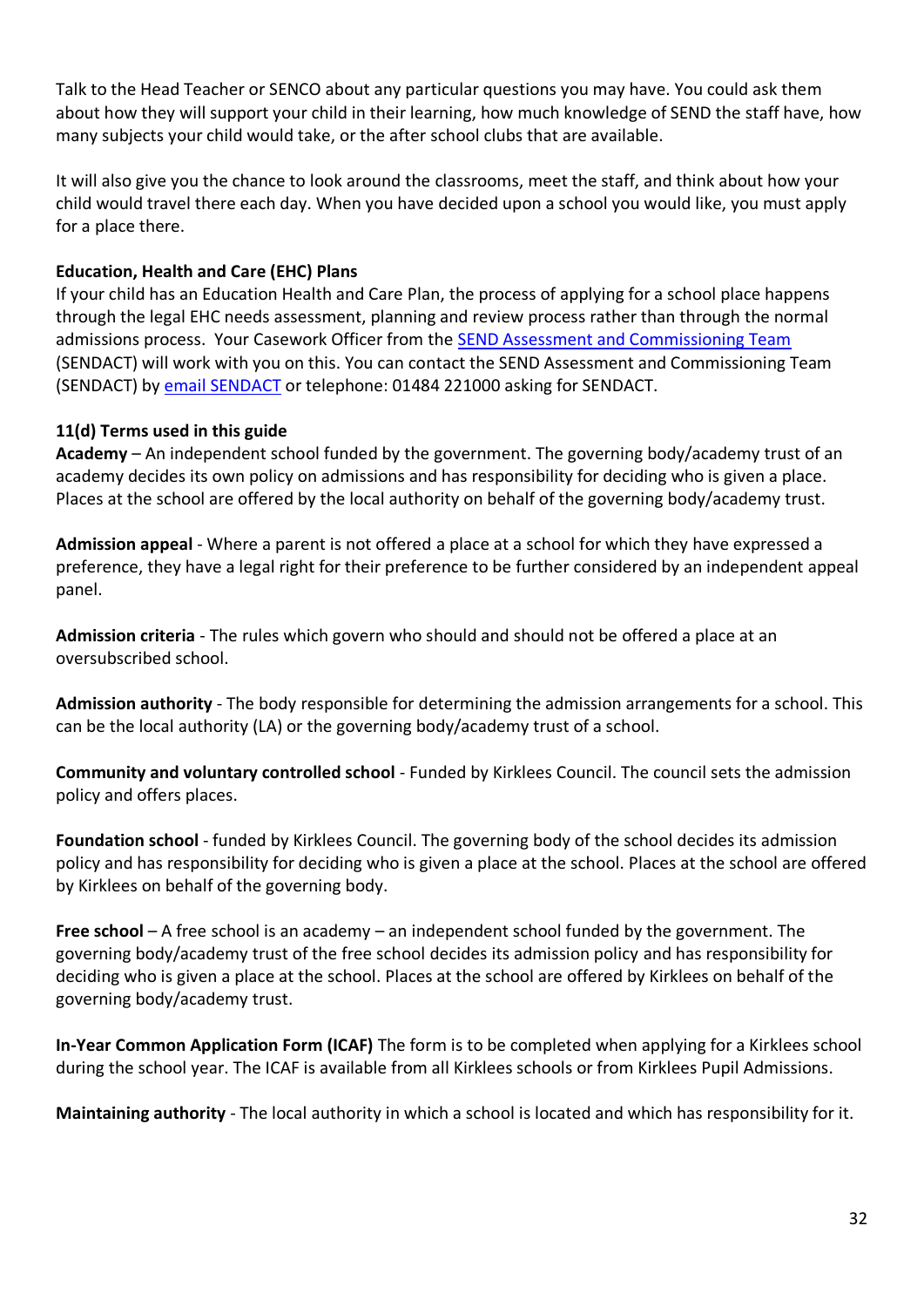Talk to the Head Teacher or SENCO about any particular questions you may have. You could ask them about how they will support your child in their learning, how much knowledge of SEND the staff have, how many subjects your child would take, or the after school clubs that are available.

It will also give you the chance to look around the classrooms, meet the staff, and think about how your child would travel there each day. When you have decided upon a school you would like, you must apply for a place there.

#### **Education, Health and Care (EHC) Plans**

If your child has an Education Health and Care Plan, the process of applying for a school place happens through the legal EHC needs assessment, planning and review process rather than through the normal admissions process. Your Casework Officer from the [SEND Assessment and Commissioning Team](https://www.kirklees.gov.uk/beta/special-education/special-educational-needs-support-in-school.aspx) (SENDACT) will work with you on this. You can contact the SEND Assessment and Commissioning Team (SENDACT) by [email SENDACT](mailto:SENACT@kirklees.gov.uk) or telephone: 01484 221000 asking for SENDACT.

#### **11(d) Terms used in this guide**

**Academy** – An independent school funded by the government. The governing body/academy trust of an academy decides its own policy on admissions and has responsibility for deciding who is given a place. Places at the school are offered by the local authority on behalf of the governing body/academy trust.

**Admission appeal** - Where a parent is not offered a place at a school for which they have expressed a preference, they have a legal right for their preference to be further considered by an independent appeal panel.

**Admission criteria** - The rules which govern who should and should not be offered a place at an oversubscribed school.

**Admission authority** - The body responsible for determining the admission arrangements for a school. This can be the local authority (LA) or the governing body/academy trust of a school.

**Community and voluntary controlled school** - Funded by Kirklees Council. The council sets the admission policy and offers places.

**Foundation school** - funded by Kirklees Council. The governing body of the school decides its admission policy and has responsibility for deciding who is given a place at the school. Places at the school are offered by Kirklees on behalf of the governing body.

**Free school** – A free school is an academy – an independent school funded by the government. The governing body/academy trust of the free school decides its admission policy and has responsibility for deciding who is given a place at the school. Places at the school are offered by Kirklees on behalf of the governing body/academy trust.

**In-Year Common Application Form (ICAF)** The form is to be completed when applying for a Kirklees school during the school year. The ICAF is available from all Kirklees schools or from Kirklees Pupil Admissions.

**Maintaining authority** - The local authority in which a school is located and which has responsibility for it.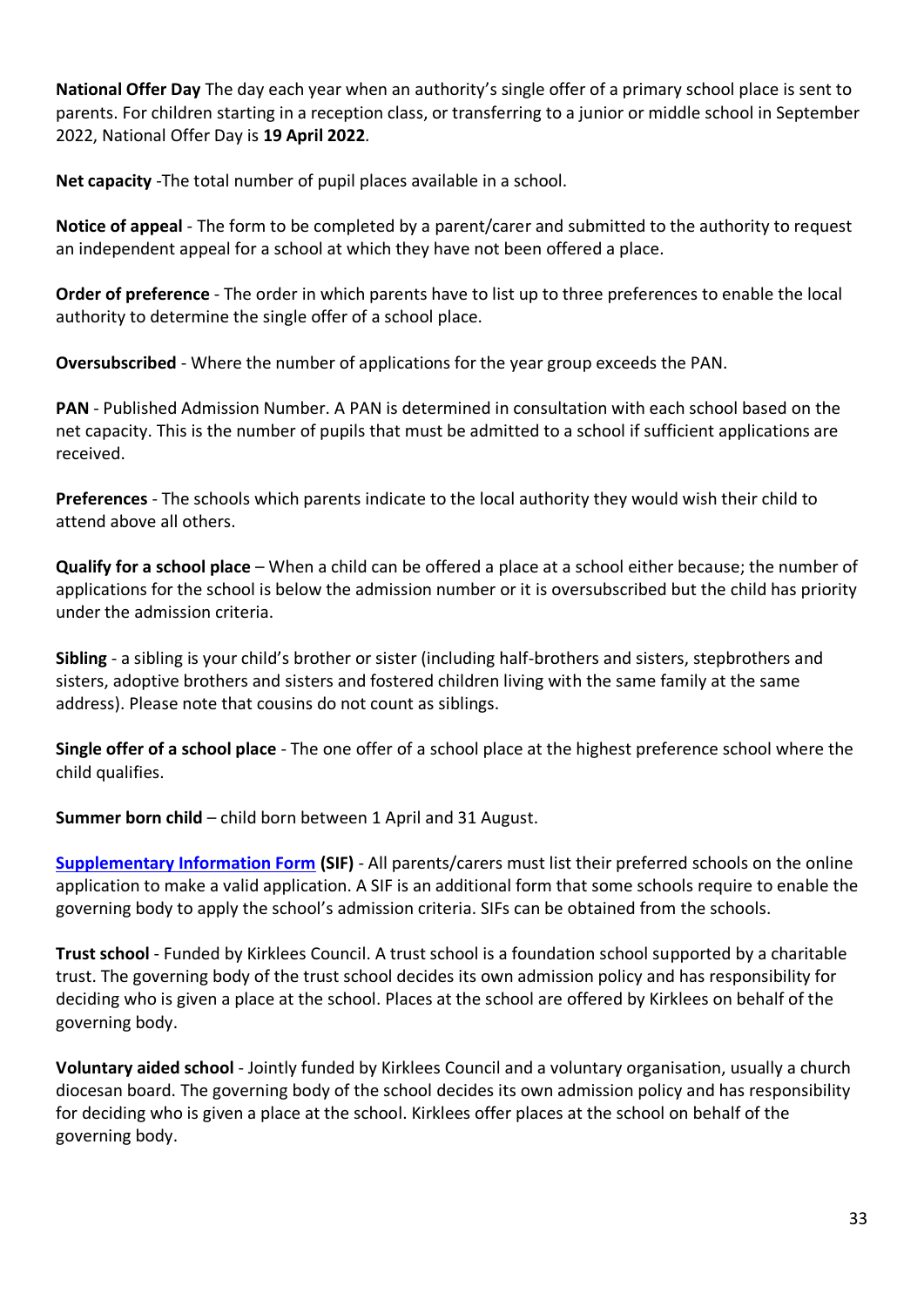**National Offer Day** The day each year when an authority's single offer of a primary school place is sent to parents. For children starting in a reception class, or transferring to a junior or middle school in September 2022, National Offer Day is **19 April 2022**.

**Net capacity** -The total number of pupil places available in a school.

**Notice of appeal** - The form to be completed by a parent/carer and submitted to the authority to request an independent appeal for a school at which they have not been offered a place.

**Order of preference** - The order in which parents have to list up to three preferences to enable the local authority to determine the single offer of a school place.

**Oversubscribed** - Where the number of applications for the year group exceeds the PAN.

**PAN** - Published Admission Number. A PAN is determined in consultation with each school based on the net capacity. This is the number of pupils that must be admitted to a school if sufficient applications are received.

**Preferences** - The schools which parents indicate to the local authority they would wish their child to attend above all others.

**Qualify for a school place** – When a child can be offered a place at a school either because; the number of applications for the school is below the admission number or it is oversubscribed but the child has priority under the admission criteria.

**Sibling** - a sibling is your child's brother or sister (including half-brothers and sisters, stepbrothers and sisters, adoptive brothers and sisters and fostered children living with the same family at the same address). Please note that cousins do not count as siblings.

**Single offer of a school place** - The one offer of a school place at the highest preference school where the child qualifies.

**Summer born child** – child born between 1 April and 31 August.

**[Supplementary Information Form](https://www.kirklees.gov.uk/beta/admissions/apply-primary-school-place.aspx) (SIF)** - All parents/carers must list their preferred schools on the online application to make a valid application. A SIF is an additional form that some schools require to enable the governing body to apply the school's admission criteria. SIFs can be obtained from the schools.

**Trust school** - Funded by Kirklees Council. A trust school is a foundation school supported by a charitable trust. The governing body of the trust school decides its own admission policy and has responsibility for deciding who is given a place at the school. Places at the school are offered by Kirklees on behalf of the governing body.

**Voluntary aided school** - Jointly funded by Kirklees Council and a voluntary organisation, usually a church diocesan board. The governing body of the school decides its own admission policy and has responsibility for deciding who is given a place at the school. Kirklees offer places at the school on behalf of the governing body.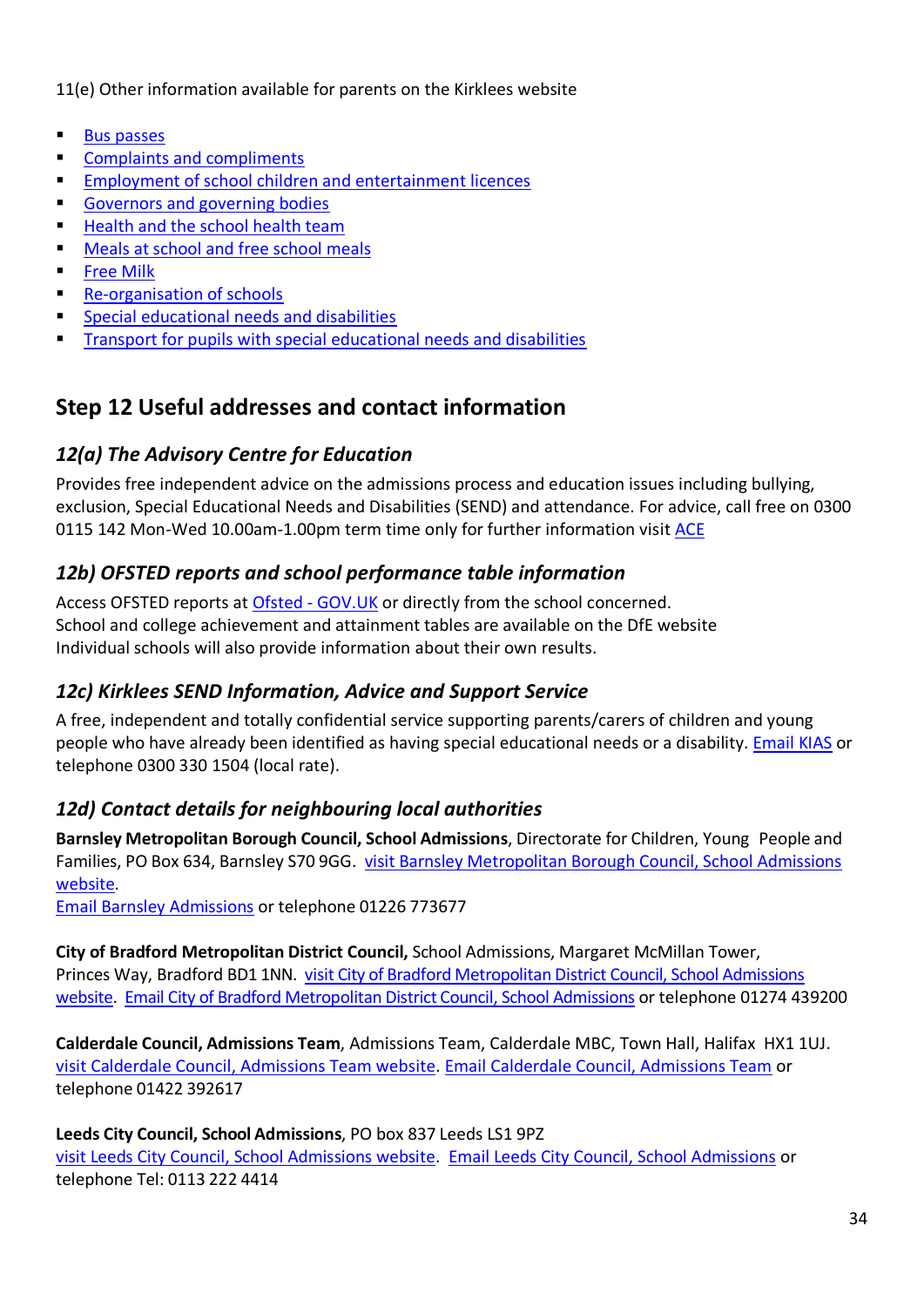11(e) Other information available for parents on the Kirklees website

- [Bus passes](https://www.kirklees.gov.uk/beta/schools/school-transport.aspx)
- [Complaints and compliments](https://www.kirklees.gov.uk/beta/contact-the-council.aspx#complaints-comment)
- [Employment of school children and entertainment licences](https://www.kirklees.gov.uk/beta/employment-information/children-and-employment.aspx)
- [Governors and governing bodies](https://www.kirklees.gov.uk/beta/working-for-kirklees/school-governors.aspx)
- [Health and the school health team](https://www.locala.org.uk/your-healthcare/school-nursing/kirklees-school-nurses/)
- [Meals at school and free school meals](https://www.kirklees.gov.uk/beta/schools/free-school-meals.aspx)
- **[Free Milk](https://www.kirklees.gov.uk/beta/schools/free-school-meals.aspx)**
- [Re-organisation of schools](https://www.kirklees.gov.uk/beta/schools/school-organisation-and-planning.aspx)
- [Special educational needs and disabilities](https://www.kirklees.gov.uk/beta/schools-and-education.aspx#special-education)
- **EXECUTE:** [Transport for pupils with special educational needs and disabilities](https://www.kirklees.gov.uk/beta/schools/school-transport.aspx)

# <span id="page-34-0"></span>**Step 12 Useful addresses and contact information**

### <span id="page-34-1"></span>*12(a) The Advisory Centre for Education*

Provides free independent advice on the admissions process and education issues including bullying, exclusion, Special Educational Needs and Disabilities (SEND) and attendance. For advice, call free on 0300 0115 142 Mon-Wed 10.00am-1.00pm term time only for further information visit [ACE](http://www.ace-ed.org.uk/)

### <span id="page-34-2"></span>*12b) OFSTED reports and school performance table information*

Access OFSTED reports at [Ofsted -](https://www.gov.uk/government/organisations/ofsted) GOV.UK or directly from the school concerned. School and college achievement and attainment tables are available on the DfE website Individual schools will also provide information about their own results.

### <span id="page-34-3"></span>*12c) Kirklees SEND Information, Advice and Support Service*

A free, independent and totally confidential service supporting parents/carers of children and young people who have already been identified as having special educational needs or a disability. **Email KIAS** or telephone 0300 330 1504 (local rate).

### <span id="page-34-4"></span>*12d) Contact details for neighbouring local authorities*

**Barnsley Metropolitan Borough Council, School Admissions**, Directorate for Children, Young People and Families, PO Box 634, Barnsley S70 9GG. [visit Barnsley Metropolitan Borough Council, School Admissions](https://www.barnsley.gov.uk/services/children-families-and-education/schools-and-learning/school-admissions-and-transfers/)  [website.](https://www.barnsley.gov.uk/services/children-families-and-education/schools-and-learning/school-admissions-and-transfers/)

[Email Barnsley Admissions](mailto:admissions@barnsley.gov.uk) or telephone 01226 773677

**City of Bradford Metropolitan District Council,** School Admissions, Margaret McMillan Tower, Princes Way, Bradford BD1 1NN. [visit City of Bradford Metropolitan District Council, School Admissions](https://www.bradford.gov.uk/education-and-skills/school-admissions/apply-for-a-place-at-one-of-bradford-districts-schools/)  [website.](https://www.bradford.gov.uk/education-and-skills/school-admissions/apply-for-a-place-at-one-of-bradford-districts-schools/) [Email City of Bradford Metropolitan District Council, School Admissions](mailto:primaryadmissions@bradford.gov.uk) or telephone 01274 439200

**Calderdale Council, Admissions Team**, Admissions Team, Calderdale MBC, Town Hall, Halifax HX1 1UJ. [visit Calderdale Council, Admissions Team website.](https://www.calderdale.gov.uk/v2/residents/education-and-learning/schools/admissions/) [Email Calderdale Council, Admissions Team](mailto:cyps.admissions@calderdale.gov.uk) or telephone 01422 392617

**Leeds City Council, School Admissions**, PO box 837 Leeds LS1 9PZ [visit Leeds City Council, School Admissions website.](https://www.leeds.gov.uk/schools-and-education) [Email Leeds City Council, School Admissions](mailto:startingprimary@leeds.gov.uk) or telephone Tel: 0113 222 4414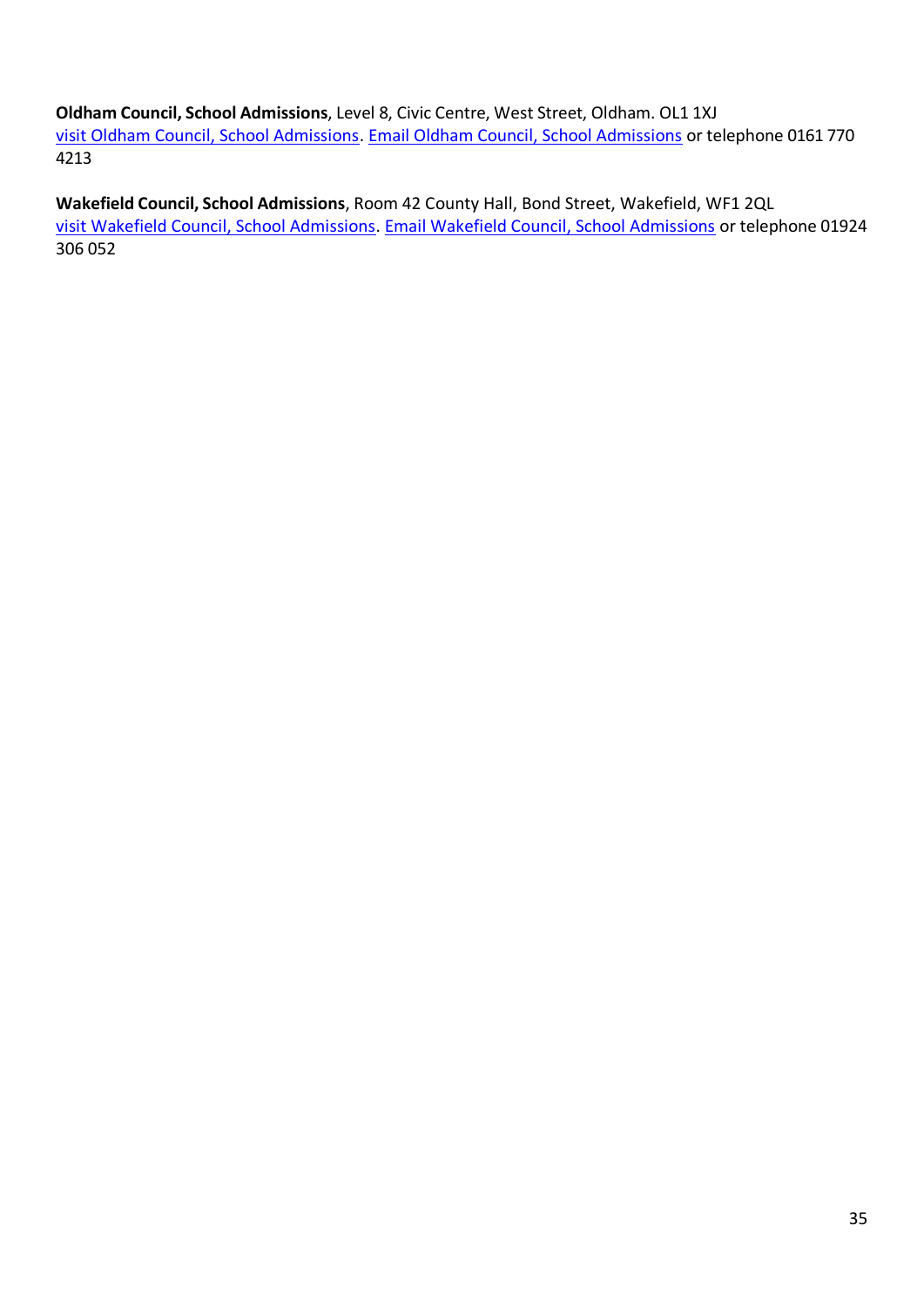**Oldham Council, School Admissions**, Level 8, Civic Centre, West Street, Oldham. OL1 1XJ [visit Oldham Council, School Admissions.](https://www.oldham.gov.uk/admissions) [Email Oldham Council, School Admissions](mailto:ecs.pupils@oldham.gov.uk) or telephone 0161 770 4213

**Wakefield Council, School Admissions**, Room 42 County Hall, Bond Street, Wakefield, WF1 2QL [visit Wakefield Council, School Admissions.](http://www.wakefield.gov.uk/schools-and-children/schools) [Email Wakefield Council, School Admissions](mailto:admissions@wakefield.gov.uk) or telephone 01924 306 052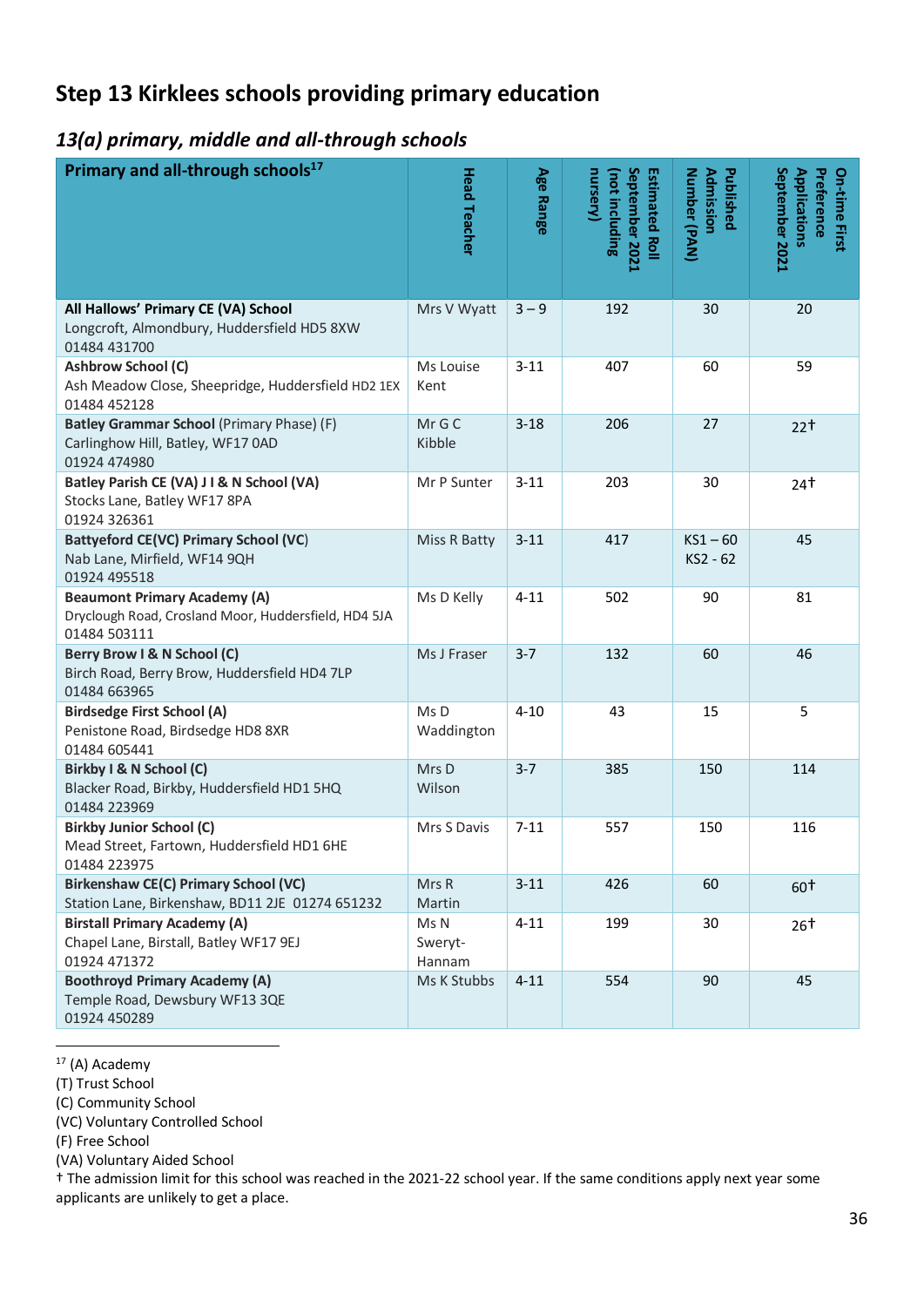# <span id="page-36-0"></span>**Step 13 Kirklees schools providing primary education**

# <span id="page-36-1"></span>*13(a) primary, middle and all-through schools*

| Primary and all-through schools <sup>17</sup>                                                               | <b>Head Teacher</b>       | Age Range | September 2021<br>unrsery)<br><b>Estimated Roll</b><br>(not including | Number (PAN)<br>Admission<br>Published | September 2021<br><b>Applications</b><br>Preference<br>On-time First |
|-------------------------------------------------------------------------------------------------------------|---------------------------|-----------|-----------------------------------------------------------------------|----------------------------------------|----------------------------------------------------------------------|
| All Hallows' Primary CE (VA) School<br>Longcroft, Almondbury, Huddersfield HD5 8XW<br>01484 431700          | Mrs V Wyatt               | $3 - 9$   | 192                                                                   | 30                                     | 20                                                                   |
| Ashbrow School (C)<br>Ash Meadow Close, Sheepridge, Huddersfield HD2 1EX<br>01484 452128                    | Ms Louise<br>Kent         | $3 - 11$  | 407                                                                   | 60                                     | 59                                                                   |
| Batley Grammar School (Primary Phase) (F)<br>Carlinghow Hill, Batley, WF17 0AD<br>01924 474980              | Mr G C<br>Kibble          | $3 - 18$  | 206                                                                   | 27                                     | 22 <sup>†</sup>                                                      |
| Batley Parish CE (VA) J I & N School (VA)<br>Stocks Lane, Batley WF17 8PA<br>01924 326361                   | Mr P Sunter               | $3 - 11$  | 203                                                                   | 30                                     | 24 <sup>†</sup>                                                      |
| <b>Battyeford CE(VC) Primary School (VC)</b><br>Nab Lane, Mirfield, WF14 9QH<br>01924 495518                | Miss R Batty              | $3 - 11$  | 417                                                                   | $KS1 - 60$<br>KS2 - 62                 | 45                                                                   |
| <b>Beaumont Primary Academy (A)</b><br>Dryclough Road, Crosland Moor, Huddersfield, HD4 5JA<br>01484 503111 | Ms D Kelly                | $4 - 11$  | 502                                                                   | 90                                     | 81                                                                   |
| Berry Brow I & N School (C)<br>Birch Road, Berry Brow, Huddersfield HD4 7LP<br>01484 663965                 | Ms J Fraser               | $3 - 7$   | 132                                                                   | 60                                     | 46                                                                   |
| <b>Birdsedge First School (A)</b><br>Penistone Road, Birdsedge HD8 8XR<br>01484 605441                      | Ms D<br>Waddington        | $4 - 10$  | 43                                                                    | 15                                     | 5                                                                    |
| Birkby I & N School (C)<br>Blacker Road, Birkby, Huddersfield HD1 5HQ<br>01484 223969                       | Mrs D<br>Wilson           | $3 - 7$   | 385                                                                   | 150                                    | 114                                                                  |
| <b>Birkby Junior School (C)</b><br>Mead Street, Fartown, Huddersfield HD1 6HE<br>01484 223975               | Mrs S Davis               | $7 - 11$  | 557                                                                   | 150                                    | 116                                                                  |
| Birkenshaw CE(C) Primary School (VC)<br>Station Lane, Birkenshaw, BD11 2JE 01274 651232                     | Mrs R<br>Martin           | $3 - 11$  | 426                                                                   | 60                                     | $60+$                                                                |
| <b>Birstall Primary Academy (A)</b><br>Chapel Lane, Birstall, Batley WF17 9EJ<br>01924 471372               | Ms N<br>Sweryt-<br>Hannam | $4 - 11$  | 199                                                                   | 30                                     | $26+$                                                                |
| <b>Boothroyd Primary Academy (A)</b><br>Temple Road, Dewsbury WF13 3QE<br>01924 450289                      | Ms K Stubbs               | $4 - 11$  | 554                                                                   | 90                                     | 45                                                                   |

 $17$  (A) Academy

- (C) Community School
- (VC) Voluntary Controlled School

(F) Free School

(VA) Voluntary Aided School

† The admission limit for this school was reached in the 2021-22 school year. If the same conditions apply next year some applicants are unlikely to get a place.

<sup>(</sup>T) Trust School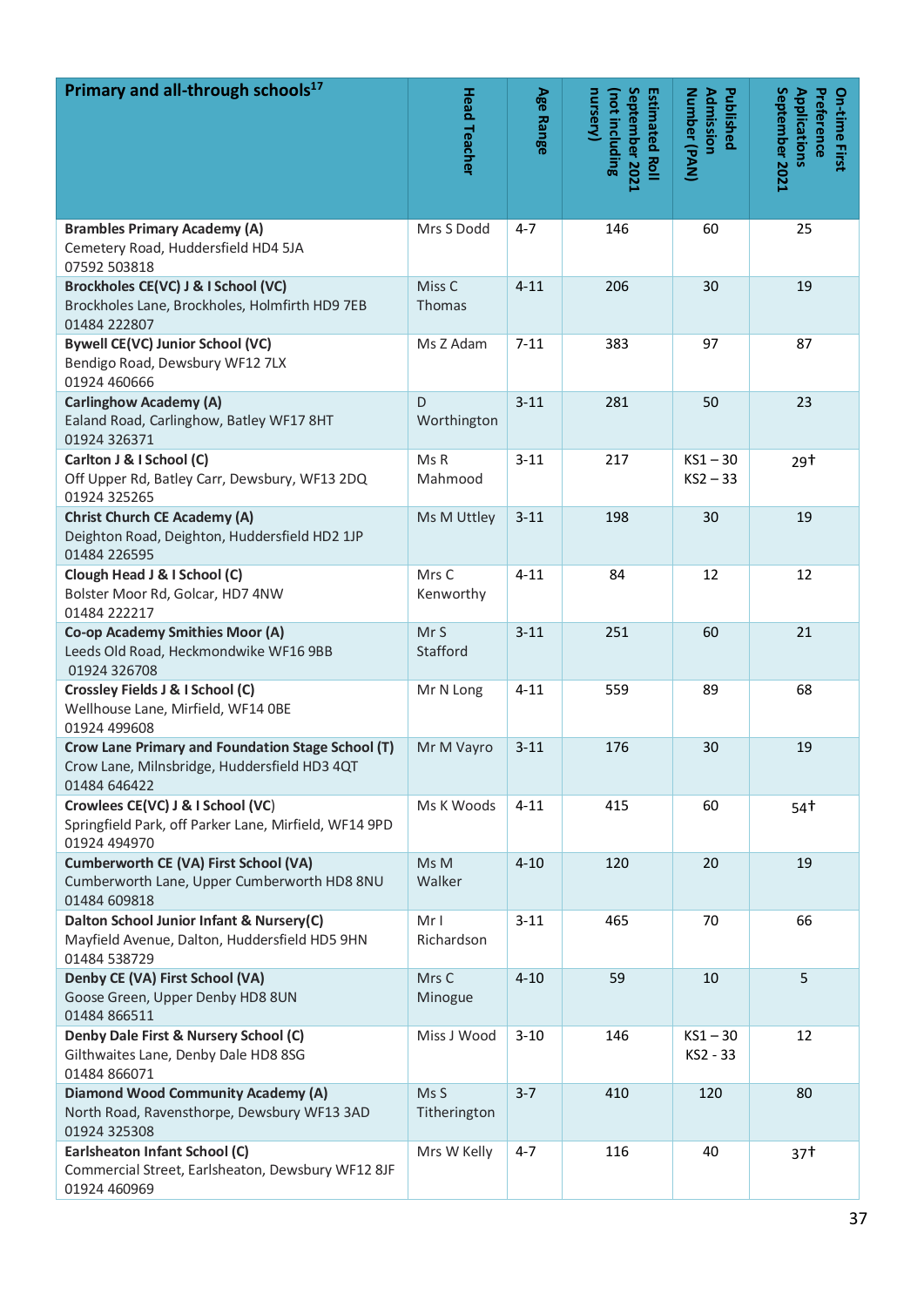| Primary and all-through schools <sup>17</sup>                                                                     | <b>Head Teacher</b>                | Age Range | September 2021<br>nursery)<br>(not including<br>Estimated Roll | Number (PAN)<br><b>Admission</b><br>Published | September 2021<br>Preference<br>Applications<br>On-time First |
|-------------------------------------------------------------------------------------------------------------------|------------------------------------|-----------|----------------------------------------------------------------|-----------------------------------------------|---------------------------------------------------------------|
| <b>Brambles Primary Academy (A)</b><br>Cemetery Road, Huddersfield HD4 5JA<br>07592 503818                        | Mrs S Dodd                         | $4 - 7$   | 146                                                            | 60                                            | 25                                                            |
| Brockholes CE(VC) J & I School (VC)<br>Brockholes Lane, Brockholes, Holmfirth HD9 7EB<br>01484 222807             | Miss <sub>C</sub><br><b>Thomas</b> | $4 - 11$  | 206                                                            | 30                                            | 19                                                            |
| <b>Bywell CE(VC) Junior School (VC)</b><br>Bendigo Road, Dewsbury WF12 7LX<br>01924 460666                        | Ms Z Adam                          | $7 - 11$  | 383                                                            | 97                                            | 87                                                            |
| <b>Carlinghow Academy (A)</b><br>Ealand Road, Carlinghow, Batley WF17 8HT<br>01924 326371                         | D<br>Worthington                   | $3 - 11$  | 281                                                            | 50                                            | 23                                                            |
| Carlton J & I School (C)<br>Off Upper Rd, Batley Carr, Dewsbury, WF13 2DQ<br>01924 325265                         | MsR<br>Mahmood                     | $3 - 11$  | 217                                                            | $KS1 - 30$<br>$KS2 - 33$                      | 29†                                                           |
| <b>Christ Church CE Academy (A)</b><br>Deighton Road, Deighton, Huddersfield HD2 1JP<br>01484 226595              | Ms M Uttley                        | $3 - 11$  | 198                                                            | 30                                            | 19                                                            |
| Clough Head J & I School (C)<br>Bolster Moor Rd, Golcar, HD7 4NW<br>01484 222217                                  | Mrs C<br>Kenworthy                 | $4 - 11$  | 84                                                             | 12                                            | 12                                                            |
| Co-op Academy Smithies Moor (A)<br>Leeds Old Road, Heckmondwike WF16 9BB<br>01924 326708                          | Mr S<br>Stafford                   | $3 - 11$  | 251                                                            | 60                                            | 21                                                            |
| Crossley Fields J & I School (C)<br>Wellhouse Lane, Mirfield, WF14 OBE<br>01924 499608                            | Mr N Long                          | $4 - 11$  | 559                                                            | 89                                            | 68                                                            |
| Crow Lane Primary and Foundation Stage School (T)<br>Crow Lane, Milnsbridge, Huddersfield HD3 4QT<br>01484 646422 | Mr M Vayro                         | $3 - 11$  | 176                                                            | 30                                            | 19                                                            |
| Crowlees CE(VC) J & I School (VC)<br>Springfield Park, off Parker Lane, Mirfield, WF14 9PD<br>01924 494970        | Ms K Woods                         | $4 - 11$  | 415                                                            | 60                                            | 54†                                                           |
| <b>Cumberworth CE (VA) First School (VA)</b><br>Cumberworth Lane, Upper Cumberworth HD8 8NU<br>01484 609818       | Ms M<br>Walker                     | $4 - 10$  | 120                                                            | 20                                            | 19                                                            |
| Dalton School Junior Infant & Nursery(C)<br>Mayfield Avenue, Dalton, Huddersfield HD5 9HN<br>01484 538729         | Mr I<br>Richardson                 | $3 - 11$  | 465                                                            | 70                                            | 66                                                            |
| Denby CE (VA) First School (VA)<br>Goose Green, Upper Denby HD8 8UN<br>01484 866511                               | Mrs C<br>Minogue                   | $4 - 10$  | 59                                                             | 10                                            | 5                                                             |
| Denby Dale First & Nursery School (C)<br>Gilthwaites Lane, Denby Dale HD8 8SG<br>01484 866071                     | Miss J Wood                        | $3 - 10$  | 146                                                            | $KS1 - 30$<br>KS2 - 33                        | 12                                                            |
| <b>Diamond Wood Community Academy (A)</b><br>North Road, Ravensthorpe, Dewsbury WF13 3AD<br>01924 325308          | Ms S<br>Titherington               | $3 - 7$   | 410                                                            | 120                                           | 80                                                            |
| Earlsheaton Infant School (C)<br>Commercial Street, Earlsheaton, Dewsbury WF12 8JF<br>01924 460969                | Mrs W Kelly                        | $4 - 7$   | 116                                                            | 40                                            | 37†                                                           |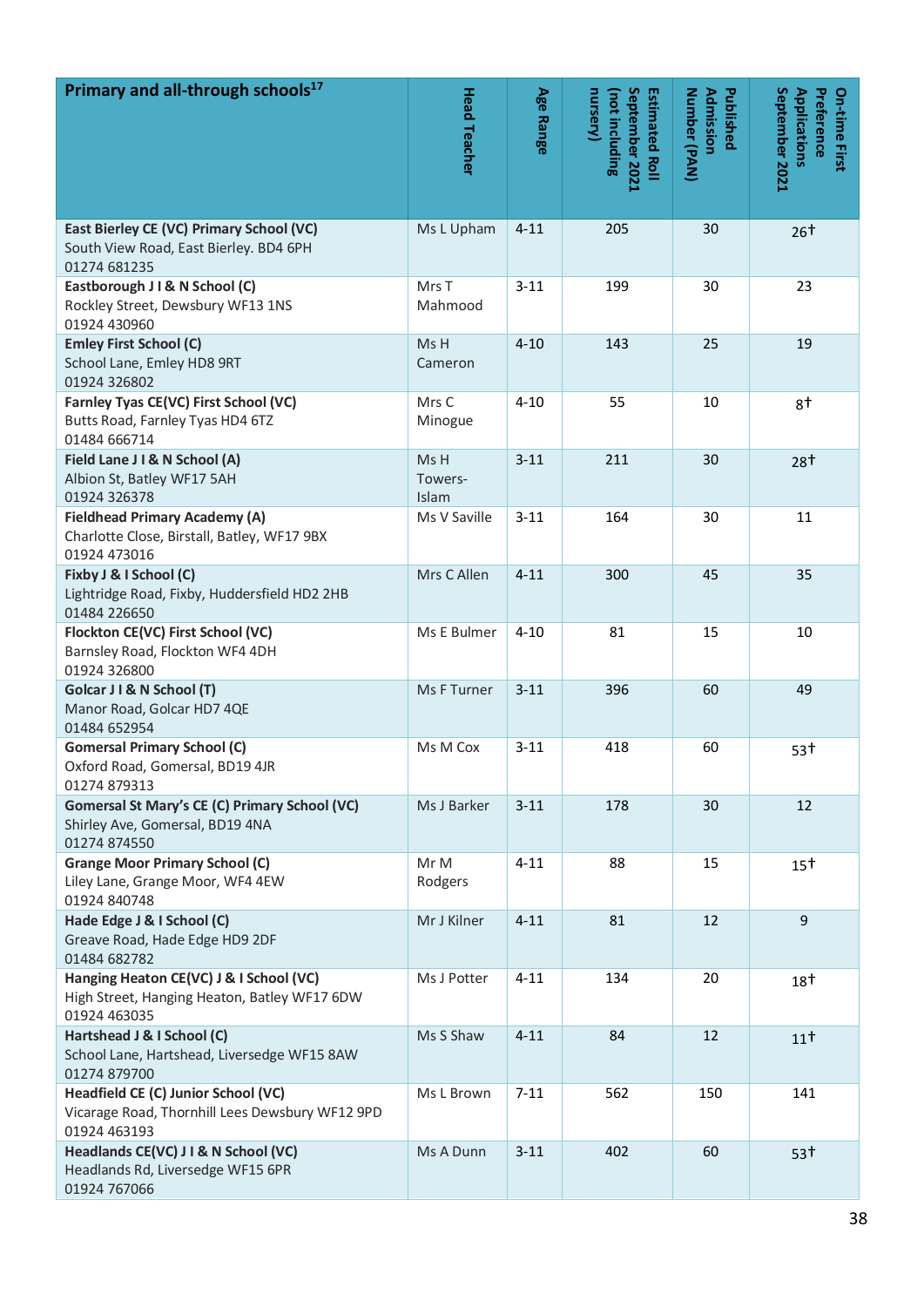| Primary and all-through schools <sup>17</sup>                                                           | <b>Head Teacher</b>      | Age Range | September 2021<br>uursery)<br>(not including<br>Estimated Roll | Number (PAN)<br>Admission<br>Published | September 2021<br>Preference<br>Applications<br>On-time First |
|---------------------------------------------------------------------------------------------------------|--------------------------|-----------|----------------------------------------------------------------|----------------------------------------|---------------------------------------------------------------|
| East Bierley CE (VC) Primary School (VC)<br>South View Road, East Bierley. BD4 6PH<br>01274 681235      | Ms L Upham               | $4 - 11$  | 205                                                            | 30                                     | $26+$                                                         |
| Eastborough J I & N School (C)<br>Rockley Street, Dewsbury WF13 1NS<br>01924 430960                     | Mrs T<br>Mahmood         | $3 - 11$  | 199                                                            | 30                                     | 23                                                            |
| <b>Emley First School (C)</b><br>School Lane, Emley HD8 9RT<br>01924 326802                             | Ms H<br>Cameron          | $4 - 10$  | 143                                                            | 25                                     | 19                                                            |
| Farnley Tyas CE(VC) First School (VC)<br>Butts Road, Farnley Tyas HD4 6TZ<br>01484 666714               | Mrs C<br>Minogue         | $4 - 10$  | 55                                                             | 10                                     | 8t                                                            |
| Field Lane J I & N School (A)<br>Albion St, Batley WF17 5AH<br>01924 326378                             | Ms H<br>Towers-<br>Islam | $3 - 11$  | 211                                                            | 30                                     | 28 <sup>†</sup>                                               |
| <b>Fieldhead Primary Academy (A)</b><br>Charlotte Close, Birstall, Batley, WF17 9BX<br>01924 473016     | Ms V Saville             | $3 - 11$  | 164                                                            | 30                                     | 11                                                            |
| Fixby J & I School (C)<br>Lightridge Road, Fixby, Huddersfield HD2 2HB<br>01484 226650                  | Mrs C Allen              | $4 - 11$  | 300                                                            | 45                                     | 35                                                            |
| Flockton CE(VC) First School (VC)<br>Barnsley Road, Flockton WF4 4DH<br>01924 326800                    | Ms E Bulmer              | $4 - 10$  | 81                                                             | 15                                     | 10                                                            |
| Golcar J I & N School (T)<br>Manor Road, Golcar HD7 4QE<br>01484 652954                                 | Ms F Turner              | $3 - 11$  | 396                                                            | 60                                     | 49                                                            |
| <b>Gomersal Primary School (C)</b><br>Oxford Road, Gomersal, BD19 4JR<br>01274 879313                   | Ms M Cox                 | $3 - 11$  | 418                                                            | 60                                     | 53†                                                           |
| Gomersal St Mary's CE (C) Primary School (VC)<br>Shirley Ave, Gomersal, BD19 4NA<br>01274 874550        | Ms J Barker              | $3 - 11$  | 178                                                            | 30                                     | 12                                                            |
| <b>Grange Moor Primary School (C)</b><br>Liley Lane, Grange Moor, WF4 4EW<br>01924 840748               | Mr M<br>Rodgers          | $4 - 11$  | 88                                                             | 15                                     | 15 <sup>†</sup>                                               |
| Hade Edge J & I School (C)<br>Greave Road, Hade Edge HD9 2DF<br>01484 682782                            | Mr J Kilner              | $4 - 11$  | 81                                                             | 12                                     | 9                                                             |
| Hanging Heaton CE(VC) J & I School (VC)<br>High Street, Hanging Heaton, Batley WF17 6DW<br>01924 463035 | Ms J Potter              | $4 - 11$  | 134                                                            | 20                                     | 18†                                                           |
| Hartshead J & I School (C)<br>School Lane, Hartshead, Liversedge WF15 8AW<br>01274 879700               | Ms S Shaw                | $4 - 11$  | 84                                                             | 12                                     | 11 <sup>†</sup>                                               |
| Headfield CE (C) Junior School (VC)<br>Vicarage Road, Thornhill Lees Dewsbury WF12 9PD<br>01924 463193  | Ms L Brown               | $7 - 11$  | 562                                                            | 150                                    | 141                                                           |
| Headlands CE(VC) J I & N School (VC)<br>Headlands Rd, Liversedge WF15 6PR<br>01924 767066               | Ms A Dunn                | $3 - 11$  | 402                                                            | 60                                     | $53+$                                                         |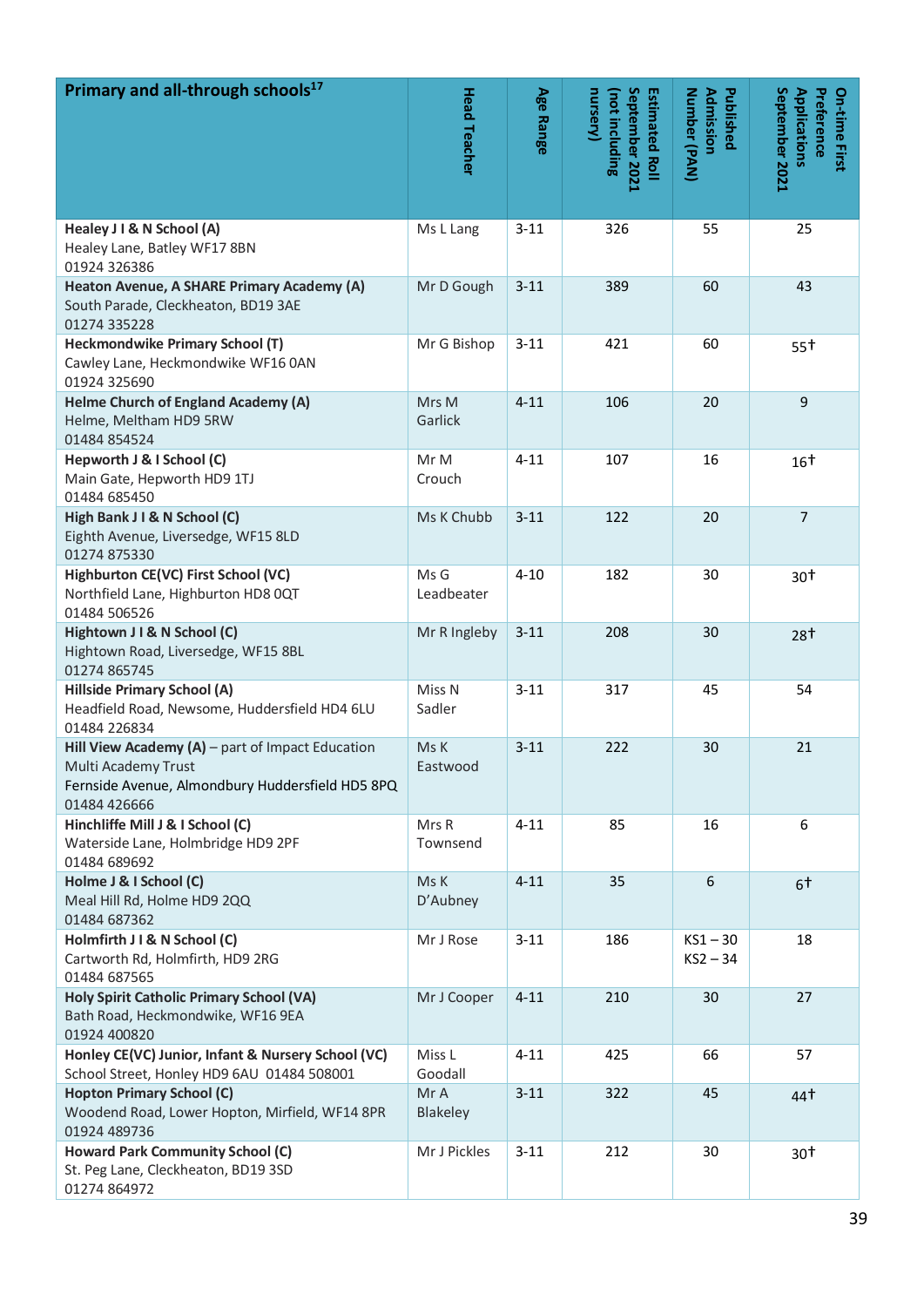| Primary and all-through schools <sup>17</sup>                                                                                               | <b>Head Teacher</b> | Age Range | September 2021<br>uursery)<br>(not including<br>Estimated Roll | Number (PAN)<br>Admission<br>Published | September 2021<br>Preference<br>Applications<br>On-time First |
|---------------------------------------------------------------------------------------------------------------------------------------------|---------------------|-----------|----------------------------------------------------------------|----------------------------------------|---------------------------------------------------------------|
| Healey J I & N School (A)<br>Healey Lane, Batley WF17 8BN<br>01924 326386                                                                   | Ms L Lang           | $3 - 11$  | 326                                                            | 55                                     | 25                                                            |
| Heaton Avenue, A SHARE Primary Academy (A)<br>South Parade, Cleckheaton, BD19 3AE<br>01274 335228                                           | Mr D Gough          | $3 - 11$  | 389                                                            | 60                                     | 43                                                            |
| <b>Heckmondwike Primary School (T)</b><br>Cawley Lane, Heckmondwike WF16 0AN<br>01924 325690                                                | Mr G Bishop         | $3 - 11$  | 421                                                            | 60                                     | 55†                                                           |
| <b>Helme Church of England Academy (A)</b><br>Helme, Meltham HD9 5RW<br>01484 854524                                                        | Mrs M<br>Garlick    | $4 - 11$  | 106                                                            | 20                                     | 9                                                             |
| Hepworth J & I School (C)<br>Main Gate, Hepworth HD9 1TJ<br>01484 685450                                                                    | Mr M<br>Crouch      | $4 - 11$  | 107                                                            | 16                                     | 16 <sup>†</sup>                                               |
| High Bank J I & N School (C)<br>Eighth Avenue, Liversedge, WF15 8LD<br>01274 875330                                                         | Ms K Chubb          | $3 - 11$  | 122                                                            | 20                                     | $\overline{7}$                                                |
| Highburton CE(VC) First School (VC)<br>Northfield Lane, Highburton HD8 0QT<br>01484 506526                                                  | Ms G<br>Leadbeater  | $4 - 10$  | 182                                                            | 30                                     | 30†                                                           |
| Hightown J I & N School (C)<br>Hightown Road, Liversedge, WF15 8BL<br>01274 865745                                                          | Mr R Ingleby        | $3 - 11$  | 208                                                            | 30                                     | 28 <sup>†</sup>                                               |
| <b>Hillside Primary School (A)</b><br>Headfield Road, Newsome, Huddersfield HD4 6LU<br>01484 226834                                         | Miss N<br>Sadler    | $3 - 11$  | 317                                                            | 45                                     | 54                                                            |
| Hill View Academy (A) - part of Impact Education<br>Multi Academy Trust<br>Fernside Avenue, Almondbury Huddersfield HD5 8PQ<br>01484 426666 | Ms K<br>Eastwood    | $3 - 11$  | 222                                                            | 30                                     | 21                                                            |
| Hinchliffe Mill J & I School (C)<br>Waterside Lane, Holmbridge HD9 2PF<br>01484 689692                                                      | Mrs R<br>Townsend   | $4 - 11$  | 85                                                             | 16                                     | 6                                                             |
| Holme J & I School (C)<br>Meal Hill Rd, Holme HD9 2QQ<br>01484 687362                                                                       | Ms K<br>D'Aubney    | $4 - 11$  | 35                                                             | 6                                      | 6 <sup>†</sup>                                                |
| Holmfirth J I & N School (C)<br>Cartworth Rd, Holmfirth, HD9 2RG<br>01484 687565                                                            | Mr J Rose           | $3 - 11$  | 186                                                            | $KS1 - 30$<br>$KS2 - 34$               | 18                                                            |
| <b>Holy Spirit Catholic Primary School (VA)</b><br>Bath Road, Heckmondwike, WF16 9EA<br>01924 400820                                        | Mr J Cooper         | $4 - 11$  | 210                                                            | 30                                     | 27                                                            |
| Honley CE(VC) Junior, Infant & Nursery School (VC)<br>School Street, Honley HD9 6AU 01484 508001                                            | Miss L<br>Goodall   | $4 - 11$  | 425                                                            | 66                                     | 57                                                            |
| <b>Hopton Primary School (C)</b><br>Woodend Road, Lower Hopton, Mirfield, WF14 8PR<br>01924 489736                                          | Mr A<br>Blakeley    | $3 - 11$  | 322                                                            | 45                                     | 44 <sup>†</sup>                                               |
| <b>Howard Park Community School (C)</b><br>St. Peg Lane, Cleckheaton, BD19 3SD<br>01274 864972                                              | Mr J Pickles        | $3 - 11$  | 212                                                            | 30                                     | 30†                                                           |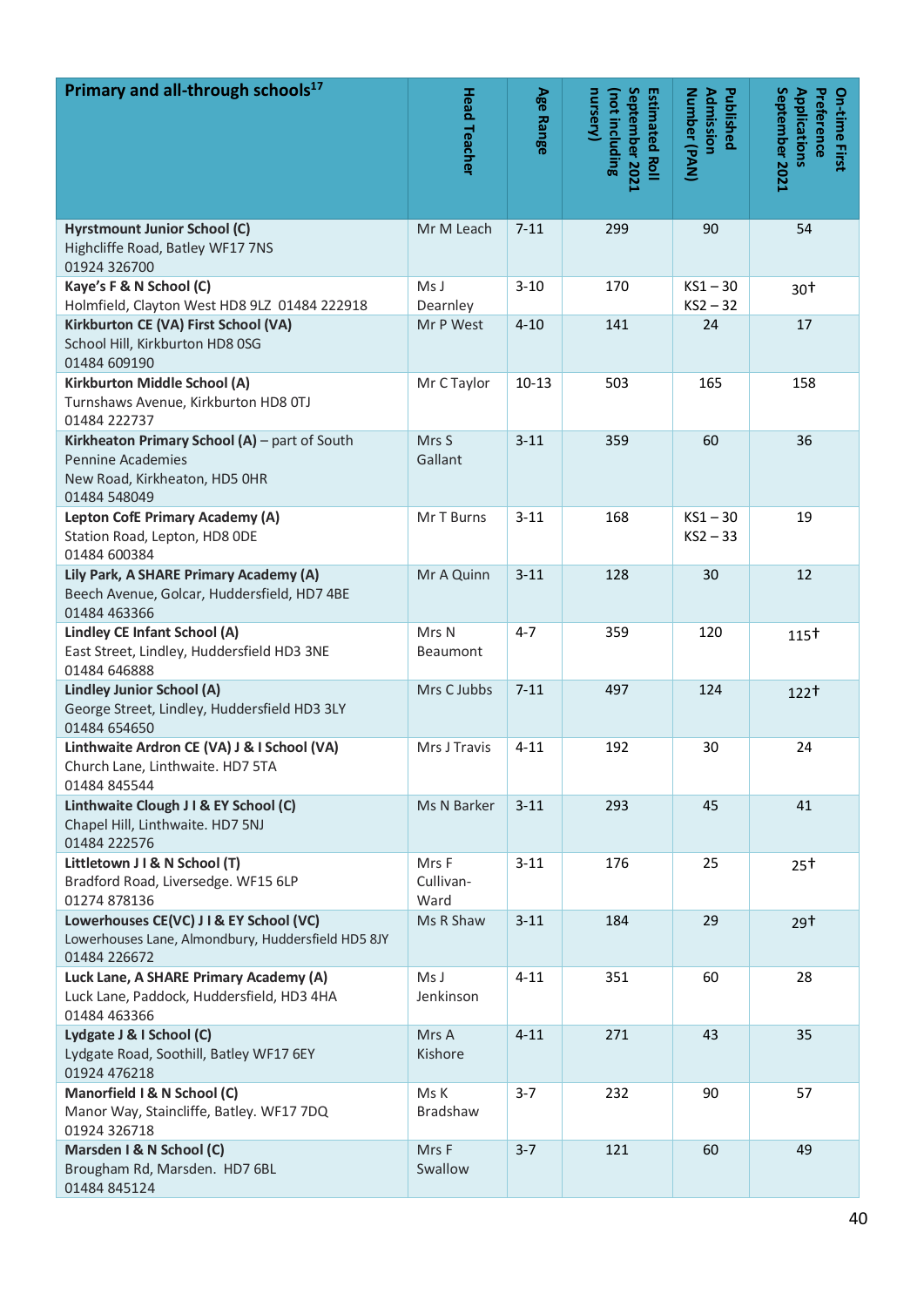| Primary and all-through schools <sup>17</sup>                                                                              | <b>Head Teacher</b>        | Age Range | uursery)<br>September 2021<br>(not including<br>Estimated Roll | <b>Admission</b><br>Number (PAN)<br>Published | September 2021<br>Preference<br>Applications<br>On-time First |
|----------------------------------------------------------------------------------------------------------------------------|----------------------------|-----------|----------------------------------------------------------------|-----------------------------------------------|---------------------------------------------------------------|
| <b>Hyrstmount Junior School (C)</b><br>Highcliffe Road, Batley WF17 7NS<br>01924 326700                                    | Mr M Leach                 | $7 - 11$  | 299                                                            | 90                                            | 54                                                            |
| Kaye's F & N School (C)<br>Holmfield, Clayton West HD8 9LZ 01484 222918                                                    | Ms J<br>Dearnley           | $3 - 10$  | 170                                                            | $KS1 - 30$<br>$KS2 - 32$                      | 30†                                                           |
| Kirkburton CE (VA) First School (VA)<br>School Hill, Kirkburton HD8 0SG<br>01484 609190                                    | Mr P West                  | $4 - 10$  | 141                                                            | 24                                            | 17                                                            |
| Kirkburton Middle School (A)<br>Turnshaws Avenue, Kirkburton HD8 0TJ<br>01484 222737                                       | Mr C Taylor                | $10 - 13$ | 503                                                            | 165                                           | 158                                                           |
| Kirkheaton Primary School (A) - part of South<br><b>Pennine Academies</b><br>New Road, Kirkheaton, HD5 OHR<br>01484 548049 | Mrs S<br>Gallant           | $3 - 11$  | 359                                                            | 60                                            | 36                                                            |
| Lepton CofE Primary Academy (A)<br>Station Road, Lepton, HD8 ODE<br>01484 600384                                           | Mr T Burns                 | $3 - 11$  | 168                                                            | $KS1 - 30$<br>$KS2 - 33$                      | 19                                                            |
| Lily Park, A SHARE Primary Academy (A)<br>Beech Avenue, Golcar, Huddersfield, HD7 4BE<br>01484 463366                      | Mr A Quinn                 | $3 - 11$  | 128                                                            | 30                                            | 12                                                            |
| Lindley CE Infant School (A)<br>East Street, Lindley, Huddersfield HD3 3NE<br>01484 646888                                 | Mrs N<br><b>Beaumont</b>   | $4 - 7$   | 359                                                            | 120                                           | 115 <sup>†</sup>                                              |
| <b>Lindley Junior School (A)</b><br>George Street, Lindley, Huddersfield HD3 3LY<br>01484 654650                           | Mrs C Jubbs                | $7 - 11$  | 497                                                            | 124                                           | 122 <sup>†</sup>                                              |
| Linthwaite Ardron CE (VA) J & I School (VA)<br>Church Lane, Linthwaite. HD7 5TA<br>01484 845544                            | Mrs J Travis               | $4 - 11$  | 192                                                            | 30                                            | 24                                                            |
| Linthwaite Clough J I & EY School (C)<br>Chapel Hill, Linthwaite. HD7 5NJ<br>01484 222576                                  | Ms N Barker                | $3 - 11$  | 293                                                            | 45                                            | 41                                                            |
| Littletown J I & N School (T)<br>Bradford Road, Liversedge. WF15 6LP<br>01274 878136                                       | Mrs F<br>Cullivan-<br>Ward | $3 - 11$  | 176                                                            | 25                                            | 25†                                                           |
| Lowerhouses CE(VC) J I & EY School (VC)<br>Lowerhouses Lane, Almondbury, Huddersfield HD5 8JY<br>01484 226672              | Ms R Shaw                  | $3 - 11$  | 184                                                            | 29                                            | 29 <sup>†</sup>                                               |
| Luck Lane, A SHARE Primary Academy (A)<br>Luck Lane, Paddock, Huddersfield, HD3 4HA<br>01484 463366                        | Ms J<br>Jenkinson          | $4 - 11$  | 351                                                            | 60                                            | 28                                                            |
| Lydgate J & I School (C)<br>Lydgate Road, Soothill, Batley WF17 6EY<br>01924 476218                                        | Mrs A<br>Kishore           | $4 - 11$  | 271                                                            | 43                                            | 35                                                            |
| Manorfield I & N School (C)<br>Manor Way, Staincliffe, Batley. WF17 7DQ<br>01924 326718                                    | Ms K<br>Bradshaw           | $3 - 7$   | 232                                                            | 90                                            | 57                                                            |
| Marsden I & N School (C)<br>Brougham Rd, Marsden. HD7 6BL<br>01484 845124                                                  | Mrs F<br>Swallow           | $3 - 7$   | 121                                                            | 60                                            | 49                                                            |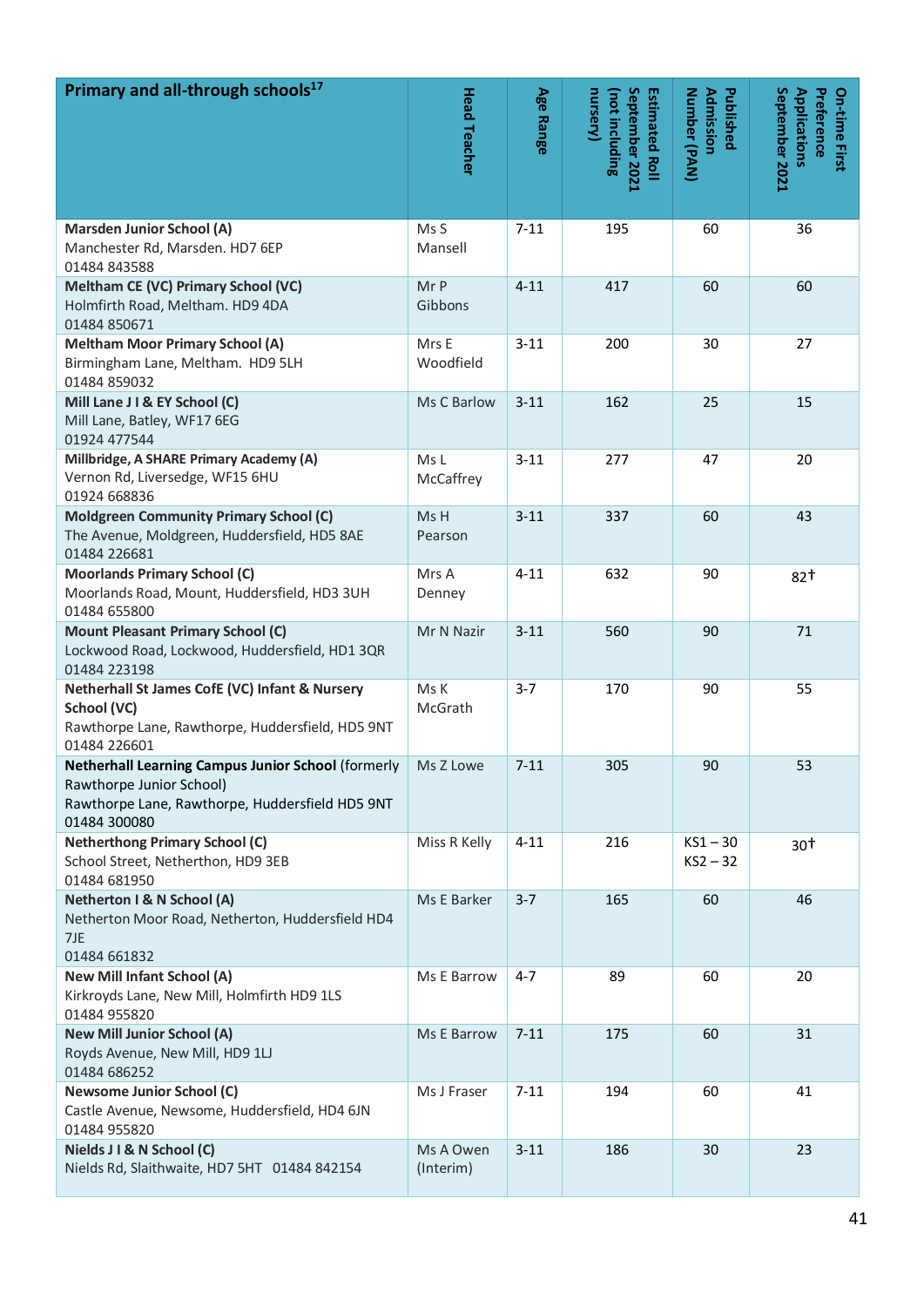| Primary and all-through schools <sup>17</sup>                                                                                                            | <b>Head Teacher</b>    | Age Range | September 2021<br>nursery)<br>(not including<br>Estimated Roll | Number (PAN)<br>Admission<br>Published | September 2021<br>Preference<br>Applications<br>On-time First |
|----------------------------------------------------------------------------------------------------------------------------------------------------------|------------------------|-----------|----------------------------------------------------------------|----------------------------------------|---------------------------------------------------------------|
| <b>Marsden Junior School (A)</b><br>Manchester Rd, Marsden. HD7 6EP<br>01484 843588                                                                      | Ms S<br>Mansell        | $7 - 11$  | 195                                                            | 60                                     | 36                                                            |
| Meltham CE (VC) Primary School (VC)<br>Holmfirth Road, Meltham. HD9 4DA<br>01484 850671                                                                  | Mr P<br>Gibbons        | $4 - 11$  | 417                                                            | 60                                     | 60                                                            |
| <b>Meltham Moor Primary School (A)</b><br>Birmingham Lane, Meltham. HD9 5LH<br>01484 859032                                                              | Mrs E<br>Woodfield     | $3 - 11$  | 200                                                            | 30                                     | 27                                                            |
| Mill Lane J I & EY School (C)<br>Mill Lane, Batley, WF17 6EG<br>01924 477544                                                                             | Ms C Barlow            | $3 - 11$  | 162                                                            | 25                                     | 15                                                            |
| Millbridge, A SHARE Primary Academy (A)<br>Vernon Rd, Liversedge, WF15 6HU<br>01924 668836                                                               | Ms L<br>McCaffrey      | $3 - 11$  | 277                                                            | 47                                     | 20                                                            |
| <b>Moldgreen Community Primary School (C)</b><br>The Avenue, Moldgreen, Huddersfield, HD5 8AE<br>01484 226681                                            | Ms H<br>Pearson        | $3 - 11$  | 337                                                            | 60                                     | 43                                                            |
| <b>Moorlands Primary School (C)</b><br>Moorlands Road, Mount, Huddersfield, HD3 3UH<br>01484 655800                                                      | Mrs A<br>Denney        | $4 - 11$  | 632                                                            | 90                                     | 82†                                                           |
| <b>Mount Pleasant Primary School (C)</b><br>Lockwood Road, Lockwood, Huddersfield, HD1 3QR<br>01484 223198                                               | Mr N Nazir             | $3 - 11$  | 560                                                            | 90                                     | 71                                                            |
| Netherhall St James CofE (VC) Infant & Nursery<br>School (VC)<br>Rawthorpe Lane, Rawthorpe, Huddersfield, HD5 9NT<br>01484 226601                        | Ms K<br>McGrath        | $3 - 7$   | 170                                                            | 90                                     | 55                                                            |
| <b>Netherhall Learning Campus Junior School (formerly</b><br>Rawthorpe Junior School)<br>Rawthorpe Lane, Rawthorpe, Huddersfield HD5 9NT<br>01484 300080 | Ms Z Lowe              | $7 - 11$  | 305                                                            | 90                                     | 53                                                            |
| <b>Netherthong Primary School (C)</b><br>School Street, Netherthon, HD9 3EB<br>01484 681950                                                              | Miss R Kelly           | $4 - 11$  | 216                                                            | $KS1 - 30$<br>$KS2 - 32$               | 30†                                                           |
| Netherton I & N School (A)<br>Netherton Moor Road, Netherton, Huddersfield HD4<br>7JE<br>01484 661832                                                    | Ms E Barker            | $3 - 7$   | 165                                                            | 60                                     | 46                                                            |
| <b>New Mill Infant School (A)</b><br>Kirkroyds Lane, New Mill, Holmfirth HD9 1LS<br>01484 955820                                                         | Ms E Barrow            | 4-7       | 89                                                             | 60                                     | 20                                                            |
| <b>New Mill Junior School (A)</b><br>Royds Avenue, New Mill, HD9 1LJ<br>01484 686252                                                                     | Ms E Barrow            | $7 - 11$  | 175                                                            | 60                                     | 31                                                            |
| <b>Newsome Junior School (C)</b><br>Castle Avenue, Newsome, Huddersfield, HD4 6JN<br>01484 955820                                                        | Ms J Fraser            | $7 - 11$  | 194                                                            | 60                                     | 41                                                            |
| Nields J I & N School (C)<br>Nields Rd, Slaithwaite, HD7 5HT 01484 842154                                                                                | Ms A Owen<br>(Interim) | $3 - 11$  | 186                                                            | 30                                     | 23                                                            |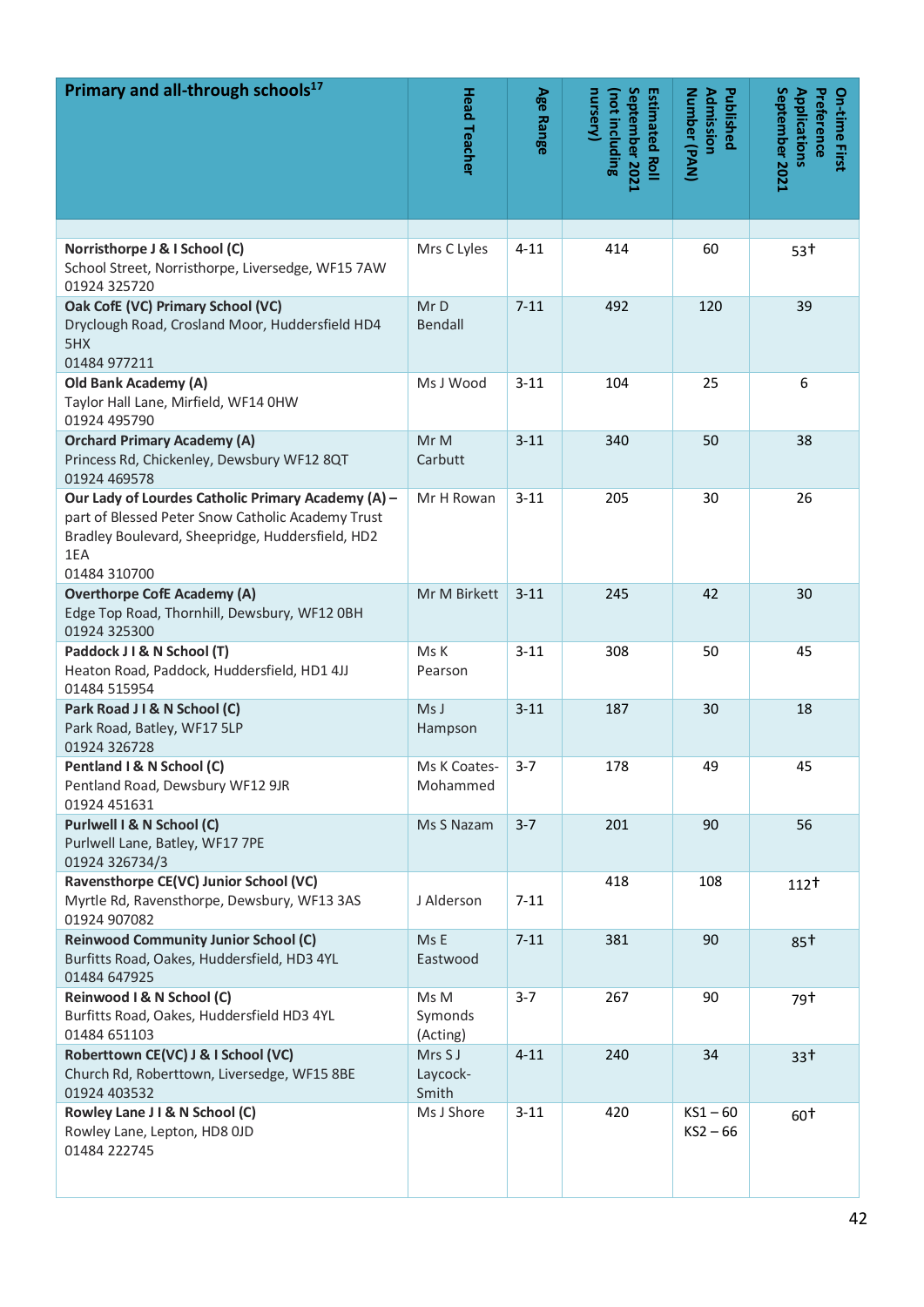| Primary and all-through schools <sup>17</sup>                                                                                                                                      | Head Teacher                 | Age Range | September 2021<br>uursery)<br>(not including<br>Estimated Roll | Number (PAN)<br>Admission<br>Published | September 2021<br>Preference<br><b>Applications</b><br>On-time First |
|------------------------------------------------------------------------------------------------------------------------------------------------------------------------------------|------------------------------|-----------|----------------------------------------------------------------|----------------------------------------|----------------------------------------------------------------------|
| Norristhorpe J & I School (C)<br>School Street, Norristhorpe, Liversedge, WF15 7AW<br>01924 325720                                                                                 | Mrs C Lyles                  | $4 - 11$  | 414                                                            | 60                                     | 53†                                                                  |
| Oak CofE (VC) Primary School (VC)<br>Dryclough Road, Crosland Moor, Huddersfield HD4<br>5HX<br>01484 977211                                                                        | Mr D<br>Bendall              | $7 - 11$  | 492                                                            | 120                                    | 39                                                                   |
| <b>Old Bank Academy (A)</b><br>Taylor Hall Lane, Mirfield, WF14 0HW<br>01924 495790                                                                                                | Ms J Wood                    | $3 - 11$  | 104                                                            | 25                                     | 6                                                                    |
| <b>Orchard Primary Academy (A)</b><br>Princess Rd, Chickenley, Dewsbury WF12 8QT<br>01924 469578                                                                                   | Mr M<br>Carbutt              | $3 - 11$  | 340                                                            | 50                                     | 38                                                                   |
| Our Lady of Lourdes Catholic Primary Academy (A) -<br>part of Blessed Peter Snow Catholic Academy Trust<br>Bradley Boulevard, Sheepridge, Huddersfield, HD2<br>1EA<br>01484 310700 | Mr H Rowan                   | $3 - 11$  | 205                                                            | 30                                     | 26                                                                   |
| <b>Overthorpe CofE Academy (A)</b><br>Edge Top Road, Thornhill, Dewsbury, WF12 0BH<br>01924 325300                                                                                 | Mr M Birkett                 | $3 - 11$  | 245                                                            | 42                                     | 30                                                                   |
| Paddock J I & N School (T)<br>Heaton Road, Paddock, Huddersfield, HD1 4JJ<br>01484 515954                                                                                          | Ms K<br>Pearson              | $3 - 11$  | 308                                                            | 50                                     | 45                                                                   |
| Park Road J I & N School (C)<br>Park Road, Batley, WF17 5LP<br>01924 326728                                                                                                        | Ms J<br>Hampson              | $3 - 11$  | 187                                                            | 30                                     | 18                                                                   |
| Pentland I & N School (C)<br>Pentland Road, Dewsbury WF12 9JR<br>01924 451631                                                                                                      | Ms K Coates-<br>Mohammed     | $3 - 7$   | 178                                                            | 49                                     | 45                                                                   |
| Purlwell I & N School (C)<br>Purlwell Lane, Batley, WF17 7PE<br>01924 326734/3                                                                                                     | Ms S Nazam                   | $3 - 7$   | 201                                                            | 90                                     | 56                                                                   |
| Ravensthorpe CE(VC) Junior School (VC)<br>Myrtle Rd, Ravensthorpe, Dewsbury, WF13 3AS<br>01924 907082                                                                              | J Alderson                   | $7 - 11$  | 418                                                            | 108                                    | 112 <sup>†</sup>                                                     |
| <b>Reinwood Community Junior School (C)</b><br>Burfitts Road, Oakes, Huddersfield, HD3 4YL<br>01484 647925                                                                         | Ms E<br>Eastwood             | $7 - 11$  | 381                                                            | 90                                     | $85+$                                                                |
| Reinwood I & N School (C)<br>Burfitts Road, Oakes, Huddersfield HD3 4YL<br>01484 651103                                                                                            | Ms M<br>Symonds<br>(Acting)  | $3 - 7$   | 267                                                            | 90                                     | 79†                                                                  |
| Roberttown CE(VC) J & I School (VC)<br>Church Rd, Roberttown, Liversedge, WF15 8BE<br>01924 403532                                                                                 | Mrs S J<br>Laycock-<br>Smith | $4 - 11$  | 240                                                            | 34                                     | $33+$                                                                |
| Rowley Lane J I & N School (C)<br>Rowley Lane, Lepton, HD8 OJD<br>01484 222745                                                                                                     | Ms J Shore                   | $3 - 11$  | 420                                                            | $KS1 - 60$<br>$KS2 - 66$               | 60†                                                                  |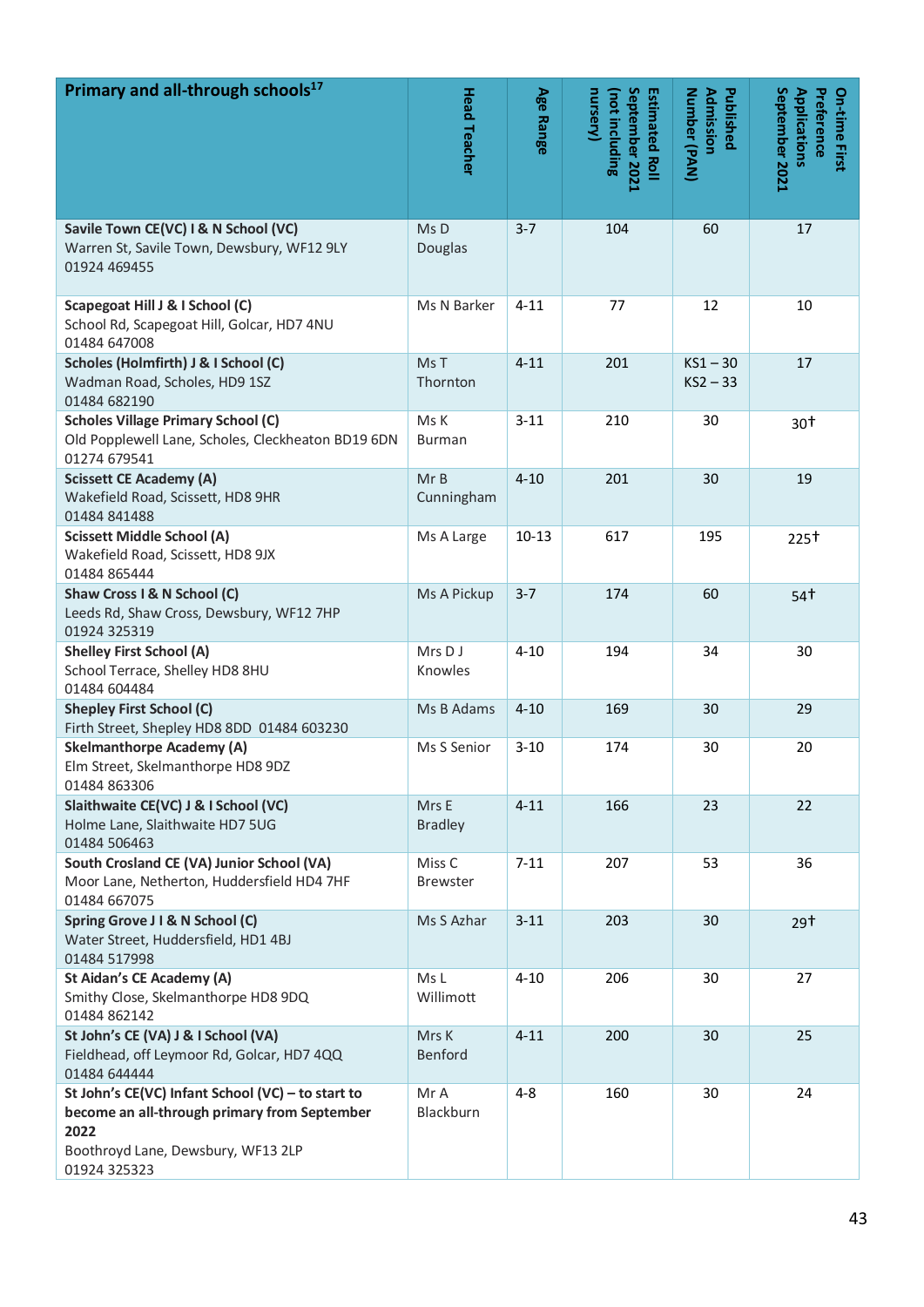| Primary and all-through schools <sup>17</sup>                                                                                                                   | <b>Head Teacher</b>     | Age Range | September 2021<br>uursery)<br>(not including<br>Estimated Roll | Number (PAN)<br><b>Admission</b><br>Published | September 2021<br>Preference<br><b>Applications</b><br>On-time First |
|-----------------------------------------------------------------------------------------------------------------------------------------------------------------|-------------------------|-----------|----------------------------------------------------------------|-----------------------------------------------|----------------------------------------------------------------------|
| Savile Town CE(VC) I & N School (VC)<br>Warren St, Savile Town, Dewsbury, WF12 9LY<br>01924 469455                                                              | Ms D<br>Douglas         | $3 - 7$   | 104                                                            | 60                                            | 17                                                                   |
| Scapegoat Hill J & I School (C)<br>School Rd, Scapegoat Hill, Golcar, HD7 4NU<br>01484 647008                                                                   | Ms N Barker             | $4 - 11$  | 77                                                             | 12                                            | 10                                                                   |
| Scholes (Holmfirth) J & I School (C)<br>Wadman Road, Scholes, HD9 1SZ<br>01484 682190                                                                           | Ms T<br>Thornton        | $4 - 11$  | 201                                                            | $KS1 - 30$<br>$KS2 - 33$                      | 17                                                                   |
| <b>Scholes Village Primary School (C)</b><br>Old Popplewell Lane, Scholes, Cleckheaton BD19 6DN<br>01274 679541                                                 | Ms K<br><b>Burman</b>   | $3 - 11$  | 210                                                            | 30                                            | 30†                                                                  |
| <b>Scissett CE Academy (A)</b><br>Wakefield Road, Scissett, HD8 9HR<br>01484 841488                                                                             | MrB<br>Cunningham       | $4 - 10$  | 201                                                            | 30                                            | 19                                                                   |
| <b>Scissett Middle School (A)</b><br>Wakefield Road, Scissett, HD8 9JX<br>01484 865444                                                                          | Ms A Large              | $10 - 13$ | 617                                                            | 195                                           | 225 <sup>†</sup>                                                     |
| Shaw Cross I & N School (C)<br>Leeds Rd, Shaw Cross, Dewsbury, WF12 7HP<br>01924 325319                                                                         | Ms A Pickup             | $3 - 7$   | 174                                                            | 60                                            | 54 <sup>†</sup>                                                      |
| <b>Shelley First School (A)</b><br>School Terrace, Shelley HD8 8HU<br>01484 604484                                                                              | Mrs D J<br>Knowles      | $4 - 10$  | 194                                                            | 34                                            | 30                                                                   |
| <b>Shepley First School (C)</b><br>Firth Street, Shepley HD8 8DD 01484 603230                                                                                   | Ms B Adams              | $4 - 10$  | 169                                                            | 30                                            | 29                                                                   |
| <b>Skelmanthorpe Academy (A)</b><br>Elm Street, Skelmanthorpe HD8 9DZ<br>01484 863306                                                                           | Ms S Senior             | $3 - 10$  | 174                                                            | 30                                            | 20                                                                   |
| Slaithwaite CE(VC) J & I School (VC)<br>Holme Lane, Slaithwaite HD7 5UG<br>01484 506463                                                                         | Mrs E<br><b>Bradley</b> | $4 - 11$  | 166                                                            | 23                                            | 22                                                                   |
| South Crosland CE (VA) Junior School (VA)<br>Moor Lane, Netherton, Huddersfield HD4 7HF<br>01484 667075                                                         | Miss C<br>Brewster      | $7 - 11$  | 207                                                            | 53                                            | 36                                                                   |
| Spring Grove J I & N School (C)<br>Water Street, Huddersfield, HD1 4BJ<br>01484 517998                                                                          | Ms S Azhar              | $3 - 11$  | 203                                                            | 30                                            | $29+$                                                                |
| St Aidan's CE Academy (A)<br>Smithy Close, Skelmanthorpe HD8 9DQ<br>01484 862142                                                                                | Ms L<br>Willimott       | $4 - 10$  | 206                                                            | 30                                            | 27                                                                   |
| St John's CE (VA) J & I School (VA)<br>Fieldhead, off Leymoor Rd, Golcar, HD7 4QQ<br>01484 644444                                                               | Mrs K<br>Benford        | $4 - 11$  | 200                                                            | 30                                            | 25                                                                   |
| St John's CE(VC) Infant School (VC) - to start to<br>become an all-through primary from September<br>2022<br>Boothroyd Lane, Dewsbury, WF13 2LP<br>01924 325323 | Mr A<br>Blackburn       | $4 - 8$   | 160                                                            | 30                                            | 24                                                                   |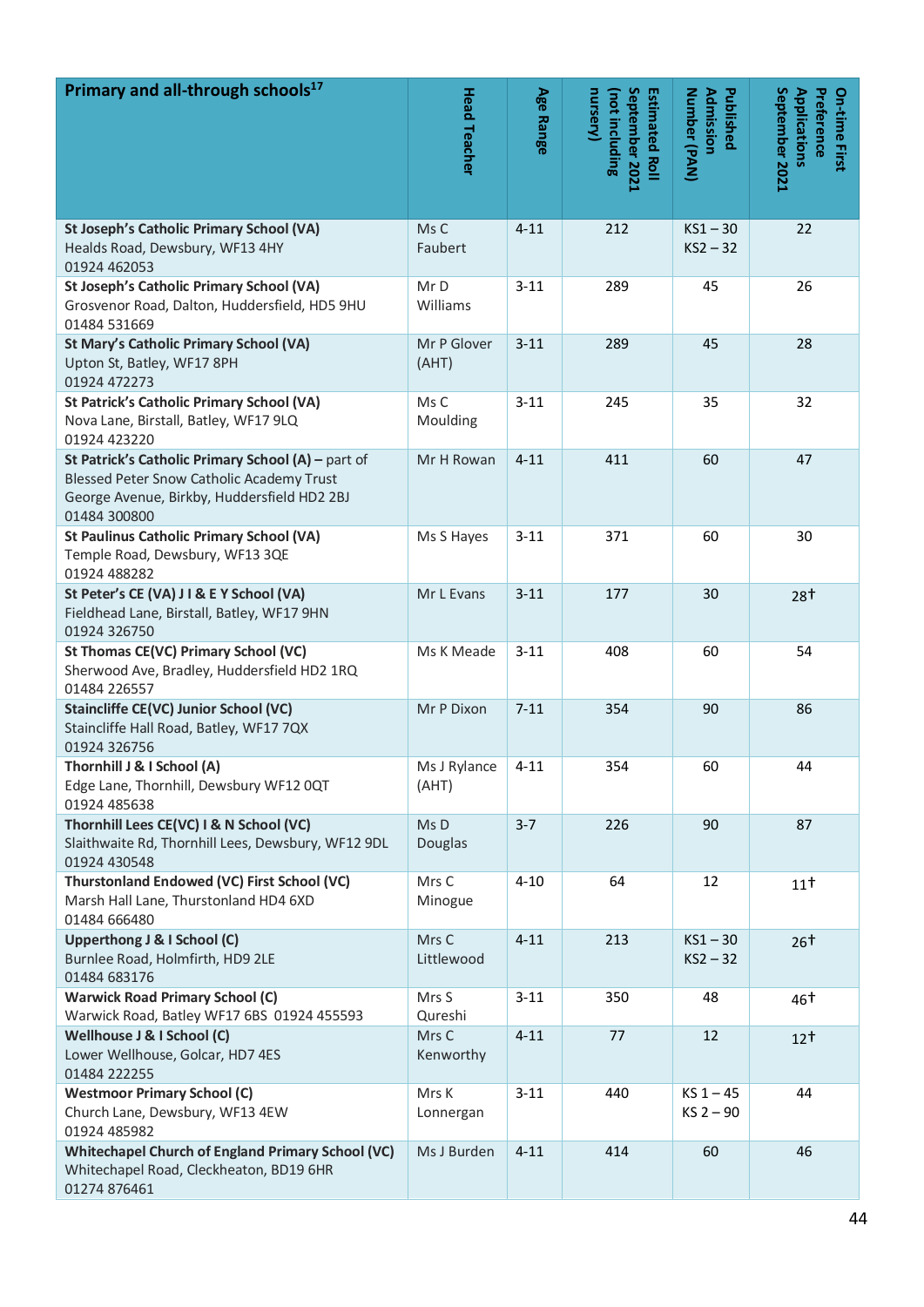| Primary and all-through schools <sup>17</sup>                                                                                                                         | <b>Head Teacher</b>   | <b>Age Range</b> | uursery)<br>September 2021<br>(not including<br>Estimated Roll | Published<br>Number (PAN)<br>Admission | September 2021<br>Preference<br>Applications<br>On-time First |
|-----------------------------------------------------------------------------------------------------------------------------------------------------------------------|-----------------------|------------------|----------------------------------------------------------------|----------------------------------------|---------------------------------------------------------------|
| St Joseph's Catholic Primary School (VA)<br>Healds Road, Dewsbury, WF13 4HY<br>01924 462053                                                                           | Ms C<br>Faubert       | $4 - 11$         | 212                                                            | $KS1 - 30$<br>$KS2 - 32$               | 22                                                            |
| St Joseph's Catholic Primary School (VA)<br>Grosvenor Road, Dalton, Huddersfield, HD5 9HU<br>01484 531669                                                             | Mr D<br>Williams      | $3 - 11$         | 289                                                            | 45                                     | 26                                                            |
| <b>St Mary's Catholic Primary School (VA)</b><br>Upton St, Batley, WF17 8PH<br>01924 472273                                                                           | Mr P Glover<br>(AHT)  | $3 - 11$         | 289                                                            | 45                                     | 28                                                            |
| St Patrick's Catholic Primary School (VA)<br>Nova Lane, Birstall, Batley, WF17 9LQ<br>01924 423220                                                                    | Ms C<br>Moulding      | $3 - 11$         | 245                                                            | 35                                     | 32                                                            |
| St Patrick's Catholic Primary School (A) - part of<br><b>Blessed Peter Snow Catholic Academy Trust</b><br>George Avenue, Birkby, Huddersfield HD2 2BJ<br>01484 300800 | Mr H Rowan            | $4 - 11$         | 411                                                            | 60                                     | 47                                                            |
| St Paulinus Catholic Primary School (VA)<br>Temple Road, Dewsbury, WF13 3QE<br>01924 488282                                                                           | Ms S Hayes            | $3 - 11$         | 371                                                            | 60                                     | 30                                                            |
| St Peter's CE (VA) J I & E Y School (VA)<br>Fieldhead Lane, Birstall, Batley, WF17 9HN<br>01924 326750                                                                | Mr L Evans            | $3 - 11$         | 177                                                            | 30                                     | 28 <sup>†</sup>                                               |
| St Thomas CE(VC) Primary School (VC)<br>Sherwood Ave, Bradley, Huddersfield HD2 1RQ<br>01484 226557                                                                   | Ms K Meade            | $3 - 11$         | 408                                                            | 60                                     | 54                                                            |
| <b>Staincliffe CE(VC) Junior School (VC)</b><br>Staincliffe Hall Road, Batley, WF17 7QX<br>01924 326756                                                               | Mr P Dixon            | $7 - 11$         | 354                                                            | 90                                     | 86                                                            |
| Thornhill J & I School (A)<br>Edge Lane, Thornhill, Dewsbury WF12 0QT<br>01924 485638                                                                                 | Ms J Rylance<br>(AHT) | $4 - 11$         | 354                                                            | 60                                     | 44                                                            |
| Thornhill Lees CE(VC) I & N School (VC)<br>Slaithwaite Rd, Thornhill Lees, Dewsbury, WF12 9DL<br>01924 430548                                                         | Ms D<br>Douglas       | $3 - 7$          | 226                                                            | 90                                     | 87                                                            |
| Thurstonland Endowed (VC) First School (VC)<br>Marsh Hall Lane, Thurstonland HD4 6XD<br>01484 666480                                                                  | Mrs C<br>Minogue      | $4 - 10$         | 64                                                             | 12                                     | 11 <sup>†</sup>                                               |
| Upperthong J & I School (C)<br>Burnlee Road, Holmfirth, HD9 2LE<br>01484 683176                                                                                       | Mrs C<br>Littlewood   | $4 - 11$         | 213                                                            | $KS1 - 30$<br>$KS2 - 32$               | $26+$                                                         |
| <b>Warwick Road Primary School (C)</b><br>Warwick Road, Batley WF17 6BS 01924 455593                                                                                  | Mrs S<br>Qureshi      | $3 - 11$         | 350                                                            | 48                                     | 46†                                                           |
| Wellhouse J & I School (C)<br>Lower Wellhouse, Golcar, HD7 4ES<br>01484 222255                                                                                        | Mrs C<br>Kenworthy    | $4 - 11$         | 77                                                             | 12                                     | 12 <sup>†</sup>                                               |
| <b>Westmoor Primary School (C)</b><br>Church Lane, Dewsbury, WF13 4EW<br>01924 485982                                                                                 | Mrs K<br>Lonnergan    | $3 - 11$         | 440                                                            | $KS$ 1 – 45<br>$KS$ 2 – 90             | 44                                                            |
| <b>Whitechapel Church of England Primary School (VC)</b><br>Whitechapel Road, Cleckheaton, BD19 6HR<br>01274 876461                                                   | Ms J Burden           | $4 - 11$         | 414                                                            | 60                                     | 46                                                            |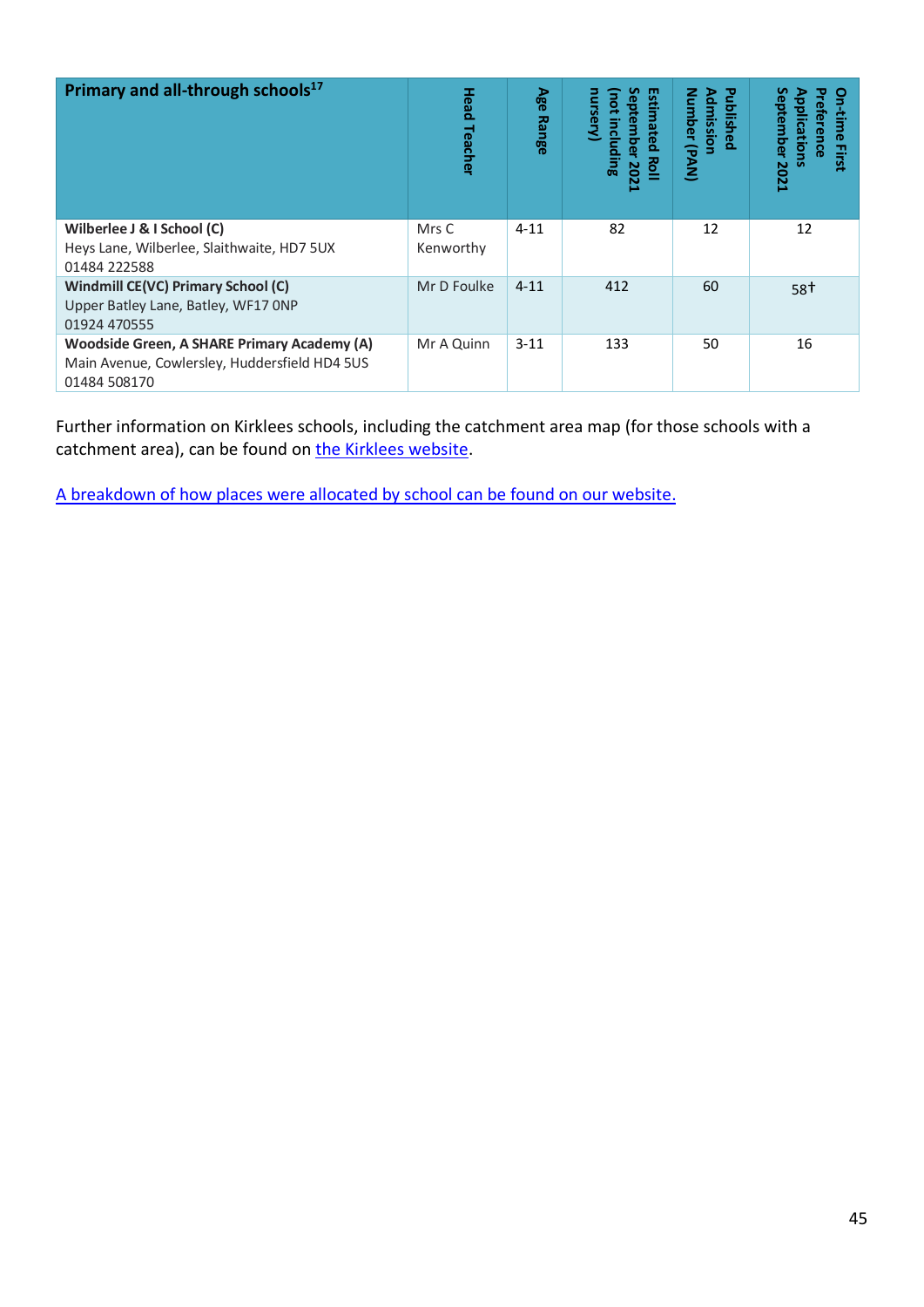| Primary and all-through schools <sup>17</sup>                                                                | <b>Head</b><br>Teacher | Age<br>Range | Estimated<br>September<br>not including<br>ursery<br>Roll<br>2021 | Published<br>Admission<br><b>Number</b><br>(NVd) | September<br>pplications<br>Ş<br>൹<br>ന<br>គ<br><b>First</b><br>2021 |
|--------------------------------------------------------------------------------------------------------------|------------------------|--------------|-------------------------------------------------------------------|--------------------------------------------------|----------------------------------------------------------------------|
| Wilberlee J & I School (C)<br>Heys Lane, Wilberlee, Slaithwaite, HD7 5UX<br>01484 222588                     | Mrs C<br>Kenworthy     | $4 - 11$     | 82                                                                | 12                                               | 12                                                                   |
| Windmill CE(VC) Primary School (C)<br>Upper Batley Lane, Batley, WF17 ONP<br>01924 470555                    | Mr D Foulke            | $4 - 11$     | 412                                                               | 60                                               | 58†                                                                  |
| Woodside Green, A SHARE Primary Academy (A)<br>Main Avenue, Cowlersley, Huddersfield HD4 5US<br>01484 508170 | Mr A Quinn             | $3 - 11$     | 133                                                               | 50                                               | 16                                                                   |

Further information on Kirklees schools, including the catchment area map (for those schools with a catchment area), can be found on [the Kirklees website.](https://www.kirklees.gov.uk/beta/schools/search-for-a-school/default.aspx)

A [breakdown of how places were allocated by school can be found on our website.](http://www.kirklees.gov.uk/beta/admissions/policies-and-publications.aspx)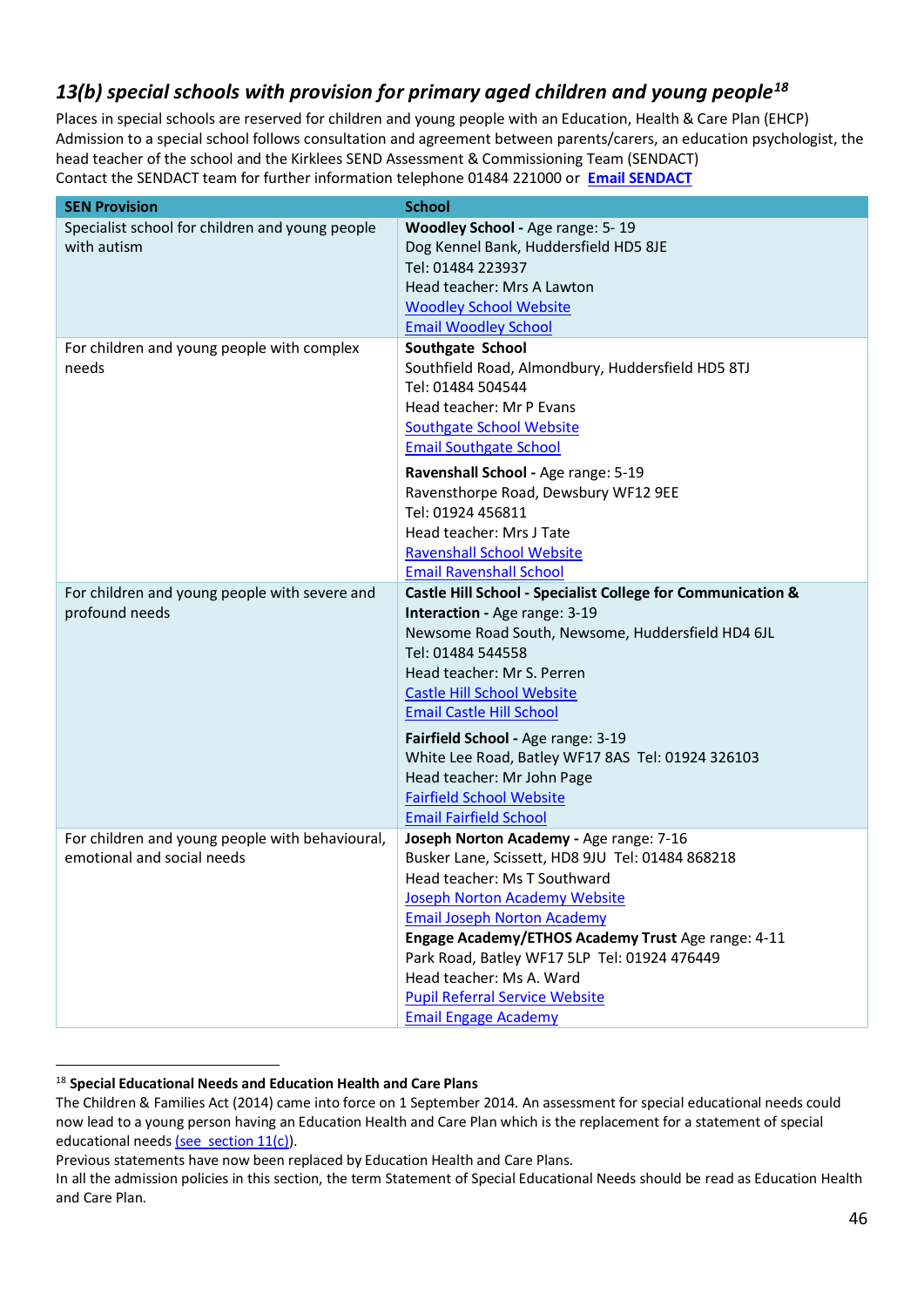### <span id="page-46-0"></span>*13(b) special schools with provision for primary aged children and young people<sup>18</sup>*

Places in special schools are reserved for children and young people with an Education, Health & Care Plan (EHCP) Admission to a special school follows consultation and agreement between parents/carers, an education psychologist, the head teacher of the school and the Kirklees SEND Assessment & Commissioning Team (SENDACT) Contact the SENDACT team for further information telephone 01484 221000 or **[Email SENDACT](mailto:SENACT@kirklees.gov.uk)**

| <b>SEN Provision</b>                                                          | <b>School</b>                                                                                                                                                                                                                                                                                                                                                                                                                                                             |
|-------------------------------------------------------------------------------|---------------------------------------------------------------------------------------------------------------------------------------------------------------------------------------------------------------------------------------------------------------------------------------------------------------------------------------------------------------------------------------------------------------------------------------------------------------------------|
| Specialist school for children and young people<br>with autism                | Woodley School - Age range: 5-19<br>Dog Kennel Bank, Huddersfield HD5 8JE<br>Tel: 01484 223937<br>Head teacher: Mrs A Lawton<br><b>Woodley School Website</b><br><b>Email Woodley School</b>                                                                                                                                                                                                                                                                              |
| For children and young people with complex<br>needs                           | Southgate School<br>Southfield Road, Almondbury, Huddersfield HD5 8TJ<br>Tel: 01484 504544<br>Head teacher: Mr P Evans<br><b>Southgate School Website</b><br><b>Email Southgate School</b>                                                                                                                                                                                                                                                                                |
|                                                                               | Ravenshall School - Age range: 5-19<br>Ravensthorpe Road, Dewsbury WF12 9EE<br>Tel: 01924 456811<br>Head teacher: Mrs J Tate<br><b>Ravenshall School Website</b><br><b>Email Ravenshall School</b>                                                                                                                                                                                                                                                                        |
| For children and young people with severe and<br>profound needs               | Castle Hill School - Specialist College for Communication &<br>Interaction - Age range: 3-19<br>Newsome Road South, Newsome, Huddersfield HD4 6JL<br>Tel: 01484 544558<br>Head teacher: Mr S. Perren<br><b>Castle Hill School Website</b><br><b>Email Castle Hill School</b><br>Fairfield School - Age range: 3-19<br>White Lee Road, Batley WF17 8AS Tel: 01924 326103<br>Head teacher: Mr John Page<br><b>Fairfield School Website</b><br><b>Email Fairfield School</b> |
| For children and young people with behavioural,<br>emotional and social needs | Joseph Norton Academy - Age range: 7-16<br>Busker Lane, Scissett, HD8 9JU Tel: 01484 868218<br>Head teacher: Ms T Southward<br><b>Joseph Norton Academy Website</b><br><b>Email Joseph Norton Academy</b><br>Engage Academy/ETHOS Academy Trust Age range: 4-11<br>Park Road, Batley WF17 5LP Tel: 01924 476449<br>Head teacher: Ms A. Ward<br><b>Pupil Referral Service Website</b><br><b>Email Engage Academy</b>                                                       |

<sup>18</sup> **Special Educational Needs and Education Health and Care Plans**

The Children & Families Act (2014) came into force on 1 September 2014. An assessment for special educational needs could now lead to a young person having an Education Health and Care Plan which is the replacement for a statement of special educational need[s \(see section 11\(c\)\)](#page-30-2).

Previous statements have now been replaced by Education Health and Care Plans.

In all the admission policies in this section, the term Statement of Special Educational Needs should be read as Education Health and Care Plan.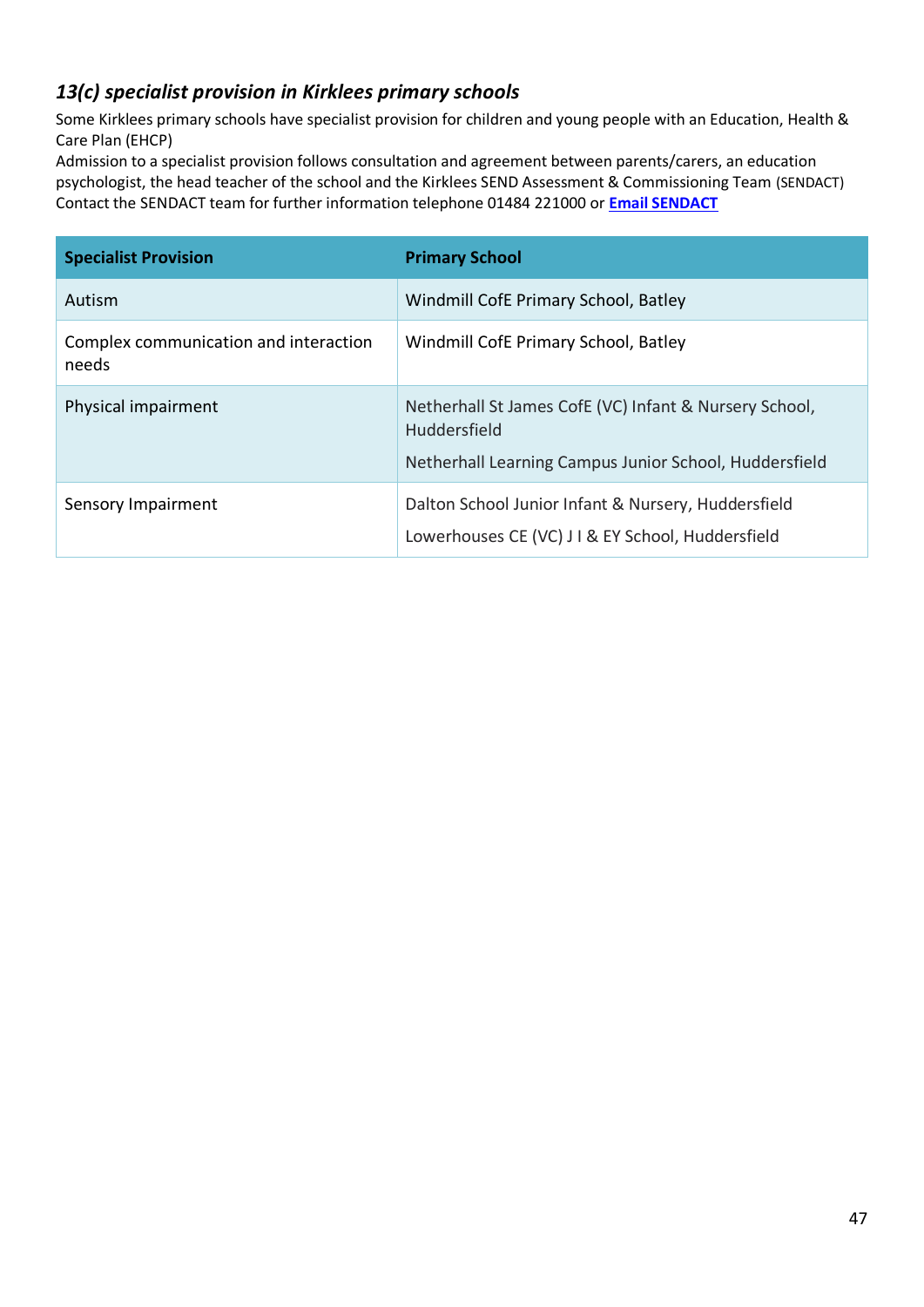#### <span id="page-47-0"></span>*13(c) specialist provision in Kirklees primary schools*

Some Kirklees primary schools have specialist provision for children and young people with an Education, Health & Care Plan (EHCP)

Admission to a specialist provision follows consultation and agreement between parents/carers, an education psychologist, the head teacher of the school and the Kirklees SEND Assessment & Commissioning Team (SENDACT) Contact the SENDACT team for further information telephone 01484 221000 or **[Email SENDACT](mailto:SENACT@kirklees.gov.uk)**

| <b>Specialist Provision</b>                    | <b>Primary School</b>                                                                                                            |
|------------------------------------------------|----------------------------------------------------------------------------------------------------------------------------------|
| Autism                                         | Windmill CofE Primary School, Batley                                                                                             |
| Complex communication and interaction<br>needs | Windmill CofE Primary School, Batley                                                                                             |
| Physical impairment                            | Netherhall St James CofE (VC) Infant & Nursery School,<br>Huddersfield<br>Netherhall Learning Campus Junior School, Huddersfield |
| Sensory Impairment                             | Dalton School Junior Infant & Nursery, Huddersfield<br>Lowerhouses CE (VC) J I & EY School, Huddersfield                         |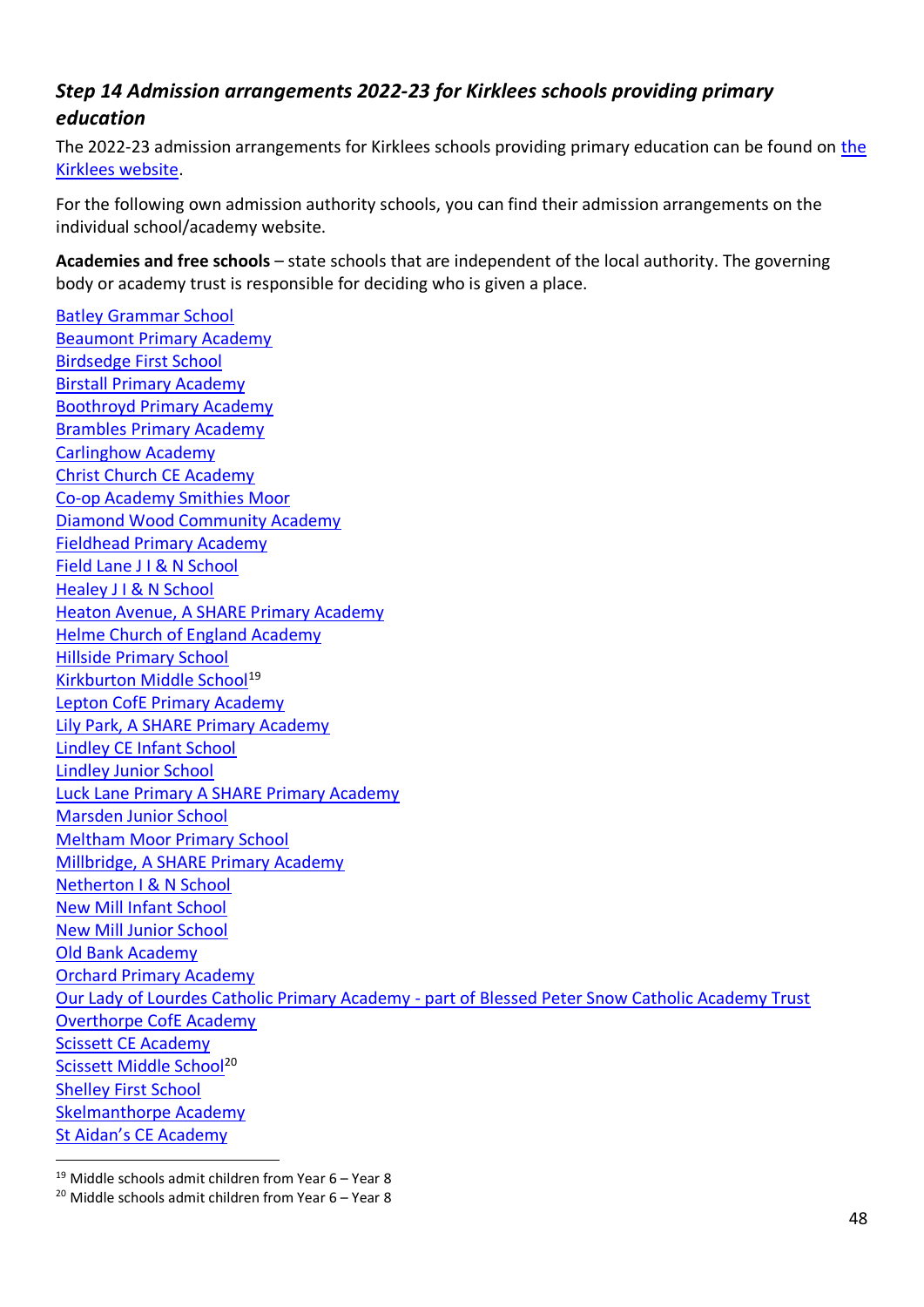#### <span id="page-48-0"></span>*Step 14 Admission arrangements 2022-23 for Kirklees schools providing primary education*

The 2022-23 admission arrangements for Kirklees schools providing primary education can be found on [the](https://www.kirklees.gov.uk/beta/admissions/policies-and-publications.aspx)  [Kirklees website.](https://www.kirklees.gov.uk/beta/admissions/policies-and-publications.aspx)

For the following own admission authority schools, you can find their admission arrangements on the individual school/academy website.

<span id="page-48-1"></span>**Academies and free schools** – state schools that are independent of the local authority. The governing body or academy trust is responsible for deciding who is given a place.

[Beaumont Primary Academy](https://www.beaumontprimary.org.uk/Policies/) [Birdsedge First School](https://www.birdsedgefirst.org/) [Birstall Primary Academy](http://www.birstallprimaryacademy.co.uk/our-school/admission-to-the-academy/) [Boothroyd Primary Academy](http://www.boothroydprimaryacademy.co.uk/welcome/curriculum-policies/admissions-policy/) [Brambles Primary Academy](http://brambles.teesvalleyeducation.co.uk/key-information/admissions-arrangments/) [Carlinghow Academy](https://carlinghowacademy.org.uk/) [Christ Church CE Academy](https://www.christchurchcofeacademy.co.uk/home/admissions) [Co-op Academy Smithies Moor](https://smithiesmoor.coopacademies.co.uk/about-us/admissions/) [Diamond Wood Community Academy](https://www.diamondwoodacademy.co.uk/) [Fieldhead Primary Academy](http://www.fieldheadprimaryacademy.co.uk/policies/admissions/) [Field Lane J I & N School](https://fieldlanepri-kgfl.secure-dbprimary.com/kgfl/primary/fieldlanepri) [Healey J I & N School](https://healeypri-kgfl.secure-dbprimary.com/kgfl/primary/healeypri/site/pages/parentpage/admissioninformation) [Heaton Avenue, A SHARE Primary Academy](https://www.heatonavenue.co.uk/) [Helme Church of England Academy](https://helmeschool.com/kgfl/primary/helmepri/site/pages/ourcommunity/admissions) [Hillside Primary School](https://www.hillsideprimaryschool.co.uk/about-our-school/policies) [Kirkburton Middle School](http://www.kirkburtonmiddleschool.co.uk/?page_id=1173)<sup>19</sup> [Lepton CofE Primary Academy](https://www.leptonschool.co.uk/school-office/admissions) [Lily Park, A SHARE Primary Academy](https://www.beechprimary.org.uk/page/?title=Admissions&pid=43) [Lindley CE Infant School](https://lindleyinfantschool.org.uk/kirklees/primary/lindley/site/pages/keyinformation/policies) [Lindley Junior School](https://lindley.schooljotter2.com/about-us/policies-statements) Luck Lane Primary A [SHARE Primary Academy](https://www.lucklaneprimary.org.uk/page/?title=Admissions&pid=40) [Marsden Junior School](https://www.themjs.org/Admissions/) [Meltham Moor Primary School](https://www.melthammoor.org/virtual-office/information-for-parentscarers/admissions) Millbridge, A [SHARE Primary Academy](https://www.millbridge.org.uk/page/?title=Admissions&pid=41) [Netherton I & N School](https://www.nethertonian.co.uk/about-us/admissions) [New Mill Infant School](https://www.wooldalejunior.org.uk/) [New Mill Junior School](https://www.wooldalejunior.org.uk/) [Old Bank Academy](https://www.oldbankschool.co.uk/) [Orchard Primary Academy](https://www.orchardprimaryacademy.org/Policies/) Our Lady of Lourdes Catholic Primary Academy - [part of Blessed Peter Snow Catholic Academy Trust](https://ourladyoflourdesschool.org.uk/kgfl/primary/olol/site/pages/a) [Overthorpe CofE Academy](https://www.overthorpecofe.co.uk/academy-information/school-policies) [Scissett CE Academy](https://www.scissettceacademy.org/information/our-prospectus) [Scissett Middle School](https://www.scissettmiddle.com/our-school/policies)<sup>20</sup> [Shelley First School](https://www.shelleyfirstschool.co.uk/information-for-parents/admissions-1) [Skelmanthorpe Academy](https://www.skelmanthorpeacademy.org/) [St Aidan's CE Academy](https://www.saintaidans.org.uk/)

 $19$  Middle schools admit children from Year 6 – Year 8

[Batley Grammar School](http://www.batleygrammar.co.uk/Admissions-2020/)

<sup>&</sup>lt;sup>20</sup> Middle schools admit children from Year  $6 -$  Year 8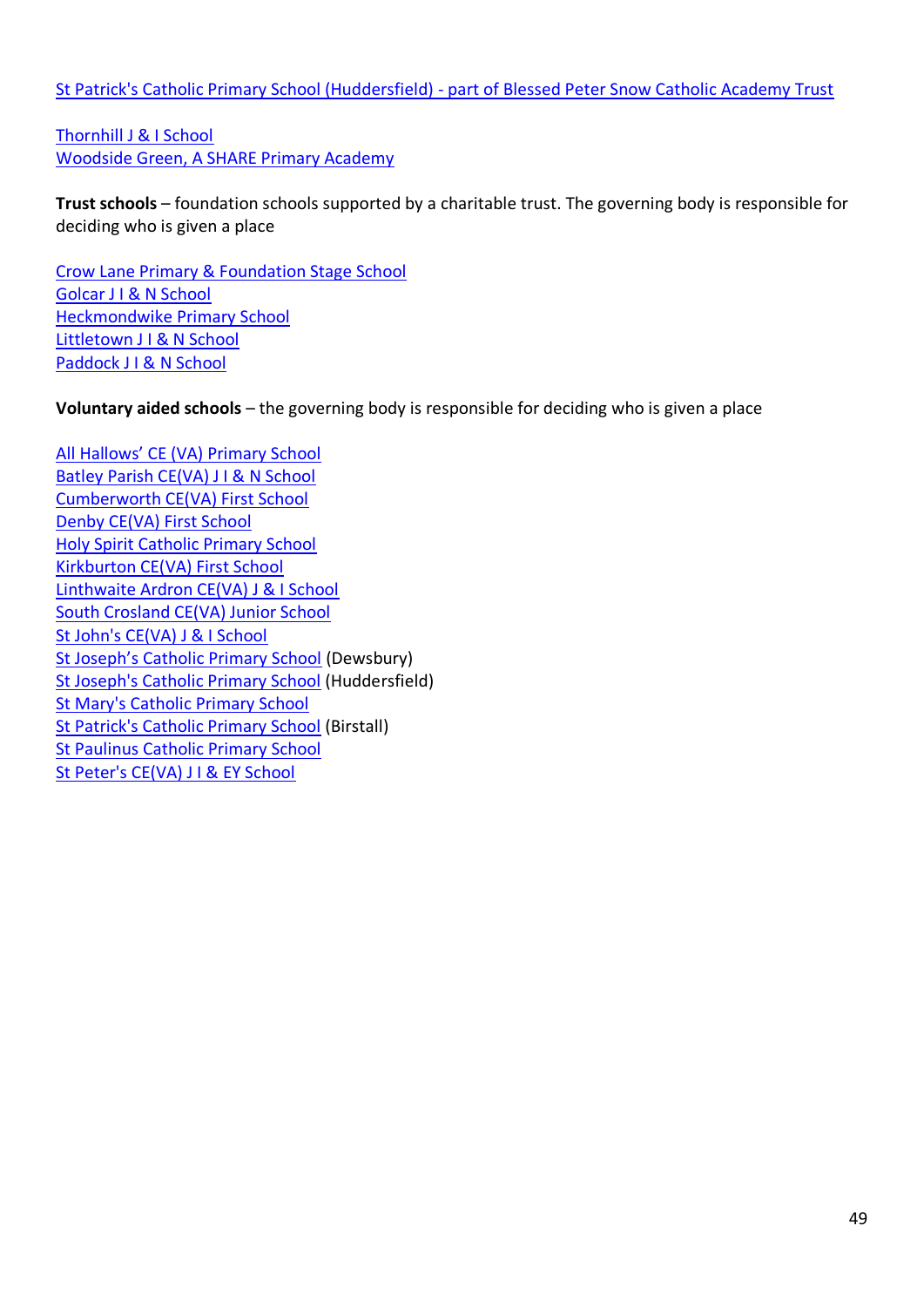[St Patrick's Catholic Primary School \(Huddersfield\) -](https://stpatricks.org.uk/kgfl/primary/olspfederation/site/pages/admissions) part of Blessed Peter Snow Catholic Academy Trust

[Thornhill J & I School](http://www.thornhilljischool.co.uk/statutory-information/admissions/) [Woodside Green, A SHARE Primary Academy](http://www.cowlersleyprimaryschool.org.uk/page/?title=Admissions&pid=21)

<span id="page-49-0"></span>**Trust schools** – foundation schools supported by a charitable trust. The governing body is responsible for deciding who is given a place

[Crow Lane Primary & Foundation Stage School](https://www.crowlane.org.uk/) [Golcar J I & N School](https://www.golcarjin.com/) [Heckmondwike Primary School](https://www.heckmondwikeprimary.co.uk/about-us/school-admissions) [Littletown J I & N School](https://www.littletownschool.org.uk/school-information/admissions) [Paddock J I & N School](https://www.paddockjinschool.co.uk/kirklees/primary/paddock)

<span id="page-49-1"></span>**Voluntary aided schools** – the governing body is responsible for deciding who is given a place

[All Hallows' CE \(VA\)](https://www.allhallowsschool.org.uk/information/admissions) Primary School [Batley Parish CE\(VA\) J I & N School](https://batleyparishpri-kgfl.secure-dbprimary.com/kgfl/primary/batleyparishpri/site/pages/importantdocuments/admissions) [Cumberworth CE\(VA\) First School](http://www.cumberworthfirstschool.co.uk/starting-school/) [Denby CE\(VA\) First School](http://www.denbyfirstschool.kirklees.sch.uk/) [Holy Spirit Catholic Primary School](https://www.holyspiritprimary.co.uk/parent-info/admissions) [Kirkburton CE\(VA\) First School](https://kirkburtonfirst.co.uk/kgfl/primary/kirkburtonpri/site/pages/office) [Linthwaite Ardron CE\(VA\) J & I School](https://www.linthwaite-ardron.org.uk/information/policies) [South Crosland CE\(VA\) Junior School](https://www.southcrosland.org.uk/information/admission-policy) [St John's CE\(VA\) J & I School](https://www.stjohnsji.co.uk/about-us/admissions) [St Joseph's Catholic Primary School](https://stjosephsdewsbury.co.uk/page.php?id=5079) (Dewsbury) [St Joseph's Catholic Primary School](http://www.stjosephscps.co.uk/page/?title=Admissions&pid=11) (Huddersfield) [St Mary's Catholic Primary School](https://www.stmarysbatley.co.uk/policies) [St Patrick's Catholic Primary School](https://www.stpatricksbirstall.co.uk/ourpolicies) (Birstall) [St Paulinus Catholic Primary School](http://www.stpaulinuscps.org.uk/) [St Peter's CE\(VA\) J I & EY School](https://www.stpetersschoolbirstall.co.uk/Policies/)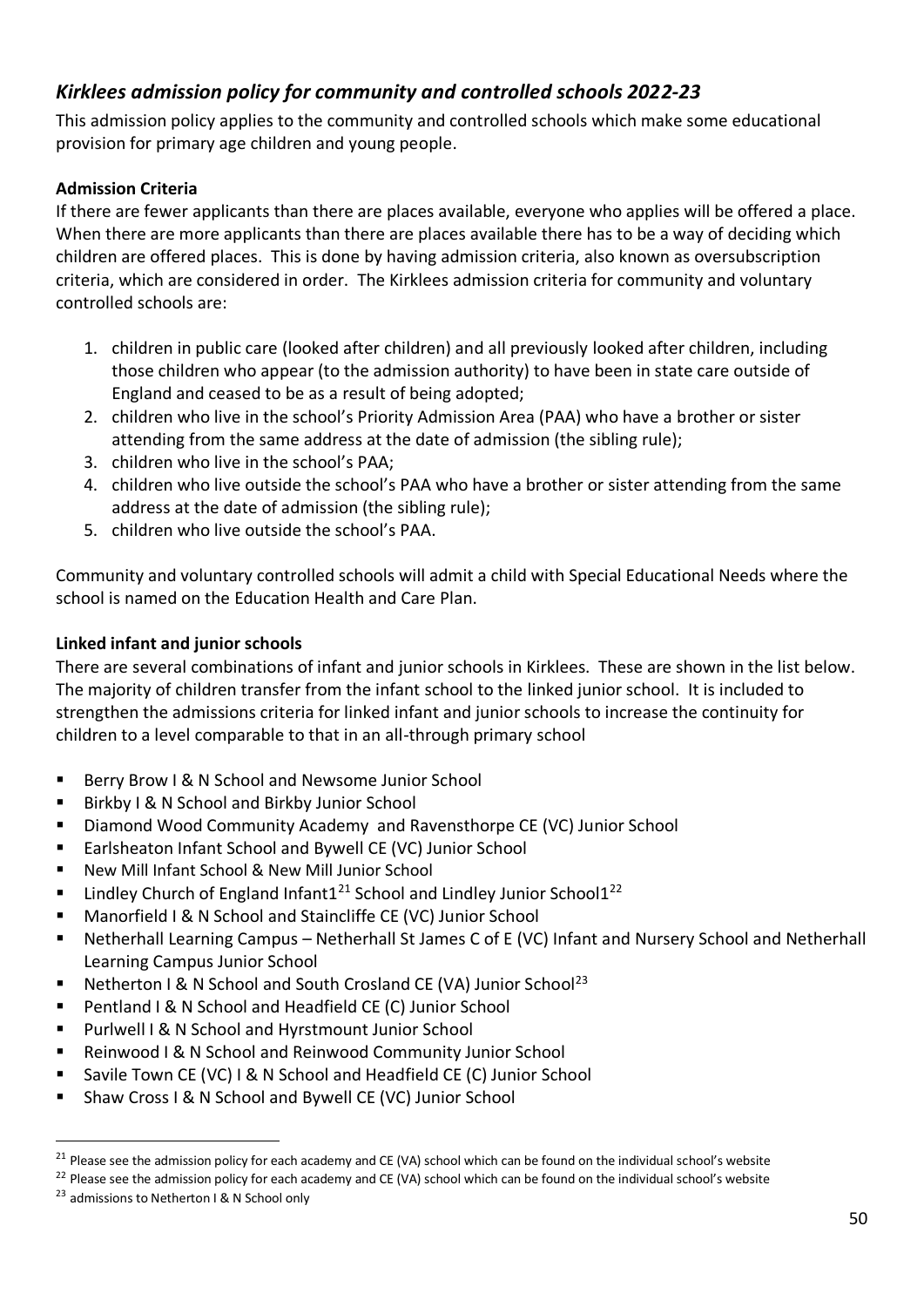#### <span id="page-50-0"></span>*Kirklees admission policy for community and controlled schools 2022-23*

This admission policy applies to the community and controlled schools which make some educational provision for primary age children and young people.

#### **Admission Criteria**

If there are fewer applicants than there are places available, everyone who applies will be offered a place. When there are more applicants than there are places available there has to be a way of deciding which children are offered places. This is done by having admission criteria, also known as oversubscription criteria, which are considered in order. The Kirklees admission criteria for community and voluntary controlled schools are:

- 1. children in public care (looked after children) and all previously looked after children, including those children who appear (to the admission authority) to have been in state care outside of England and ceased to be as a result of being adopted;
- 2. children who live in the school's Priority Admission Area (PAA) who have a brother or sister attending from the same address at the date of admission (the sibling rule);
- 3. children who live in the school's PAA;
- 4. children who live outside the school's PAA who have a brother or sister attending from the same address at the date of admission (the sibling rule);
- 5. children who live outside the school's PAA.

Community and voluntary controlled schools will admit a child with Special Educational Needs where the school is named on the Education Health and Care Plan.

#### **Linked infant and junior schools**

There are several combinations of infant and junior schools in Kirklees. These are shown in the list below. The majority of children transfer from the infant school to the linked junior school. It is included to strengthen the admissions criteria for linked infant and junior schools to increase the continuity for children to a level comparable to that in an all-through primary school

- Berry Brow I & N School and Newsome Junior School
- Birkby I & N School and Birkby Junior School
- Diamond Wood Community Academy and Ravensthorpe CE (VC) Junior School
- Earlsheaton Infant School and Bywell CE (VC) Junior School
- New Mill Infant School & New Mill Junior School
- Lindley Church of England Infant1<sup>21</sup> School and Lindley Junior School1<sup>22</sup>
- Manorfield I & N School and Staincliffe CE (VC) Junior School
- Netherhall Learning Campus Netherhall St James C of E (VC) Infant and Nursery School and Netherhall Learning Campus Junior School
- Netherton I & N School and South Crosland CE (VA) Junior School<sup>23</sup>
- Pentland I & N School and Headfield CE (C) Junior School
- Purlwell I & N School and Hyrstmount Junior School
- Reinwood I & N School and Reinwood Community Junior School
- Savile Town CE (VC) I & N School and Headfield CE (C) Junior School
- Shaw Cross I & N School and Bywell CE (VC) Junior School

<sup>&</sup>lt;sup>21</sup> Please see the admission policy for each academy and CE (VA) school which can be found on the individual school's website

<sup>&</sup>lt;sup>22</sup> Please see the admission policy for each academy and CE (VA) school which can be found on the individual school's website

<sup>&</sup>lt;sup>23</sup> admissions to Netherton I & N School only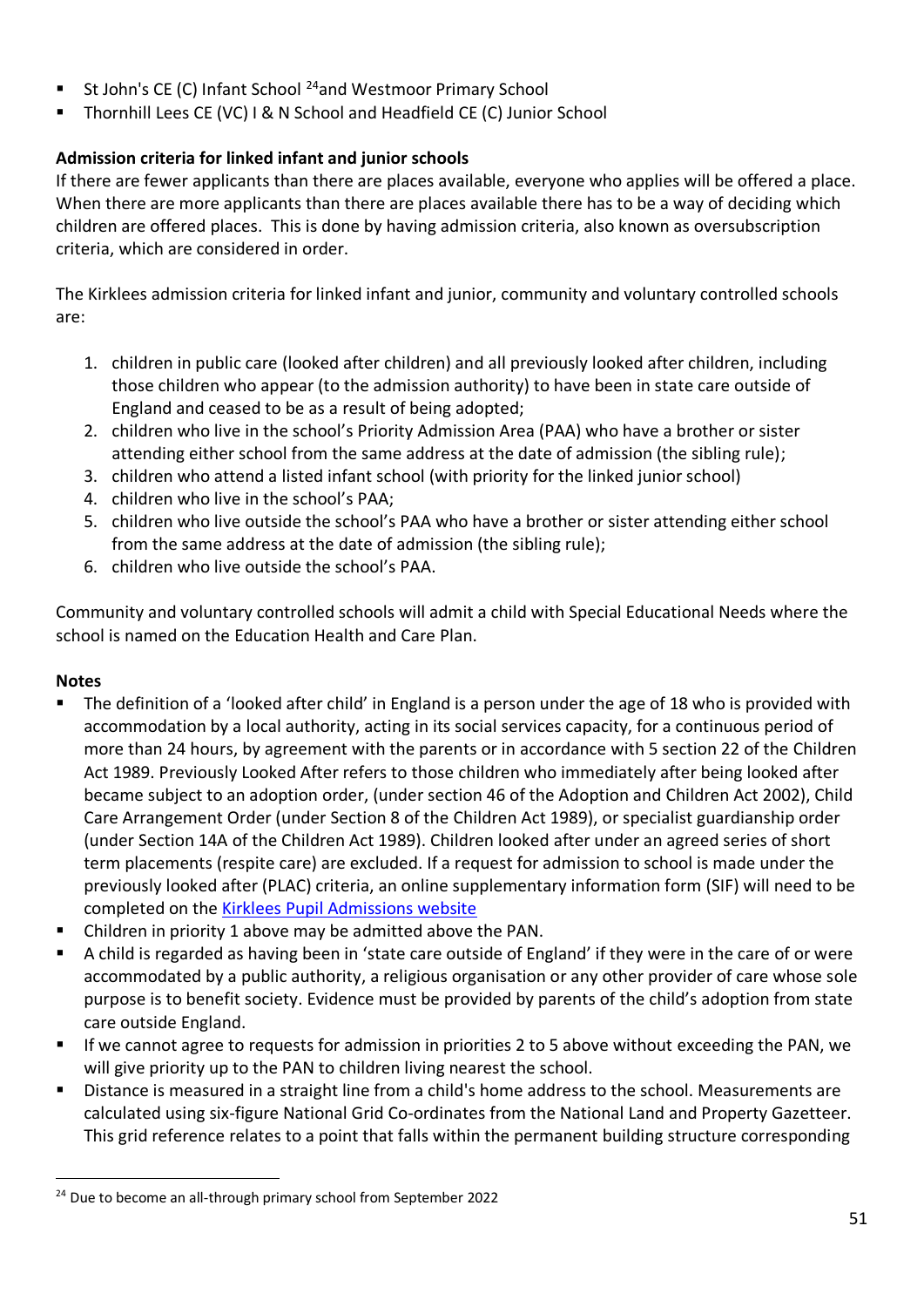- St John's CE (C) Infant School <sup>24</sup>and Westmoor Primary School
- Thornhill Lees CE (VC) I & N School and Headfield CE (C) Junior School

#### **Admission criteria for linked infant and junior schools**

If there are fewer applicants than there are places available, everyone who applies will be offered a place. When there are more applicants than there are places available there has to be a way of deciding which children are offered places. This is done by having admission criteria, also known as oversubscription criteria, which are considered in order.

The Kirklees admission criteria for linked infant and junior, community and voluntary controlled schools are:

- 1. children in public care (looked after children) and all previously looked after children, including those children who appear (to the admission authority) to have been in state care outside of England and ceased to be as a result of being adopted;
- 2. children who live in the school's Priority Admission Area (PAA) who have a brother or sister attending either school from the same address at the date of admission (the sibling rule);
- 3. children who attend a listed infant school (with priority for the linked junior school)
- 4. children who live in the school's PAA;
- 5. children who live outside the school's PAA who have a brother or sister attending either school from the same address at the date of admission (the sibling rule);
- 6. children who live outside the school's PAA.

Community and voluntary controlled schools will admit a child with Special Educational Needs where the school is named on the Education Health and Care Plan.

#### **Notes**

- The definition of a 'looked after child' in England is a person under the age of 18 who is provided with accommodation by a local authority, acting in its social services capacity, for a continuous period of more than 24 hours, by agreement with the parents or in accordance with 5 section 22 of the Children Act 1989. Previously Looked After refers to those children who immediately after being looked after became subject to an adoption order, (under section 46 of the Adoption and Children Act 2002), Child Care Arrangement Order (under Section 8 of the Children Act 1989), or specialist guardianship order (under Section 14A of the Children Act 1989). Children looked after under an agreed series of short term placements (respite care) are excluded. If a request for admission to school is made under the previously looked after (PLAC) criteria, an online supplementary information form (SIF) will need to be completed on the Kirklees [Pupil Admissions website](https://www.kirklees.gov.uk/beta/admissions/apply-primary-school-place.aspx)
- Children in priority 1 above may be admitted above the PAN.
- A child is regarded as having been in 'state care outside of England' if they were in the care of or were accommodated by a public authority, a religious organisation or any other provider of care whose sole purpose is to benefit society. Evidence must be provided by parents of the child's adoption from state care outside England.
- If we cannot agree to requests for admission in priorities 2 to 5 above without exceeding the PAN, we will give priority up to the PAN to children living nearest the school.
- Distance is measured in a straight line from a child's home address to the school. Measurements are calculated using six-figure National Grid Co-ordinates from the National Land and Property Gazetteer. This grid reference relates to a point that falls within the permanent building structure corresponding

<sup>&</sup>lt;sup>24</sup> Due to become an all-through primary school from September 2022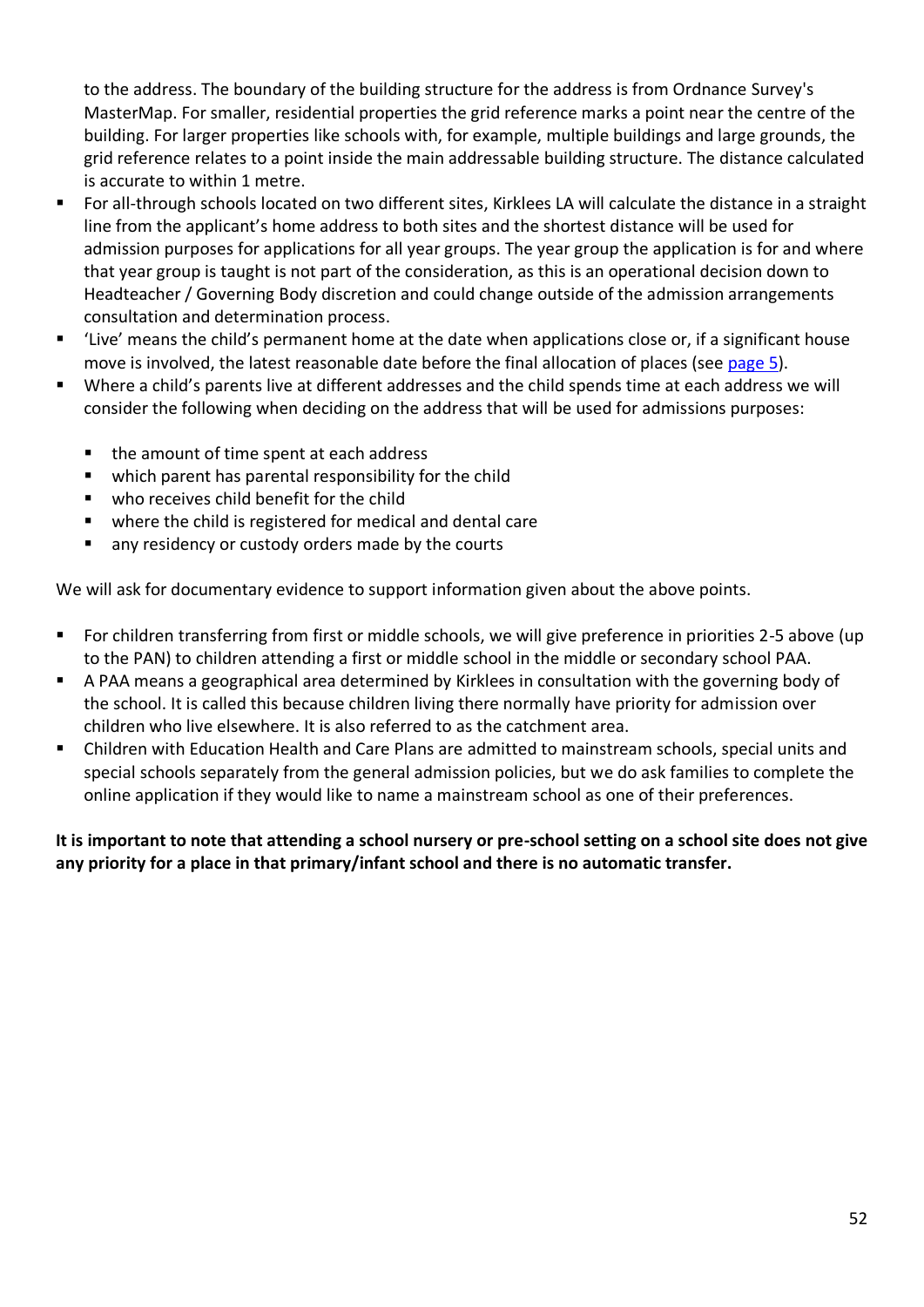to the address. The boundary of the building structure for the address is from Ordnance Survey's MasterMap. For smaller, residential properties the grid reference marks a point near the centre of the building. For larger properties like schools with, for example, multiple buildings and large grounds, the grid reference relates to a point inside the main addressable building structure. The distance calculated is accurate to within 1 metre.

- For all-through schools located on two different sites, Kirklees LA will calculate the distance in a straight line from the applicant's home address to both sites and the shortest distance will be used for admission purposes for applications for all year groups. The year group the application is for and where that year group is taught is not part of the consideration, as this is an operational decision down to Headteacher / Governing Body discretion and could change outside of the admission arrangements consultation and determination process.
- 'Live' means the child's permanent home at the date when applications close or, if a significant house move is involved, the latest reasonable date before the final allocation of places (see [page 5\)](#page-5-0).
- Where a child's parents live at different addresses and the child spends time at each address we will consider the following when deciding on the address that will be used for admissions purposes:
	- the amount of time spent at each address
	- which parent has parental responsibility for the child
	- who receives child benefit for the child
	- where the child is registered for medical and dental care
	- any residency or custody orders made by the courts

We will ask for documentary evidence to support information given about the above points.

- For children transferring from first or middle schools, we will give preference in priorities 2-5 above (up to the PAN) to children attending a first or middle school in the middle or secondary school PAA.
- A PAA means a geographical area determined by Kirklees in consultation with the governing body of the school. It is called this because children living there normally have priority for admission over children who live elsewhere. It is also referred to as the catchment area.
- Children with Education Health and Care Plans are admitted to mainstream schools, special units and special schools separately from the general admission policies, but we do ask families to complete the online application if they would like to name a mainstream school as one of their preferences.

**It is important to note that attending a school nursery or pre-school setting on a school site does not give any priority for a place in that primary/infant school and there is no automatic transfer.**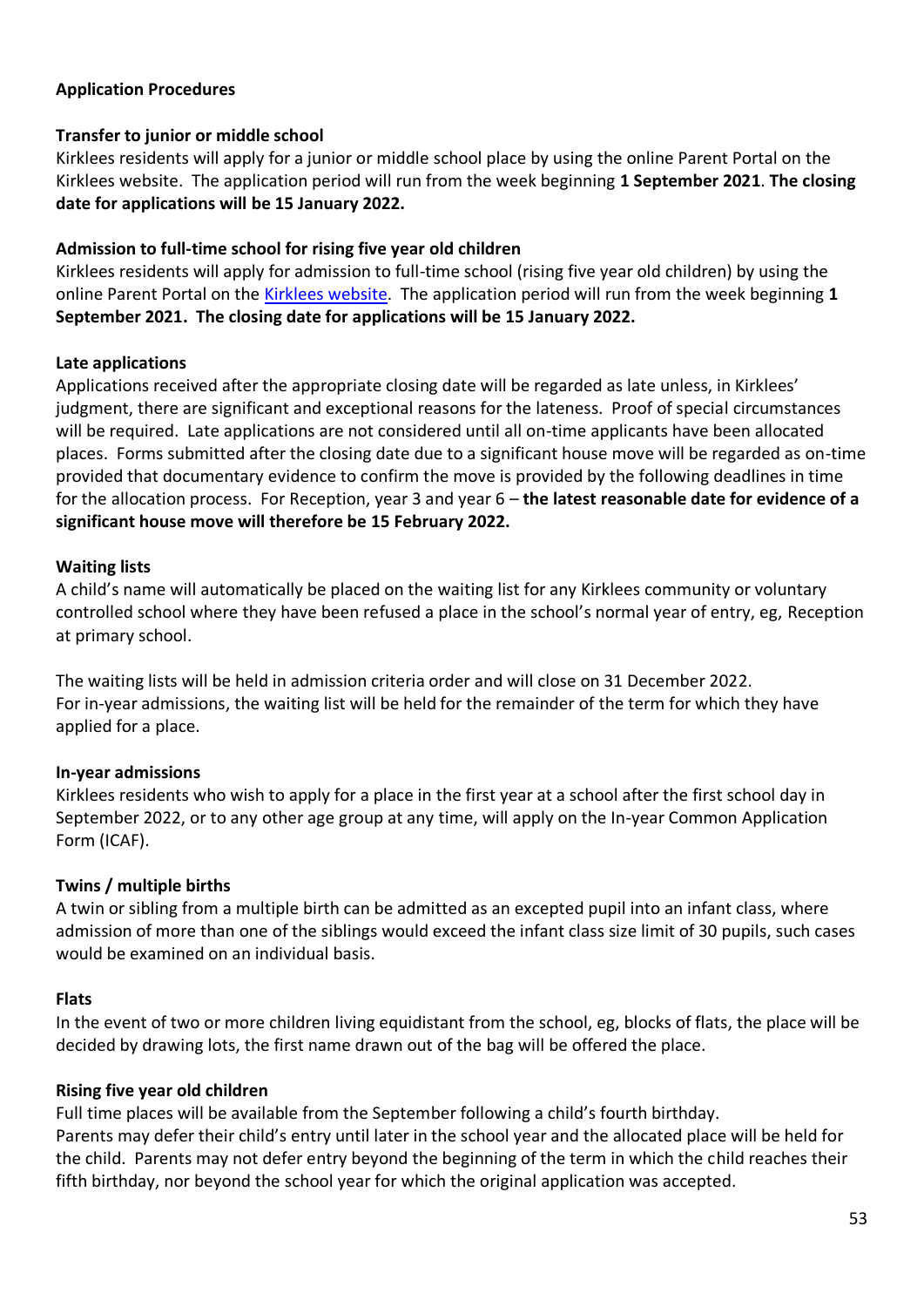#### **Application Procedures**

#### **Transfer to junior or middle school**

Kirklees residents will apply for a junior or middle school place by using the online Parent Portal on the Kirklees website. The application period will run from the week beginning **1 September 2021**. **The closing date for applications will be 15 January 2022.**

#### **Admission to full-time school for rising five year old children**

Kirklees residents will apply for admission to full-time school (rising five year old children) by using the online Parent Portal on the [Kirklees website.](https://www.kirklees.gov.uk/beta/schools-and-education.aspx#admissions) The application period will run from the week beginning **1 September 2021. The closing date for applications will be 15 January 2022.** 

#### **Late applications**

Applications received after the appropriate closing date will be regarded as late unless, in Kirklees' judgment, there are significant and exceptional reasons for the lateness. Proof of special circumstances will be required. Late applications are not considered until all on-time applicants have been allocated places. Forms submitted after the closing date due to a significant house move will be regarded as on-time provided that documentary evidence to confirm the move is provided by the following deadlines in time for the allocation process. For Reception, year 3 and year 6 – **the latest reasonable date for evidence of a significant house move will therefore be 15 February 2022.**

#### **Waiting lists**

A child's name will automatically be placed on the waiting list for any Kirklees community or voluntary controlled school where they have been refused a place in the school's normal year of entry, eg, Reception at primary school.

The waiting lists will be held in admission criteria order and will close on 31 December 2022. For in-year admissions, the waiting list will be held for the remainder of the term for which they have applied for a place.

#### **In-year admissions**

Kirklees residents who wish to apply for a place in the first year at a school after the first school day in September 2022, or to any other age group at any time, will apply on the In-year Common Application Form (ICAF).

#### **Twins / multiple births**

A twin or sibling from a multiple birth can be admitted as an excepted pupil into an infant class, where admission of more than one of the siblings would exceed the infant class size limit of 30 pupils, such cases would be examined on an individual basis.

#### **Flats**

In the event of two or more children living equidistant from the school, eg, blocks of flats, the place will be decided by drawing lots, the first name drawn out of the bag will be offered the place.

#### **Rising five year old children**

Full time places will be available from the September following a child's fourth birthday. Parents may defer their child's entry until later in the school year and the allocated place will be held for the child. Parents may not defer entry beyond the beginning of the term in which the child reaches their fifth birthday, nor beyond the school year for which the original application was accepted.